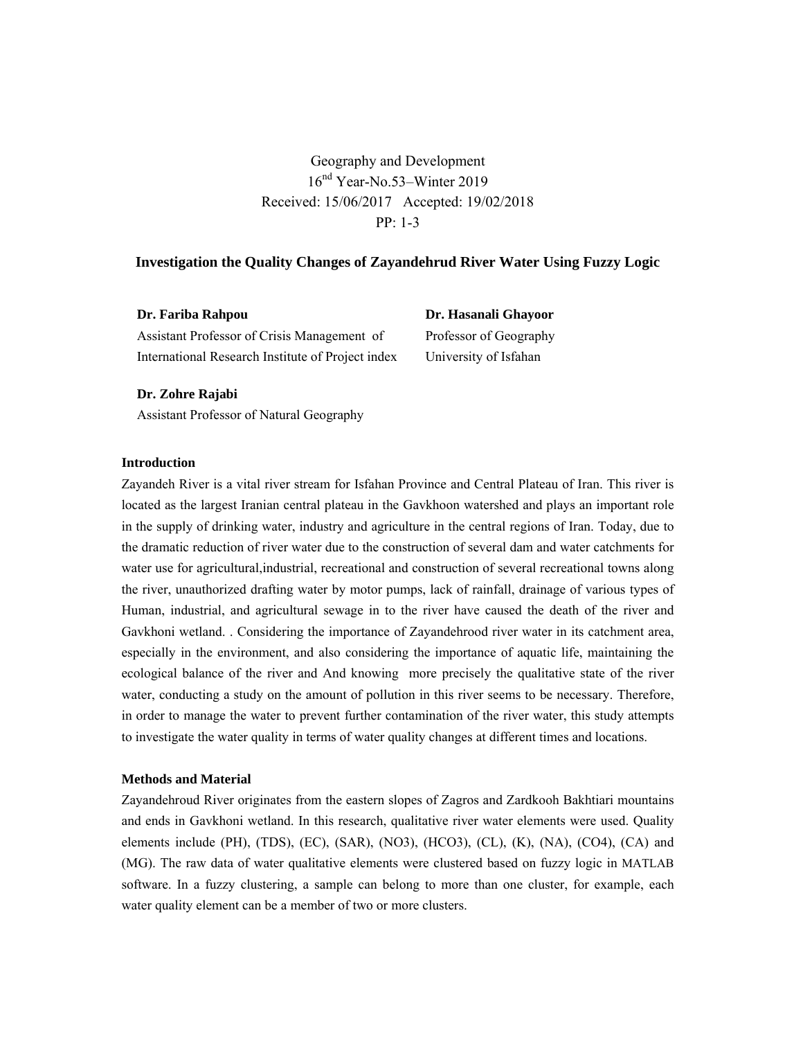Geography and Development 16<sup>nd</sup> Year-No.53–Winter 2019 Received: 15/06/2017 Accepted: 19/02/2018 PP: 1-3

# **Investigation the Quality Changes of Zayandehrud River Water Using Fuzzy Logic**

| Dr. Fariba Rahpou                                 | Dr. Hasanali Ghayoor   |
|---------------------------------------------------|------------------------|
| Assistant Professor of Crisis Management of       | Professor of Geography |
| International Research Institute of Project index | University of Isfahan  |

**Dr. Zohre Rajabi**

Assistant Professor of Natural Geography

# **Introduction**

Zayandeh River is a vital river stream for Isfahan Province and Central Plateau of Iran. This river is located as the largest Iranian central plateau in the Gavkhoon watershed and plays an important role in the supply of drinking water, industry and agriculture in the central regions of Iran. Today, due to the dramatic reduction of river water due to the construction of several dam and water catchments for water use for agricultural,industrial, recreational and construction of several recreational towns along the river, unauthorized drafting water by motor pumps, lack of rainfall, drainage of various types of Human, industrial, and agricultural sewage in to the river have caused the death of the river and Gavkhoni wetland. . Considering the importance of Zayandehrood river water in its catchment area, especially in the environment, and also considering the importance of aquatic life, maintaining the ecological balance of the river and And knowing more precisely the qualitative state of the river water, conducting a study on the amount of pollution in this river seems to be necessary. Therefore, in order to manage the water to prevent further contamination of the river water, this study attempts to investigate the water quality in terms of water quality changes at different times and locations.

### **Methods and Material**

Zayandehroud River originates from the eastern slopes of Zagros and Zardkooh Bakhtiari mountains and ends in Gavkhoni wetland. In this research, qualitative river water elements were used. Quality elements include (PH), (TDS), (EC), (SAR), (NO3), (HCO3), (CL), (K), (NA), (CO4), (CA) and (MG). The raw data of water qualitative elements were clustered based on fuzzy logic in MATLAB software. In a fuzzy clustering, a sample can belong to more than one cluster, for example, each water quality element can be a member of two or more clusters.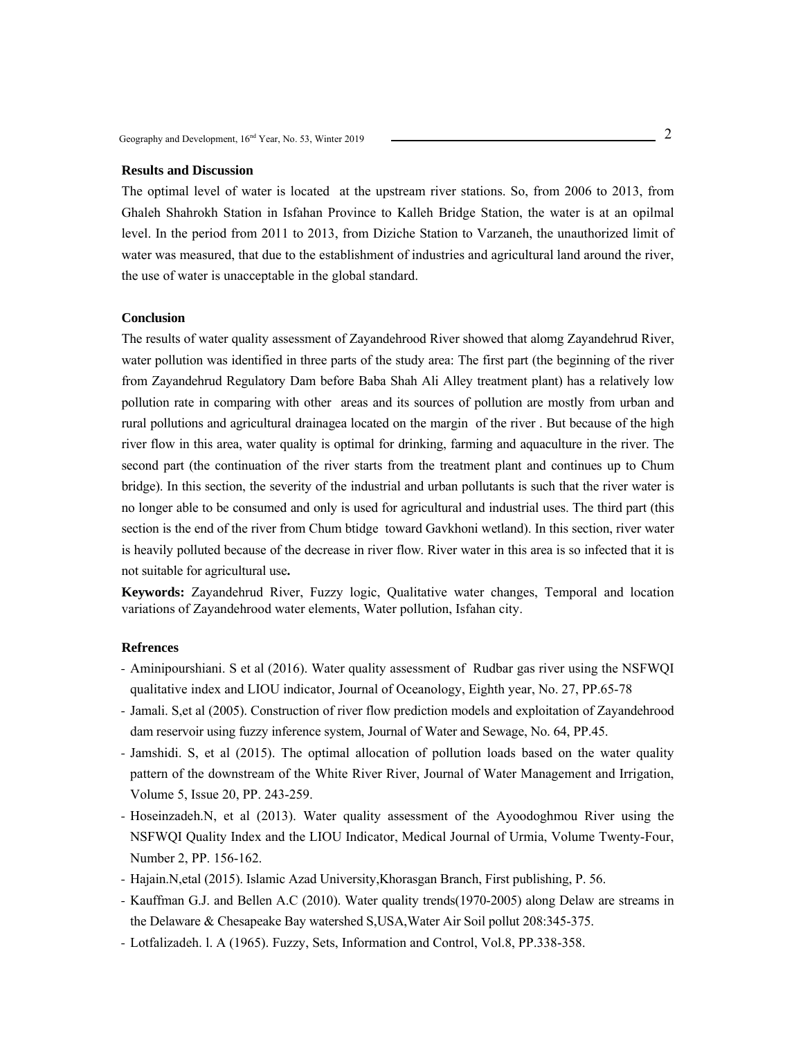### **Results and Discussion**

The optimal level of water is located at the upstream river stations. So, from 2006 to 2013, from Ghaleh Shahrokh Station in Isfahan Province to Kalleh Bridge Station, the water is at an opilmal level. In the period from 2011 to 2013, from Diziche Station to Varzaneh, the unauthorized limit of water was measured, that due to the establishment of industries and agricultural land around the river, the use of water is unacceptable in the global standard.

### **Conclusion**

The results of water quality assessment of Zayandehrood River showed that alomg Zayandehrud River, water pollution was identified in three parts of the study area: The first part (the beginning of the river from Zayandehrud Regulatory Dam before Baba Shah Ali Alley treatment plant) has a relatively low pollution rate in comparing with other areas and its sources of pollution are mostly from urban and rural pollutions and agricultural drainagea located on the margin of the river . But because of the high river flow in this area, water quality is optimal for drinking, farming and aquaculture in the river. The second part (the continuation of the river starts from the treatment plant and continues up to Chum bridge). In this section, the severity of the industrial and urban pollutants is such that the river water is no longer able to be consumed and only is used for agricultural and industrial uses. The third part (this section is the end of the river from Chum btidge toward Gavkhoni wetland). In this section, river water is heavily polluted because of the decrease in river flow. River water in this area is so infected that it is not suitable for agricultural use**.** 

**Keywords:** Zayandehrud River, Fuzzy logic, Qualitative water changes, Temporal and location variations of Zayandehrood water elements, Water pollution, Isfahan city.

- Aminipourshiani. S et al (2016). Water quality assessment of Rudbar gas river using the NSFWQI qualitative index and LIOU indicator, Journal of Oceanology, Eighth year, No. 27, PP.65-78
- Jamali. S,et al (2005). Construction of river flow prediction models and exploitation of Zayandehrood dam reservoir using fuzzy inference system, Journal of Water and Sewage, No. 64, PP.45.
- Jamshidi. S, et al (2015). The optimal allocation of pollution loads based on the water quality pattern of the downstream of the White River River, Journal of Water Management and Irrigation, Volume 5, Issue 20, PP. 243-259.
- Hoseinzadeh.N, et al (2013). Water quality assessment of the Ayoodoghmou River using the NSFWQI Quality Index and the LIOU Indicator, Medical Journal of Urmia, Volume Twenty-Four, Number 2, PP. 156-162.
- Hajain.N,etal (2015). Islamic Azad University,Khorasgan Branch, First publishing, P. 56.
- Kauffman G.J. and Bellen A.C (2010). Water quality trends(1970-2005) along Delaw are streams in the Delaware & Chesapeake Bay watershed S,USA,Water Air Soil pollut 208:345-375.
- Lotfalizadeh. l. A (1965). Fuzzy, Sets, Information and Control, Vol.8, PP.338-358.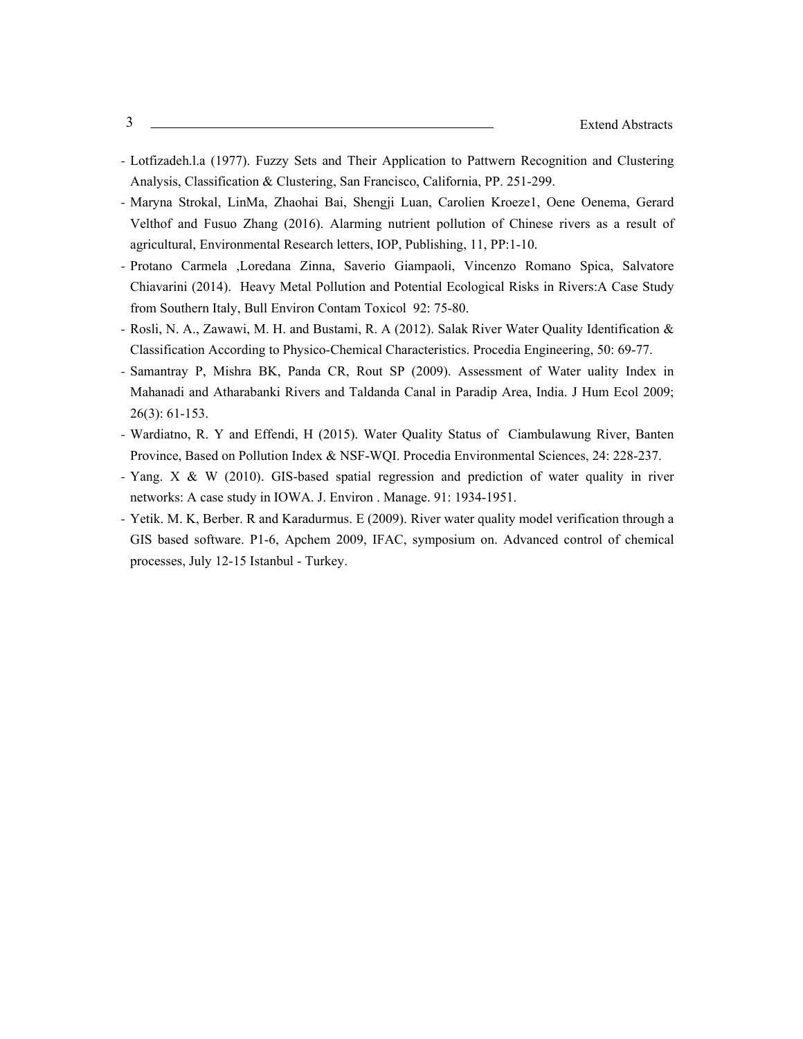- Lotfizadeh.l.a (1977). Fuzzy Sets and Their Application to Pattwern Recognition and Clustering Analysis, Classification & Clustering, San Francisco, California, PP. 251-299.
- Maryna Strokal, LinMa, Zhaohai Bai, Shengji Luan, Carolien Kroeze1, Oene Oenema, Gerard Velthof and Fusuo Zhang (2016). Alarming nutrient pollution of Chinese rivers as a result of agricultural, Environmental Research letters, IOP, Publishing, 11, PP:1-10.
- Protano Carmela ,Loredana Zinna, Saverio Giampaoli, Vincenzo Romano Spica, Salvatore Chiavarini (2014). Heavy Metal Pollution and Potential Ecological Risks in Rivers:A Case Study from Southern Italy, Bull Environ Contam Toxicol 92: 75-80.
- Rosli, N. A., Zawawi, M. H. and Bustami, R. A (2012). Salak River Water Quality Identification & Classification According to Physico-Chemical Characteristics. Procedia Engineering, 50: 69-77.
- Samantray P, Mishra BK, Panda CR, Rout SP (2009). Assessment of Water uality Index in Mahanadi and Atharabanki Rivers and Taldanda Canal in Paradip Area, India. J Hum Ecol 2009; 26(3): 61-153.
- Wardiatno, R. Y and Effendi, H (2015). Water Quality Status of Ciambulawung River, Banten Province, Based on Pollution Index & NSF-WQI. Procedia Environmental Sciences, 24: 228-237.
- Yang. X & W (2010). GIS-based spatial regression and prediction of water quality in river networks: A case study in IOWA. J. Environ . Manage. 91: 1934-1951.
- Yetik. M. K, Berber. R and Karadurmus. E (2009). River water quality model verification through a GIS based software. P1-6, Apchem 2009, IFAC, symposium on. Advanced control of chemical processes, July 12-15 Istanbul - Turkey.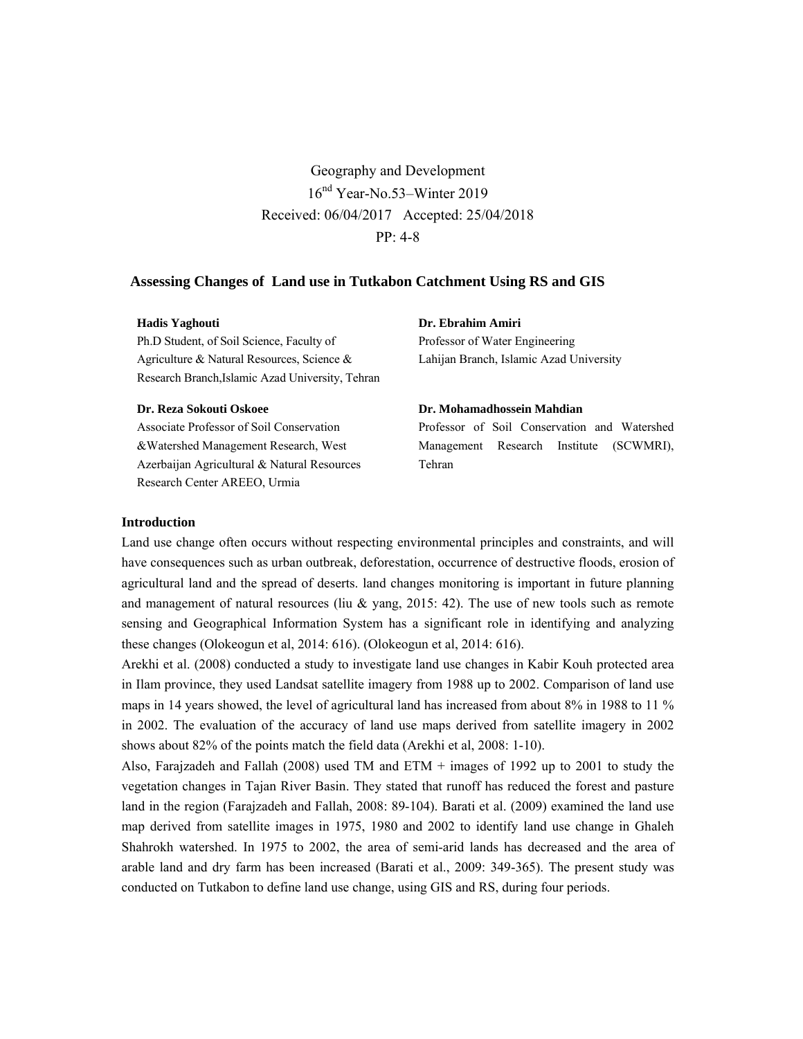Geography and Development 16nd Year-No.53–Winter 2019 Received: 06/04/2017 Accepted: 25/04/2018 PP: 4-8

# **Assessing Changes of Land use in Tutkabon Catchment Using RS and GIS**

### **Hadis Yaghouti**

Ph.D Student, of Soil Science, Faculty of Agriculture & Natural Resources, Science & Research Branch,Islamic Azad University, Tehran

#### **Dr. Reza Sokouti Oskoee**

Associate Professor of Soil Conservation &Watershed Management Research, West Azerbaijan Agricultural & Natural Resources Research Center AREEO, Urmia

# **Dr. Ebrahim Amiri**

Professor of Water Engineering Lahijan Branch, Islamic Azad University

#### **Dr. Mohamadhossein Mahdian**

Professor of Soil Conservation and Watershed Management Research Institute (SCWMRI), Tehran

### **Introduction**

Land use change often occurs without respecting environmental principles and constraints, and will have consequences such as urban outbreak, deforestation, occurrence of destructive floods, erosion of agricultural land and the spread of deserts. land changes monitoring is important in future planning and management of natural resources (liu & yang, 2015: 42). The use of new tools such as remote sensing and Geographical Information System has a significant role in identifying and analyzing these changes (Olokeogun et al, 2014: 616). (Olokeogun et al, 2014: 616).

Arekhi et al. (2008) conducted a study to investigate land use changes in Kabir Kouh protected area in Ilam province, they used Landsat satellite imagery from 1988 up to 2002. Comparison of land use maps in 14 years showed, the level of agricultural land has increased from about 8% in 1988 to 11 % in 2002. The evaluation of the accuracy of land use maps derived from satellite imagery in 2002 shows about 82% of the points match the field data (Arekhi et al, 2008: 1-10).

Also, Farajzadeh and Fallah (2008) used TM and ETM + images of 1992 up to 2001 to study the vegetation changes in Tajan River Basin. They stated that runoff has reduced the forest and pasture land in the region (Farajzadeh and Fallah, 2008: 89-104). Barati et al. (2009) examined the land use map derived from satellite images in 1975, 1980 and 2002 to identify land use change in Ghaleh Shahrokh watershed. In 1975 to 2002, the area of semi-arid lands has decreased and the area of arable land and dry farm has been increased (Barati et al., 2009: 349-365). The present study was conducted on Tutkabon to define land use change, using GIS and RS, during four periods.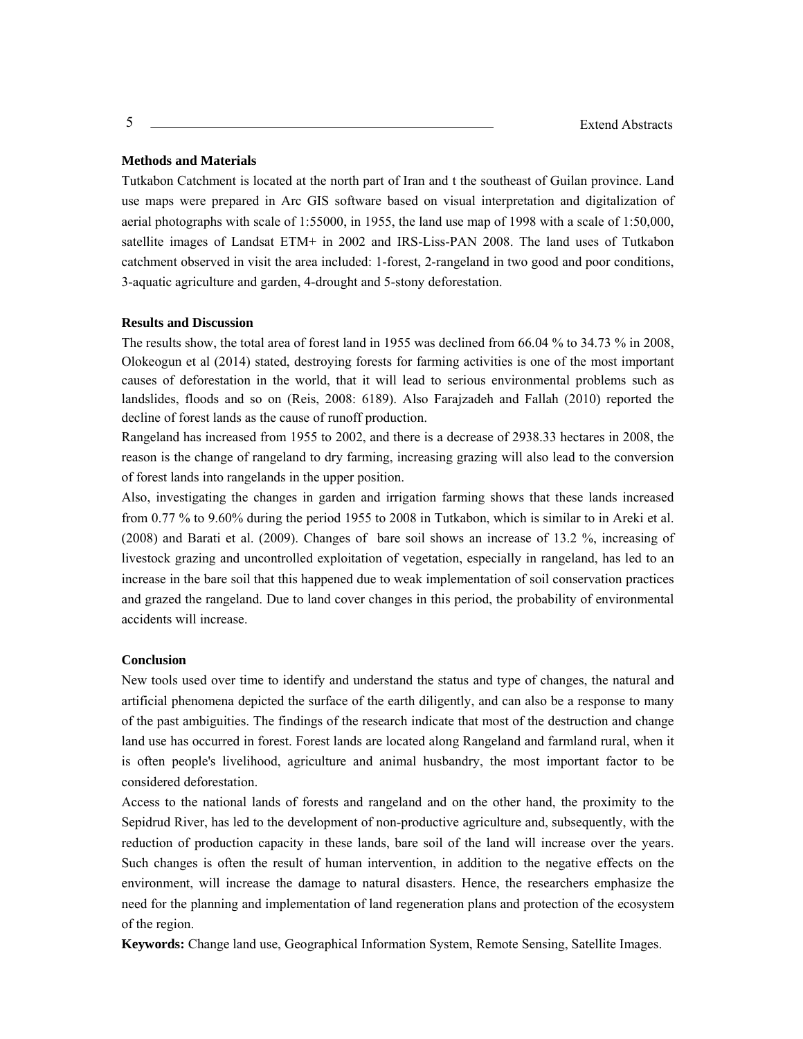### **Methods and Materials**

Tutkabon Catchment is located at the north part of Iran and t the southeast of Guilan province. Land use maps were prepared in Arc GIS software based on visual interpretation and digitalization of aerial photographs with scale of 1:55000, in 1955, the land use map of 1998 with a scale of 1:50,000, satellite images of Landsat ETM+ in 2002 and IRS-Liss-PAN 2008. The land uses of Tutkabon catchment observed in visit the area included: 1-forest, 2-rangeland in two good and poor conditions, 3-aquatic agriculture and garden, 4-drought and 5-stony deforestation.

### **Results and Discussion**

The results show, the total area of forest land in 1955 was declined from 66.04 % to 34.73 % in 2008, Olokeogun et al (2014) stated, destroying forests for farming activities is one of the most important causes of deforestation in the world, that it will lead to serious environmental problems such as landslides, floods and so on (Reis, 2008: 6189). Also Farajzadeh and Fallah (2010) reported the decline of forest lands as the cause of runoff production.

Rangeland has increased from 1955 to 2002, and there is a decrease of 2938.33 hectares in 2008, the reason is the change of rangeland to dry farming, increasing grazing will also lead to the conversion of forest lands into rangelands in the upper position.

Also, investigating the changes in garden and irrigation farming shows that these lands increased from 0.77 % to 9.60% during the period 1955 to 2008 in Tutkabon, which is similar to in Areki et al. (2008) and Barati et al. (2009). Changes of bare soil shows an increase of 13.2 %, increasing of livestock grazing and uncontrolled exploitation of vegetation, especially in rangeland, has led to an increase in the bare soil that this happened due to weak implementation of soil conservation practices and grazed the rangeland. Due to land cover changes in this period, the probability of environmental accidents will increase.

### **Conclusion**

New tools used over time to identify and understand the status and type of changes, the natural and artificial phenomena depicted the surface of the earth diligently, and can also be a response to many of the past ambiguities. The findings of the research indicate that most of the destruction and change land use has occurred in forest. Forest lands are located along Rangeland and farmland rural, when it is often people's livelihood, agriculture and animal husbandry, the most important factor to be considered deforestation.

Access to the national lands of forests and rangeland and on the other hand, the proximity to the Sepidrud River, has led to the development of non-productive agriculture and, subsequently, with the reduction of production capacity in these lands, bare soil of the land will increase over the years. Such changes is often the result of human intervention, in addition to the negative effects on the environment, will increase the damage to natural disasters. Hence, the researchers emphasize the need for the planning and implementation of land regeneration plans and protection of the ecosystem of the region.

**Keywords:** Change land use, Geographical Information System, Remote Sensing, Satellite Images.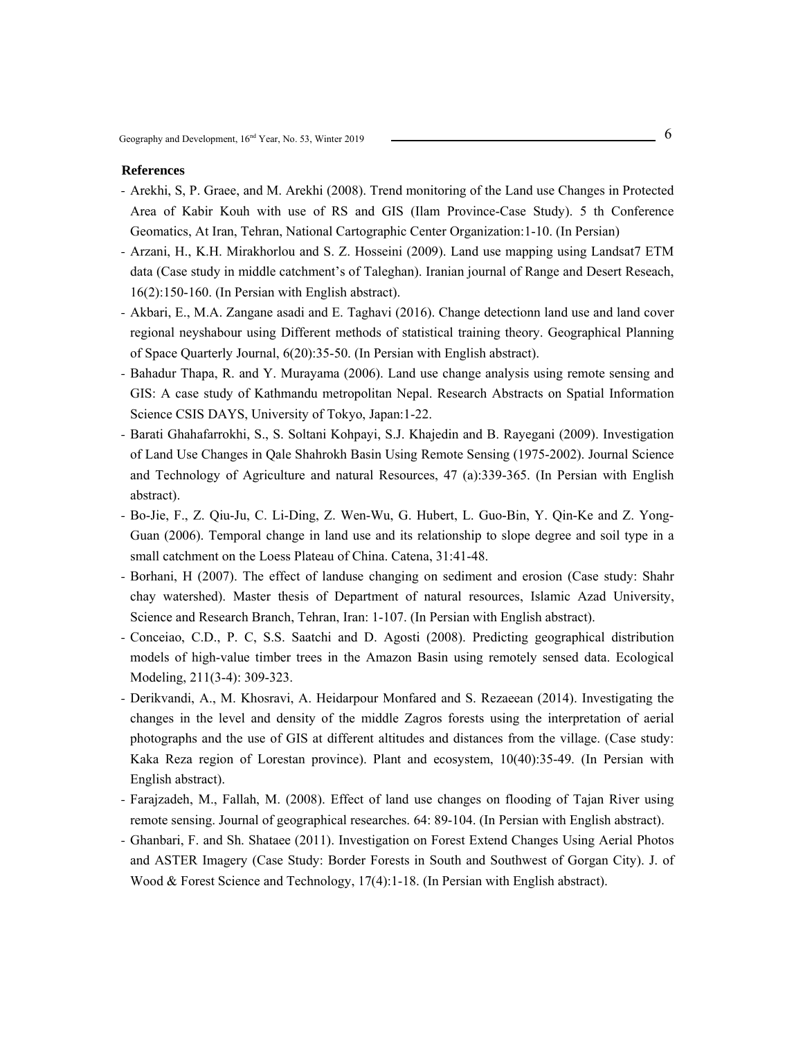- Arekhi, S, P. Graee, and M. Arekhi (2008). Trend monitoring of the Land use Changes in Protected Area of Kabir Kouh with use of RS and GIS (Ilam Province-Case Study). 5 th Conference Geomatics, At Iran, Tehran, National Cartographic Center Organization:1-10. (In Persian)
- Arzani, H., K.H. Mirakhorlou and S. Z. Hosseini (2009). Land use mapping using Landsat7 ETM data (Case study in middle catchment's of Taleghan). Iranian journal of Range and Desert Reseach, 16(2):150-160. (In Persian with English abstract).
- Akbari, E., M.A. Zangane asadi and E. Taghavi (2016). Change detectionn land use and land cover regional neyshabour using Different methods of statistical training theory. Geographical Planning of Space Quarterly Journal, 6(20):35-50. (In Persian with English abstract).
- Bahadur Thapa, R. and Y. Murayama (2006). Land use change analysis using remote sensing and GIS: A case study of Kathmandu metropolitan Nepal. Research Abstracts on Spatial Information Science CSIS DAYS, University of Tokyo, Japan:1-22.
- Barati Ghahafarrokhi, S., S. Soltani Kohpayi, S.J. Khajedin and B. Rayegani (2009). Investigation of Land Use Changes in Qale Shahrokh Basin Using Remote Sensing (1975-2002). Journal Science and Technology of Agriculture and natural Resources, 47 (a):339-365. (In Persian with English abstract).
- Bo-Jie, F., Z. Qiu-Ju, C. Li-Ding, Z. Wen-Wu, G. Hubert, L. Guo-Bin, Y. Qin-Ke and Z. Yong-Guan (2006). Temporal change in land use and its relationship to slope degree and soil type in a small catchment on the Loess Plateau of China. Catena, 31:41-48.
- Borhani, H (2007). The effect of landuse changing on sediment and erosion (Case study: Shahr chay watershed). Master thesis of Department of natural resources, Islamic Azad University, Science and Research Branch, Tehran, Iran: 1-107. (In Persian with English abstract).
- Conceiao, C.D., P. C, S.S. Saatchi and D. Agosti (2008). Predicting geographical distribution models of high-value timber trees in the Amazon Basin using remotely sensed data. Ecological Modeling, 211(3-4): 309-323.
- Derikvandi, A., M. Khosravi, A. Heidarpour Monfared and S. Rezaeean (2014). Investigating the changes in the level and density of the middle Zagros forests using the interpretation of aerial photographs and the use of GIS at different altitudes and distances from the village. (Case study: Kaka Reza region of Lorestan province). Plant and ecosystem, 10(40):35-49. (In Persian with English abstract).
- Farajzadeh, M., Fallah, M. (2008). Effect of land use changes on flooding of Tajan River using remote sensing. Journal of geographical researches. 64: 89-104. (In Persian with English abstract).
- Ghanbari, F. and Sh. Shataee (2011). Investigation on Forest Extend Changes Using Aerial Photos and ASTER Imagery (Case Study: Border Forests in South and Southwest of Gorgan City). J. of Wood & Forest Science and Technology, 17(4):1-18. (In Persian with English abstract).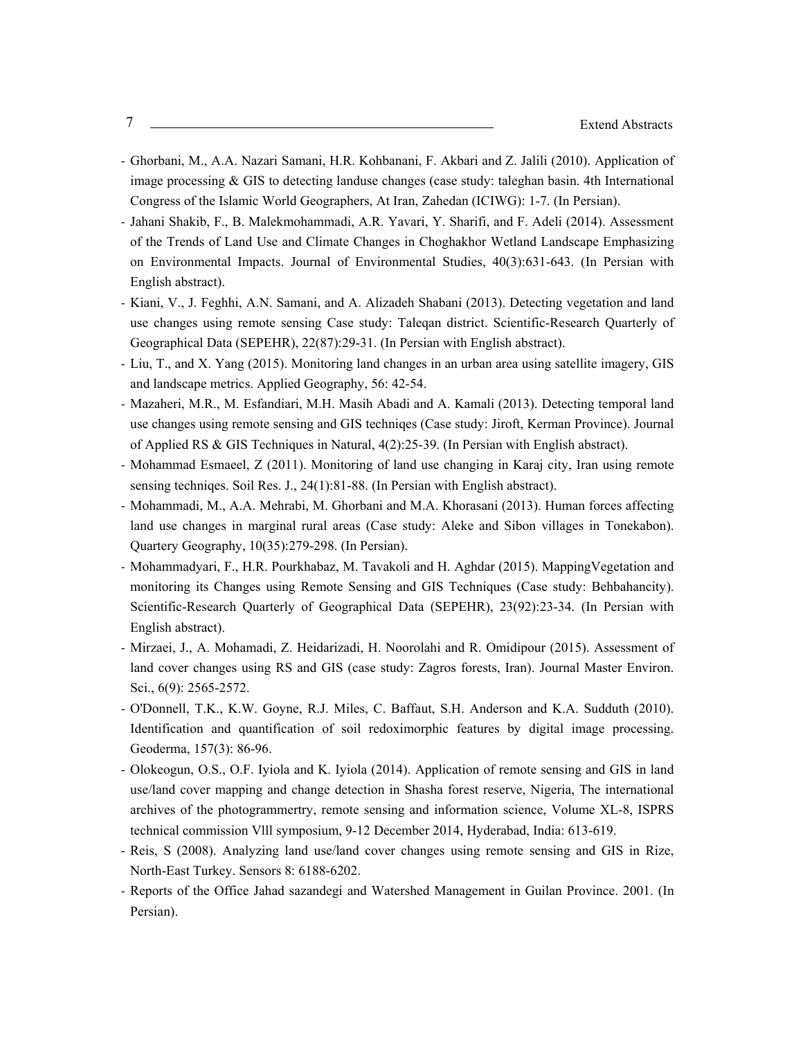- Ghorbani, M., A.A. Nazari Samani, H.R. Kohbanani, F. Akbari and Z. Jalili (2010). Application of image processing  $\&$  GIS to detecting landuse changes (case study: taleghan basin. 4th International Congress of the Islamic World Geographers, At Iran, Zahedan (ICIWG): 1-7. (In Persian).
- Jahani Shakib, F., B. Malekmohammadi, A.R. Yavari, Y. Sharifi, and F. Adeli (2014). Assessment of the Trends of Land Use and Climate Changes in Choghakhor Wetland Landscape Emphasizing on Environmental Impacts. Journal of Environmental Studies, 40(3):631-643. (In Persian with English abstract).
- Kiani, V., J. Feghhi, A.N. Samani, and A. Alizadeh Shabani (2013). Detecting vegetation and land use changes using remote sensing Case study: Taleqan district. Scientific-Research Quarterly of Geographical Data (SEPEHR), 22(87):29-31. (In Persian with English abstract).
- Liu, T., and X. Yang (2015). Monitoring land changes in an urban area using satellite imagery, GIS and landscape metrics. Applied Geography, 56: 42-54.
- Mazaheri, M.R., M. Esfandiari, M.H. Masih Abadi and A. Kamali (2013). Detecting temporal land use changes using remote sensing and GIS techniqes (Case study: Jiroft, Kerman Province). Journal of Applied RS & GIS Techniques in Natural, 4(2):25-39. (In Persian with English abstract).
- Mohammad Esmaeel, Z (2011). Monitoring of land use changing in Karaj city, Iran using remote sensing techniqes. Soil Res. J., 24(1):81-88. (In Persian with English abstract).
- Mohammadi, M., A.A. Mehrabi, M. Ghorbani and M.A. Khorasani (2013). Human forces affecting land use changes in marginal rural areas (Case study: Aleke and Sibon villages in Tonekabon). Quartery Geography, 10(35):279-298. (In Persian).
- Mohammadyari, F., H.R. Pourkhabaz, M. Tavakoli and H. Aghdar (2015). MappingVegetation and monitoring its Changes using Remote Sensing and GIS Techniques (Case study: Behbahancity). Scientific-Research Quarterly of Geographical Data (SEPEHR), 23(92):23-34. (In Persian with English abstract).
- Mirzaei, J., A. Mohamadi, Z. Heidarizadi, H. Noorolahi and R. Omidipour (2015). Assessment of land cover changes using RS and GIS (case study: Zagros forests, Iran). Journal Master Environ. Sci., 6(9): 2565-2572.
- O'Donnell, T.K., K.W. Goyne, R.J. Miles, C. Baffaut, S.H. Anderson and K.A. Sudduth (2010). Identification and quantification of soil redoximorphic features by digital image processing. Geoderma, 157(3): 86-96.
- Olokeogun, O.S., O.F. Iyiola and K. Iyiola (2014). Application of remote sensing and GIS in land use/land cover mapping and change detection in Shasha forest reserve, Nigeria, The international archives of the photogrammertry, remote sensing and information science, Volume XL-8, ISPRS technical commission Vlll symposium, 9-12 December 2014, Hyderabad, India: 613-619.
- Reis, S (2008). Analyzing land use/land cover changes using remote sensing and GIS in Rize, North-East Turkey. Sensors 8: 6188-6202.
- Reports of the Office Jahad sazandegi and Watershed Management in Guilan Province. 2001. (In Persian).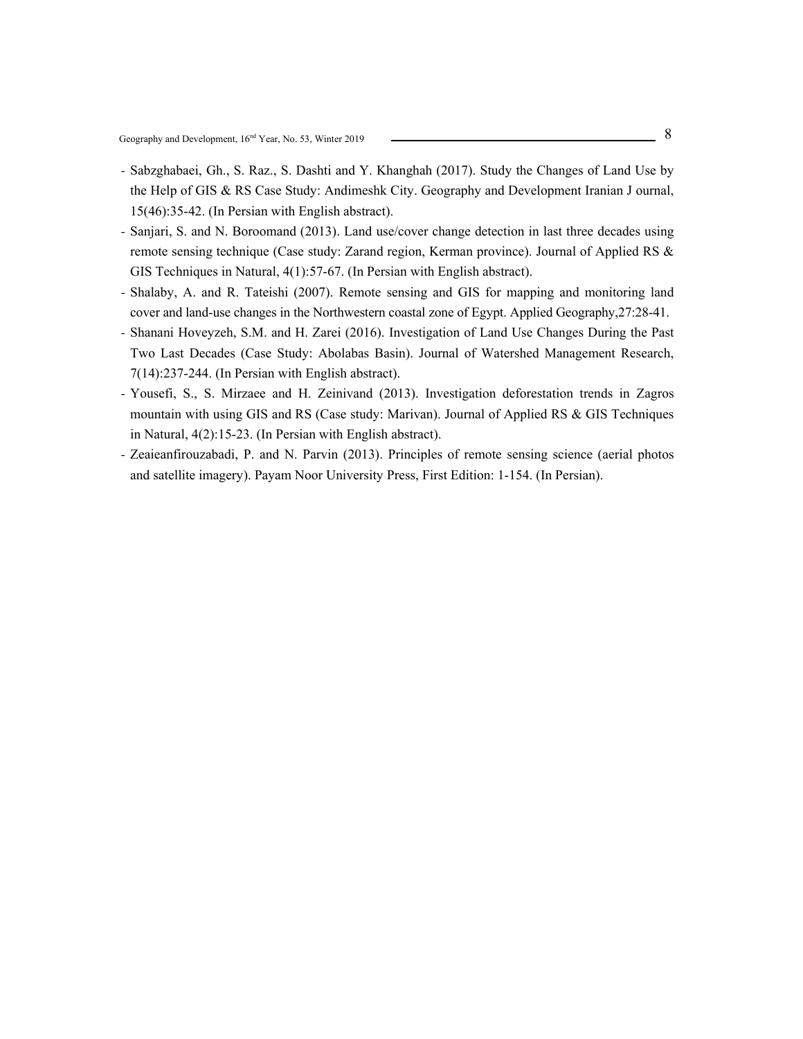- Sabzghabaei, Gh., S. Raz., S. Dashti and Y. Khanghah (2017). Study the Changes of Land Use by the Help of GIS & RS Case Study: Andimeshk City. Geography and Development Iranian J ournal, 15(46):35-42. (In Persian with English abstract).
- Sanjari, S. and N. Boroomand (2013). Land use/cover change detection in last three decades using remote sensing technique (Case study: Zarand region, Kerman province). Journal of Applied RS & GIS Techniques in Natural, 4(1):57-67. (In Persian with English abstract).
- Shalaby, A. and R. Tateishi (2007). Remote sensing and GIS for mapping and monitoring land cover and land-use changes in the Northwestern coastal zone of Egypt. Applied Geography,27:28-41.
- Shanani Hoveyzeh, S.M. and H. Zarei (2016). Investigation of Land Use Changes During the Past Two Last Decades (Case Study: Abolabas Basin). Journal of Watershed Management Research, 7(14):237-244. (In Persian with English abstract).
- Yousefi, S., S. Mirzaee and H. Zeinivand (2013). Investigation deforestation trends in Zagros mountain with using GIS and RS (Case study: Marivan). Journal of Applied RS & GIS Techniques in Natural, 4(2):15-23. (In Persian with English abstract).
- Zeaieanfirouzabadi, P. and N. Parvin (2013). Principles of remote sensing science (aerial photos and satellite imagery). Payam Noor University Press, First Edition: 1-154. (In Persian).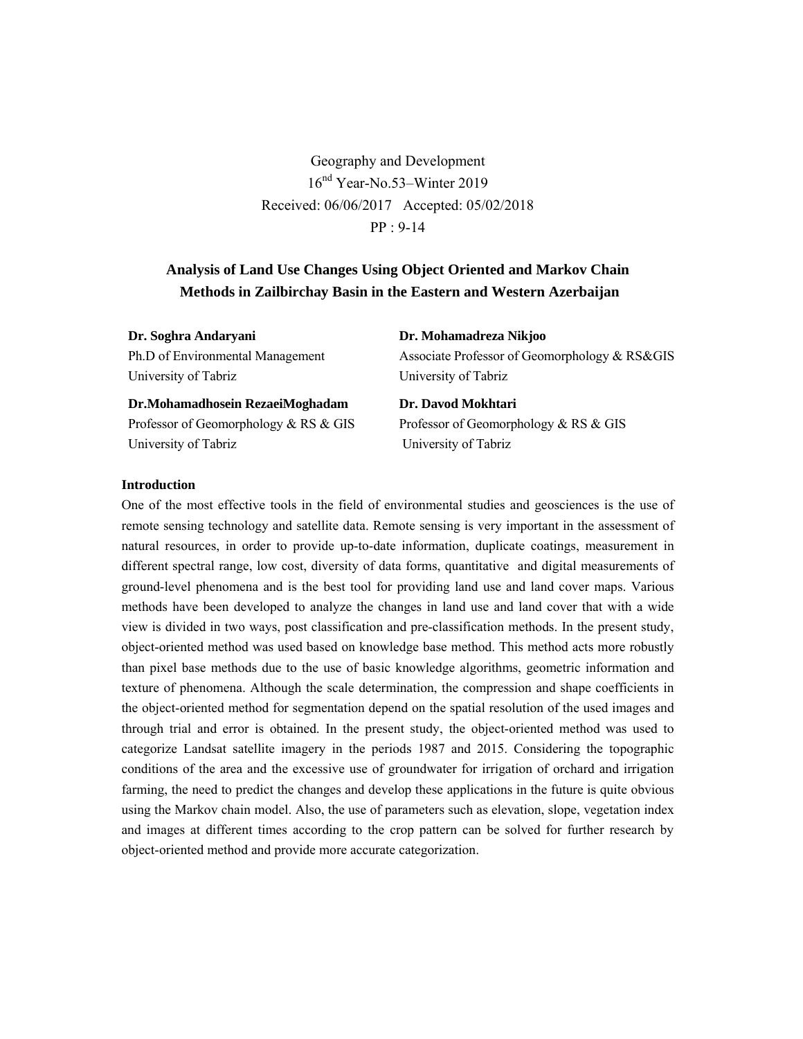Geography and Development 16nd Year-No.53–Winter 2019 Received: 06/06/2017 Accepted: 05/02/2018 PP : 9-14

# **Analysis of Land Use Changes Using Object Oriented and Markov Chain Methods in Zailbirchay Basin in the Eastern and Western Azerbaijan**

| Dr. Soghra Andaryani             | Dr. Mohamadreza Nikjoo                        |  |
|----------------------------------|-----------------------------------------------|--|
| Ph.D of Environmental Management | Associate Professor of Geomorphology & RS&GIS |  |
| University of Tabriz             | University of Tabriz                          |  |
| Dr.Mohamadhosein RezaeiMoghadam  | Dr. Davod Mokhtari                            |  |
|                                  |                                               |  |

Professor of Geomorphology & RS & GIS University of Tabriz

Professor of Geomorphology & RS & GIS University of Tabriz

# **Introduction**

One of the most effective tools in the field of environmental studies and geosciences is the use of remote sensing technology and satellite data. Remote sensing is very important in the assessment of natural resources, in order to provide up-to-date information, duplicate coatings, measurement in different spectral range, low cost, diversity of data forms, quantitative and digital measurements of ground-level phenomena and is the best tool for providing land use and land cover maps. Various methods have been developed to analyze the changes in land use and land cover that with a wide view is divided in two ways, post classification and pre-classification methods. In the present study, object-oriented method was used based on knowledge base method. This method acts more robustly than pixel base methods due to the use of basic knowledge algorithms, geometric information and texture of phenomena. Although the scale determination, the compression and shape coefficients in the object-oriented method for segmentation depend on the spatial resolution of the used images and through trial and error is obtained. In the present study, the object-oriented method was used to categorize Landsat satellite imagery in the periods 1987 and 2015. Considering the topographic conditions of the area and the excessive use of groundwater for irrigation of orchard and irrigation farming, the need to predict the changes and develop these applications in the future is quite obvious using the Markov chain model. Also, the use of parameters such as elevation, slope, vegetation index and images at different times according to the crop pattern can be solved for further research by object-oriented method and provide more accurate categorization.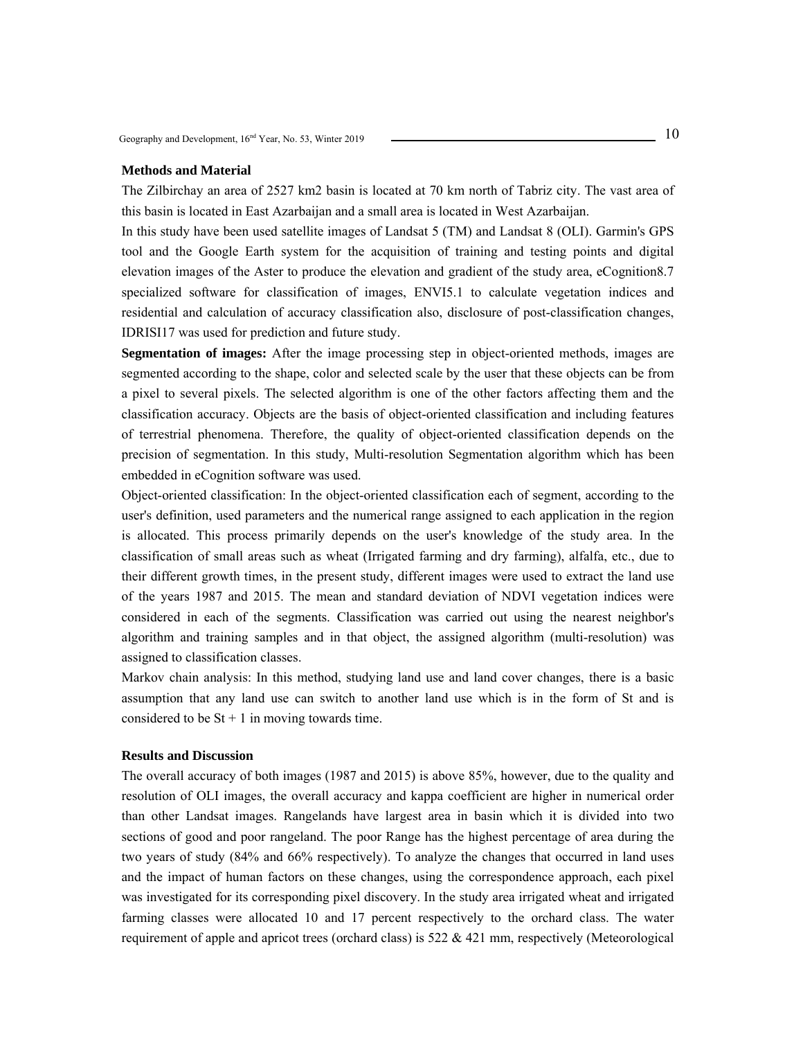### **Methods and Material**

The Zilbirchay an area of 2527 km2 basin is located at 70 km north of Tabriz city. The vast area of this basin is located in East Azarbaijan and a small area is located in West Azarbaijan.

In this study have been used satellite images of Landsat 5 (TM) and Landsat 8 (OLI). Garmin's GPS tool and the Google Earth system for the acquisition of training and testing points and digital elevation images of the Aster to produce the elevation and gradient of the study area, eCognition8.7 specialized software for classification of images, ENVI5.1 to calculate vegetation indices and residential and calculation of accuracy classification also, disclosure of post-classification changes, IDRISI17 was used for prediction and future study.

**Segmentation of images:** After the image processing step in object-oriented methods, images are segmented according to the shape, color and selected scale by the user that these objects can be from a pixel to several pixels. The selected algorithm is one of the other factors affecting them and the classification accuracy. Objects are the basis of object-oriented classification and including features of terrestrial phenomena. Therefore, the quality of object-oriented classification depends on the precision of segmentation. In this study, Multi-resolution Segmentation algorithm which has been embedded in eCognition software was used.

Object-oriented classification: In the object-oriented classification each of segment, according to the user's definition, used parameters and the numerical range assigned to each application in the region is allocated. This process primarily depends on the user's knowledge of the study area. In the classification of small areas such as wheat (Irrigated farming and dry farming), alfalfa, etc., due to their different growth times, in the present study, different images were used to extract the land use of the years 1987 and 2015. The mean and standard deviation of NDVI vegetation indices were considered in each of the segments. Classification was carried out using the nearest neighbor's algorithm and training samples and in that object, the assigned algorithm (multi-resolution) was assigned to classification classes.

Markov chain analysis: In this method, studying land use and land cover changes, there is a basic assumption that any land use can switch to another land use which is in the form of St and is considered to be  $St + 1$  in moving towards time.

### **Results and Discussion**

The overall accuracy of both images (1987 and 2015) is above 85%, however, due to the quality and resolution of OLI images, the overall accuracy and kappa coefficient are higher in numerical order than other Landsat images. Rangelands have largest area in basin which it is divided into two sections of good and poor rangeland. The poor Range has the highest percentage of area during the two years of study (84% and 66% respectively). To analyze the changes that occurred in land uses and the impact of human factors on these changes, using the correspondence approach, each pixel was investigated for its corresponding pixel discovery. In the study area irrigated wheat and irrigated farming classes were allocated 10 and 17 percent respectively to the orchard class. The water requirement of apple and apricot trees (orchard class) is 522 & 421 mm, respectively (Meteorological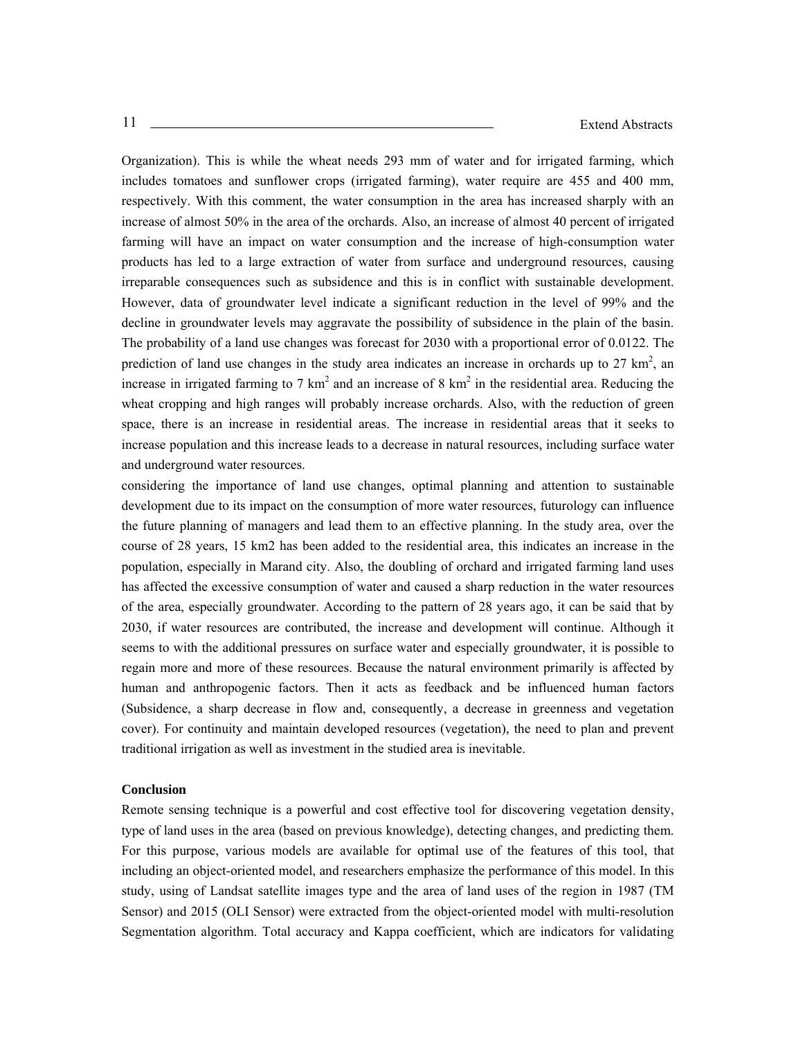Organization). This is while the wheat needs 293 mm of water and for irrigated farming, which includes tomatoes and sunflower crops (irrigated farming), water require are 455 and 400 mm, respectively. With this comment, the water consumption in the area has increased sharply with an increase of almost 50% in the area of the orchards. Also, an increase of almost 40 percent of irrigated farming will have an impact on water consumption and the increase of high-consumption water products has led to a large extraction of water from surface and underground resources, causing irreparable consequences such as subsidence and this is in conflict with sustainable development. However, data of groundwater level indicate a significant reduction in the level of 99% and the decline in groundwater levels may aggravate the possibility of subsidence in the plain of the basin. The probability of a land use changes was forecast for 2030 with a proportional error of 0.0122. The prediction of land use changes in the study area indicates an increase in orchards up to  $27 \text{ km}^2$ , an increase in irrigated farming to 7  $km<sup>2</sup>$  and an increase of 8  $km<sup>2</sup>$  in the residential area. Reducing the wheat cropping and high ranges will probably increase orchards. Also, with the reduction of green space, there is an increase in residential areas. The increase in residential areas that it seeks to increase population and this increase leads to a decrease in natural resources, including surface water and underground water resources.

considering the importance of land use changes, optimal planning and attention to sustainable development due to its impact on the consumption of more water resources, futurology can influence the future planning of managers and lead them to an effective planning. In the study area, over the course of 28 years, 15 km2 has been added to the residential area, this indicates an increase in the population, especially in Marand city. Also, the doubling of orchard and irrigated farming land uses has affected the excessive consumption of water and caused a sharp reduction in the water resources of the area, especially groundwater. According to the pattern of 28 years ago, it can be said that by 2030, if water resources are contributed, the increase and development will continue. Although it seems to with the additional pressures on surface water and especially groundwater, it is possible to regain more and more of these resources. Because the natural environment primarily is affected by human and anthropogenic factors. Then it acts as feedback and be influenced human factors (Subsidence, a sharp decrease in flow and, consequently, a decrease in greenness and vegetation cover). For continuity and maintain developed resources (vegetation), the need to plan and prevent traditional irrigation as well as investment in the studied area is inevitable.

### **Conclusion**

Remote sensing technique is a powerful and cost effective tool for discovering vegetation density, type of land uses in the area (based on previous knowledge), detecting changes, and predicting them. For this purpose, various models are available for optimal use of the features of this tool, that including an object-oriented model, and researchers emphasize the performance of this model. In this study, using of Landsat satellite images type and the area of land uses of the region in 1987 (TM Sensor) and 2015 (OLI Sensor) were extracted from the object-oriented model with multi-resolution Segmentation algorithm. Total accuracy and Kappa coefficient, which are indicators for validating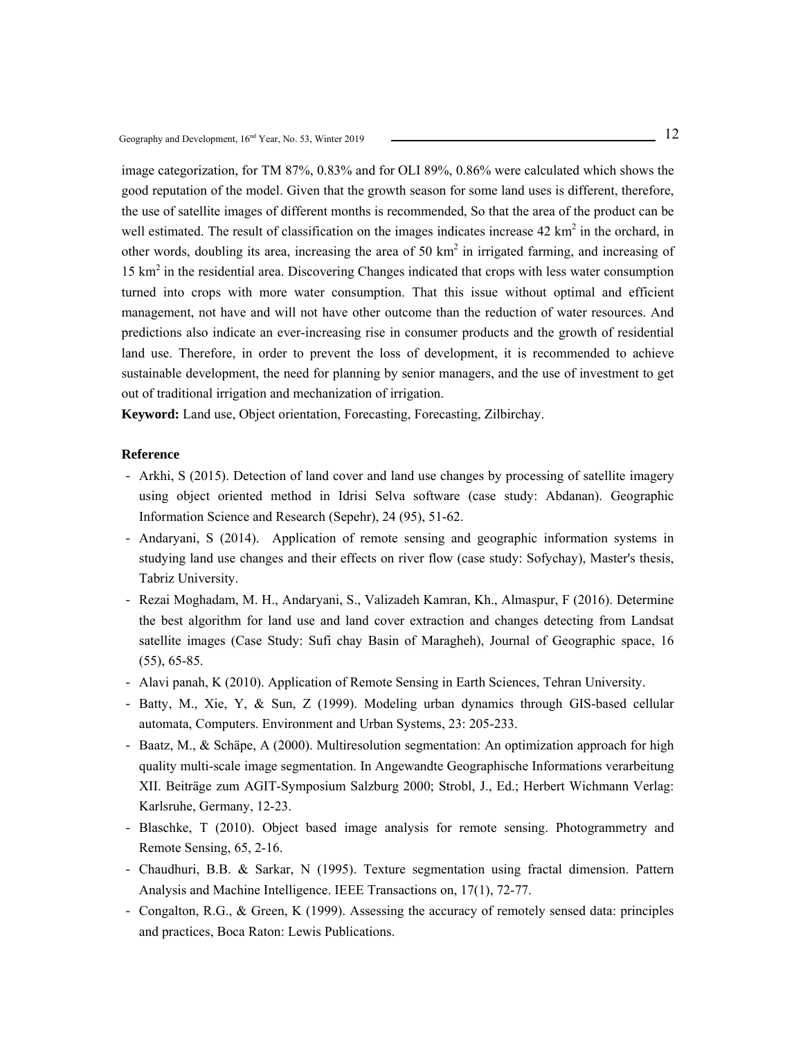image categorization, for TM 87%, 0.83% and for OLI 89%, 0.86% were calculated which shows the good reputation of the model. Given that the growth season for some land uses is different, therefore, the use of satellite images of different months is recommended, So that the area of the product can be well estimated. The result of classification on the images indicates increase  $42 \text{ km}^2$  in the orchard, in other words, doubling its area, increasing the area of 50  $km<sup>2</sup>$  in irrigated farming, and increasing of 15 km<sup>2</sup> in the residential area. Discovering Changes indicated that crops with less water consumption turned into crops with more water consumption. That this issue without optimal and efficient management, not have and will not have other outcome than the reduction of water resources. And predictions also indicate an ever-increasing rise in consumer products and the growth of residential land use. Therefore, in order to prevent the loss of development, it is recommended to achieve sustainable development, the need for planning by senior managers, and the use of investment to get out of traditional irrigation and mechanization of irrigation.

**Keyword:** Land use, Object orientation, Forecasting, Forecasting, Zilbirchay.

- Arkhi, S (2015). Detection of land cover and land use changes by processing of satellite imagery using object oriented method in Idrisi Selva software (case study: Abdanan). Geographic Information Science and Research (Sepehr), 24 (95), 51-62.
- Andaryani, S (2014). Application of remote sensing and geographic information systems in studying land use changes and their effects on river flow (case study: Sofychay), Master's thesis, Tabriz University.
- Rezai Moghadam, M. H., Andaryani, S., Valizadeh Kamran, Kh., Almaspur, F (2016). Determine the best algorithm for land use and land cover extraction and changes detecting from Landsat satellite images (Case Study: Sufi chay Basin of Maragheh), Journal of Geographic space, 16 (55), 65-85.
- Alavi panah, K (2010). Application of Remote Sensing in Earth Sciences, Tehran University.
- Batty, M., Xie, Y, & Sun, Z (1999). Modeling urban dynamics through GIS-based cellular automata, Computers. Environment and Urban Systems, 23: 205-233.
- Baatz, M., & Schäpe, A (2000). Multiresolution segmentation: An optimization approach for high quality multi-scale image segmentation. In Angewandte Geographische Informations verarbeitung XII. Beiträge zum AGIT-Symposium Salzburg 2000; Strobl, J., Ed.; Herbert Wichmann Verlag: Karlsruhe, Germany, 12-23.
- Blaschke, T (2010). Object based image analysis for remote sensing. Photogrammetry and Remote Sensing, 65, 2-16.
- Chaudhuri, B.B. & Sarkar, N (1995). Texture segmentation using fractal dimension. Pattern Analysis and Machine Intelligence. IEEE Transactions on, 17(1), 72-77.
- Congalton, R.G., & Green, K (1999). Assessing the accuracy of remotely sensed data: principles and practices, Boca Raton: Lewis Publications.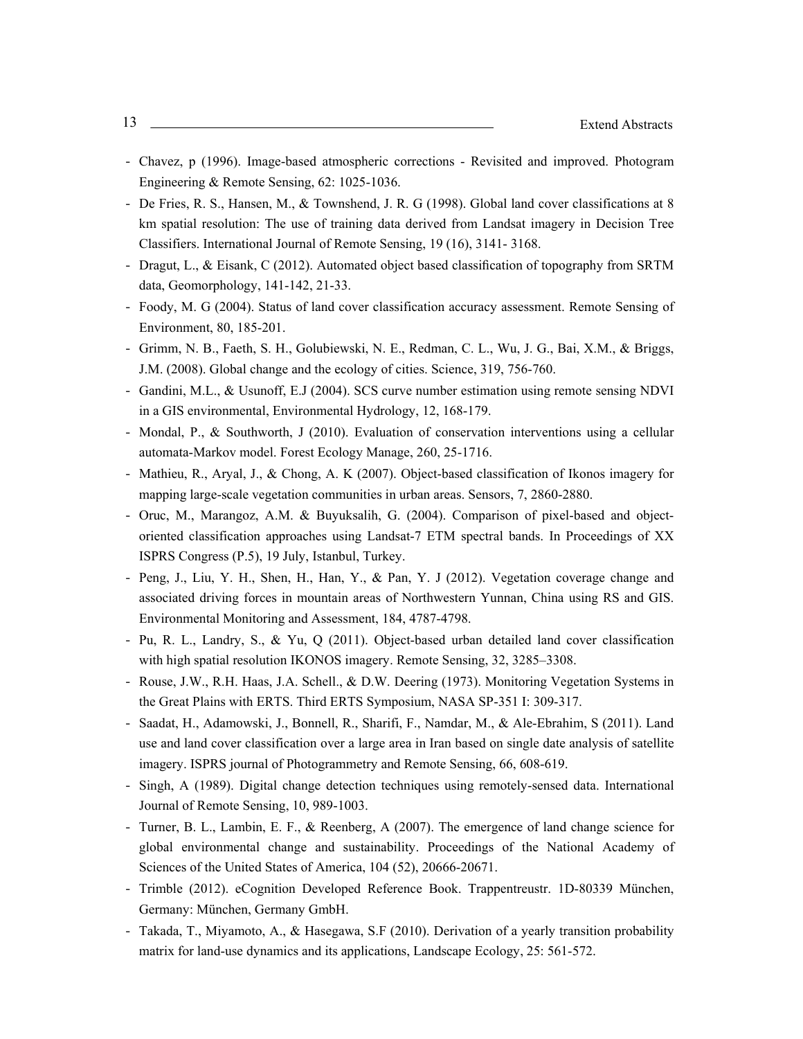- Chavez, p (1996). Image-based atmospheric corrections Revisited and improved. Photogram Engineering & Remote Sensing, 62: 1025-1036.
- De Fries, R. S., Hansen, M., & Townshend, J. R. G (1998). Global land cover classifications at 8 km spatial resolution: The use of training data derived from Landsat imagery in Decision Tree Classifiers. International Journal of Remote Sensing, 19 (16), 3141- 3168.
- Dragut, L., & Eisank, C (2012). Automated object based classification of topography from SRTM data, Geomorphology, 141-142, 21-33.
- Foody, M. G (2004). Status of land cover classification accuracy assessment. Remote Sensing of Environment, 80, 185-201.
- Grimm, N. B., Faeth, S. H., Golubiewski, N. E., Redman, C. L., Wu, J. G., Bai, X.M., & Briggs, J.M. (2008). Global change and the ecology of cities. Science, 319, 756-760.
- Gandini, M.L., & Usunoff, E.J (2004). SCS curve number estimation using remote sensing NDVI in a GIS environmental, Environmental Hydrology, 12, 168-179.
- Mondal, P., & Southworth, J (2010). Evaluation of conservation interventions using a cellular automata-Markov model. Forest Ecology Manage, 260, 25-1716.
- Mathieu, R., Aryal, J., & Chong, A. K (2007). Object-based classification of Ikonos imagery for mapping large-scale vegetation communities in urban areas. Sensors, 7, 2860-2880.
- Oruc, M., Marangoz, A.M. & Buyuksalih, G. (2004). Comparison of pixel-based and objectoriented classification approaches using Landsat-7 ETM spectral bands. In Proceedings of XX ISPRS Congress (P.5), 19 July, Istanbul, Turkey.
- Peng, J., Liu, Y. H., Shen, H., Han, Y., & Pan, Y. J (2012). Vegetation coverage change and associated driving forces in mountain areas of Northwestern Yunnan, China using RS and GIS. Environmental Monitoring and Assessment, 184, 4787-4798.
- Pu, R. L., Landry, S., & Yu, Q (2011). Object-based urban detailed land cover classification with high spatial resolution IKONOS imagery. Remote Sensing, 32, 3285–3308.
- Rouse, J.W., R.H. Haas, J.A. Schell., & D.W. Deering (1973). Monitoring Vegetation Systems in the Great Plains with ERTS. Third ERTS Symposium, NASA SP-351 I: 309-317.
- Saadat, H., Adamowski, J., Bonnell, R., Sharifi, F., Namdar, M., & Ale-Ebrahim, S (2011). Land use and land cover classification over a large area in Iran based on single date analysis of satellite imagery. ISPRS journal of Photogrammetry and Remote Sensing, 66, 608-619.
- Singh, A (1989). Digital change detection techniques using remotely-sensed data. International Journal of Remote Sensing, 10, 989-1003.
- Turner, B. L., Lambin, E. F., & Reenberg, A (2007). The emergence of land change science for global environmental change and sustainability. Proceedings of the National Academy of Sciences of the United States of America, 104 (52), 20666-20671.
- Trimble (2012). eCognition Developed Reference Book. Trappentreustr. 1D-80339 München, Germany: München, Germany GmbH.
- Takada, T., Miyamoto, A., & Hasegawa, S.F (2010). Derivation of a yearly transition probability matrix for land-use dynamics and its applications, Landscape Ecology, 25: 561-572.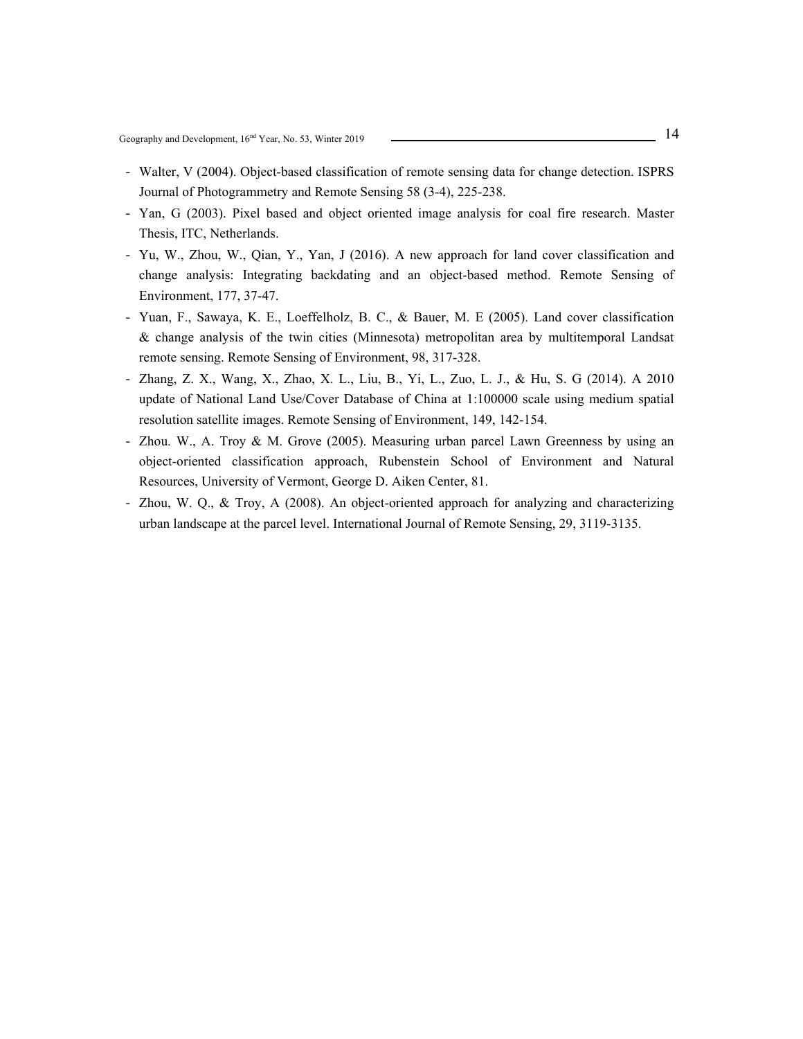- Walter, V (2004). Object-based classification of remote sensing data for change detection. ISPRS Journal of Photogrammetry and Remote Sensing 58 (3-4), 225-238.
- Yan, G (2003). Pixel based and object oriented image analysis for coal fire research. Master Thesis, ITC, Netherlands.
- Yu, W., Zhou, W., Qian, Y., Yan, J (2016). A new approach for land cover classification and change analysis: Integrating backdating and an object-based method. Remote Sensing of Environment, 177, 37-47.
- Yuan, F., Sawaya, K. E., Loeffelholz, B. C., & Bauer, M. E (2005). Land cover classification & change analysis of the twin cities (Minnesota) metropolitan area by multitemporal Landsat remote sensing. Remote Sensing of Environment, 98, 317-328.
- Zhang, Z. X., Wang, X., Zhao, X. L., Liu, B., Yi, L., Zuo, L. J., & Hu, S. G (2014). A 2010 update of National Land Use/Cover Database of China at 1:100000 scale using medium spatial resolution satellite images. Remote Sensing of Environment, 149, 142-154.
- Zhou. W., A. Troy & M. Grove (2005). Measuring urban parcel Lawn Greenness by using an object-oriented classification approach, Rubenstein School of Environment and Natural Resources, University of Vermont, George D. Aiken Center, 81.
- Zhou, W. Q., & Troy, A (2008). An object-oriented approach for analyzing and characterizing urban landscape at the parcel level. International Journal of Remote Sensing, 29, 3119-3135.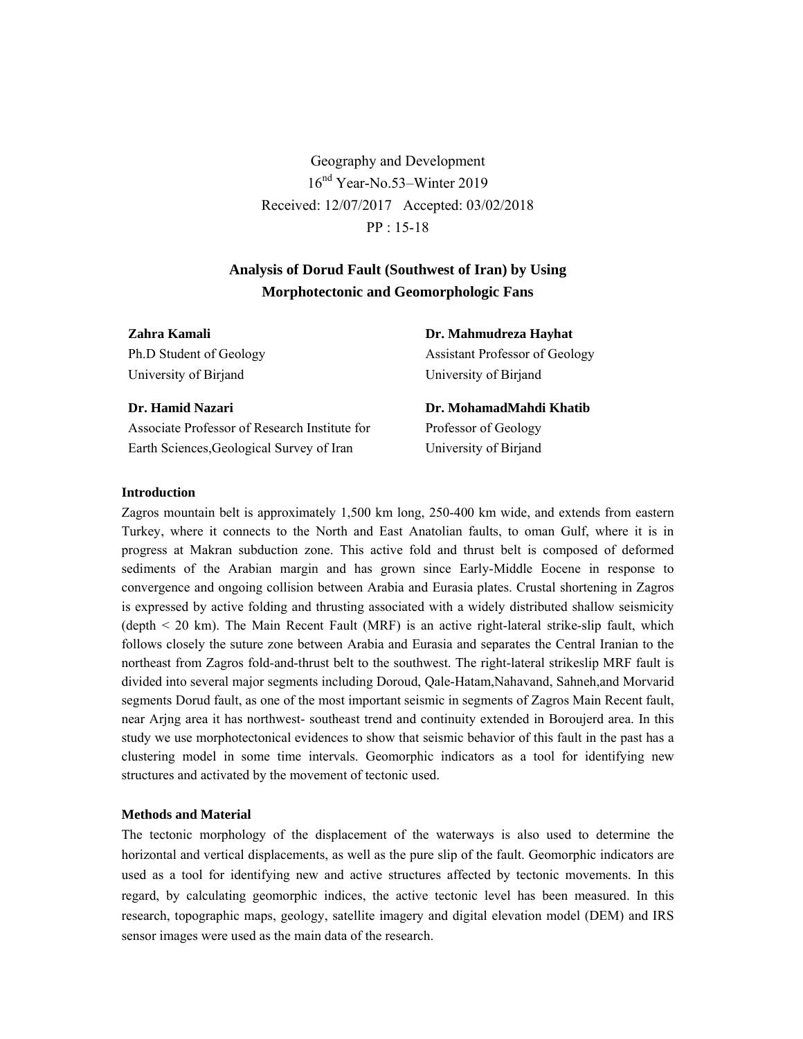Geography and Development 16nd Year-No.53–Winter 2019 Received: 12/07/2017 Accepted: 03/02/2018 PP : 15-18

# **Analysis of Dorud Fault (Southwest of Iran) by Using Morphotectonic and Geomorphologic Fans**

# **Zahra Kamali**

Ph.D Student of Geology University of Birjand

# **Dr. Mahmudreza Hayhat**

Assistant Professor of Geology University of Birjand

### **Dr. Hamid Nazari**

Associate Professor of Research Institute for Earth Sciences,Geological Survey of Iran

**Dr. MohamadMahdi Khatib**  Professor of Geology University of Birjand

### **Introduction**

Zagros mountain belt is approximately 1,500 km long, 250-400 km wide, and extends from eastern Turkey, where it connects to the North and East Anatolian faults, to oman Gulf, where it is in progress at Makran subduction zone. This active fold and thrust belt is composed of deformed sediments of the Arabian margin and has grown since Early-Middle Eocene in response to convergence and ongoing collision between Arabia and Eurasia plates. Crustal shortening in Zagros is expressed by active folding and thrusting associated with a widely distributed shallow seismicity (depth < 20 km). The Main Recent Fault (MRF) is an active right-lateral strike-slip fault, which follows closely the suture zone between Arabia and Eurasia and separates the Central Iranian to the northeast from Zagros fold-and-thrust belt to the southwest. The right-lateral strikeslip MRF fault is divided into several major segments including Doroud, Qale-Hatam,Nahavand, Sahneh,and Morvarid segments Dorud fault, as one of the most important seismic in segments of Zagros Main Recent fault, near Arjng area it has northwest- southeast trend and continuity extended in Boroujerd area. In this study we use morphotectonical evidences to show that seismic behavior of this fault in the past has a clustering model in some time intervals. Geomorphic indicators as a tool for identifying new structures and activated by the movement of tectonic used.

### **Methods and Material**

The tectonic morphology of the displacement of the waterways is also used to determine the horizontal and vertical displacements, as well as the pure slip of the fault. Geomorphic indicators are used as a tool for identifying new and active structures affected by tectonic movements. In this regard, by calculating geomorphic indices, the active tectonic level has been measured. In this research, topographic maps, geology, satellite imagery and digital elevation model (DEM) and IRS sensor images were used as the main data of the research.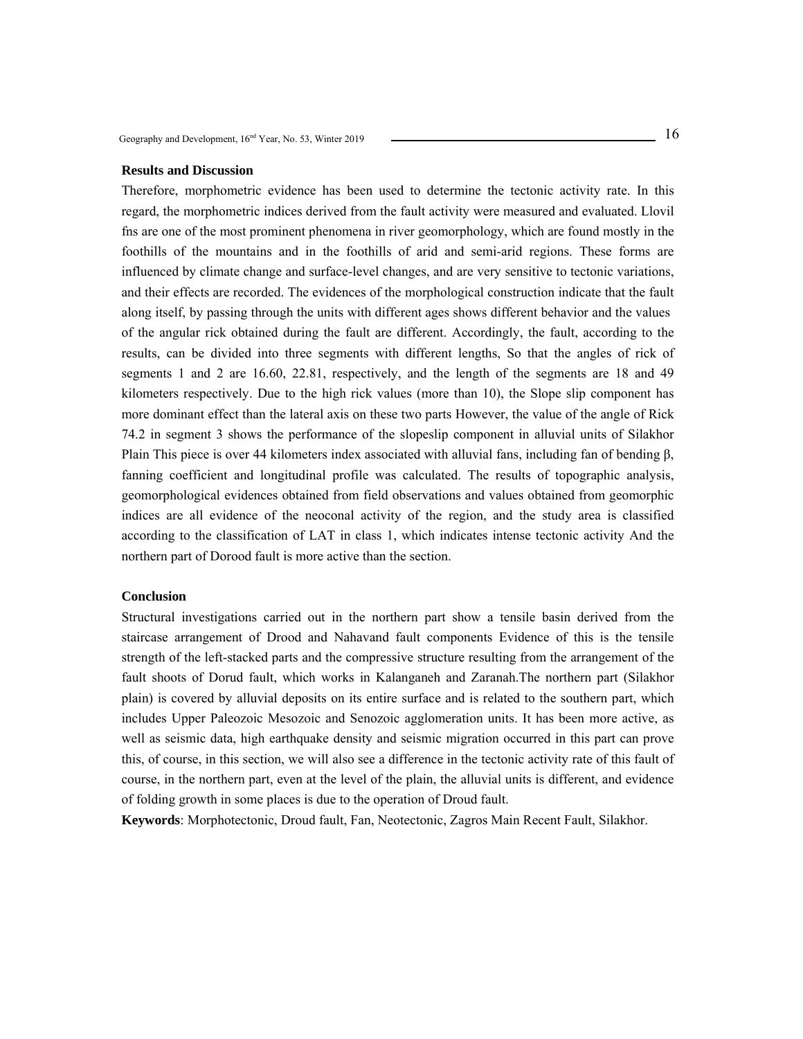#### **Results and Discussion**

Therefore, morphometric evidence has been used to determine the tectonic activity rate. In this regard, the morphometric indices derived from the fault activity were measured and evaluated. Llovil fns are one of the most prominent phenomena in river geomorphology, which are found mostly in the foothills of the mountains and in the foothills of arid and semi-arid regions. These forms are influenced by climate change and surface-level changes, and are very sensitive to tectonic variations, and their effects are recorded. The evidences of the morphological construction indicate that the fault along itself, by passing through the units with different ages shows different behavior and the values of the angular rick obtained during the fault are different. Accordingly, the fault, according to the results, can be divided into three segments with different lengths, So that the angles of rick of segments 1 and 2 are 16.60, 22.81, respectively, and the length of the segments are 18 and 49 kilometers respectively. Due to the high rick values (more than 10), the Slope slip component has more dominant effect than the lateral axis on these two parts However, the value of the angle of Rick 74.2 in segment 3 shows the performance of the slopeslip component in alluvial units of Silakhor Plain This piece is over 44 kilometers index associated with alluvial fans, including fan of bending β, fanning coefficient and longitudinal profile was calculated. The results of topographic analysis, geomorphological evidences obtained from field observations and values obtained from geomorphic indices are all evidence of the neoconal activity of the region, and the study area is classified according to the classification of LAT in class 1, which indicates intense tectonic activity And the northern part of Dorood fault is more active than the section.

### **Conclusion**

Structural investigations carried out in the northern part show a tensile basin derived from the staircase arrangement of Drood and Nahavand fault components Evidence of this is the tensile strength of the left-stacked parts and the compressive structure resulting from the arrangement of the fault shoots of Dorud fault, which works in Kalanganeh and Zaranah.The northern part (Silakhor plain) is covered by alluvial deposits on its entire surface and is related to the southern part, which includes Upper Paleozoic Mesozoic and Senozoic agglomeration units. It has been more active, as well as seismic data, high earthquake density and seismic migration occurred in this part can prove this, of course, in this section, we will also see a difference in the tectonic activity rate of this fault of course, in the northern part, even at the level of the plain, the alluvial units is different, and evidence of folding growth in some places is due to the operation of Droud fault.

**Keywords**: Morphotectonic, Droud fault, Fan, Neotectonic, Zagros Main Recent Fault, Silakhor.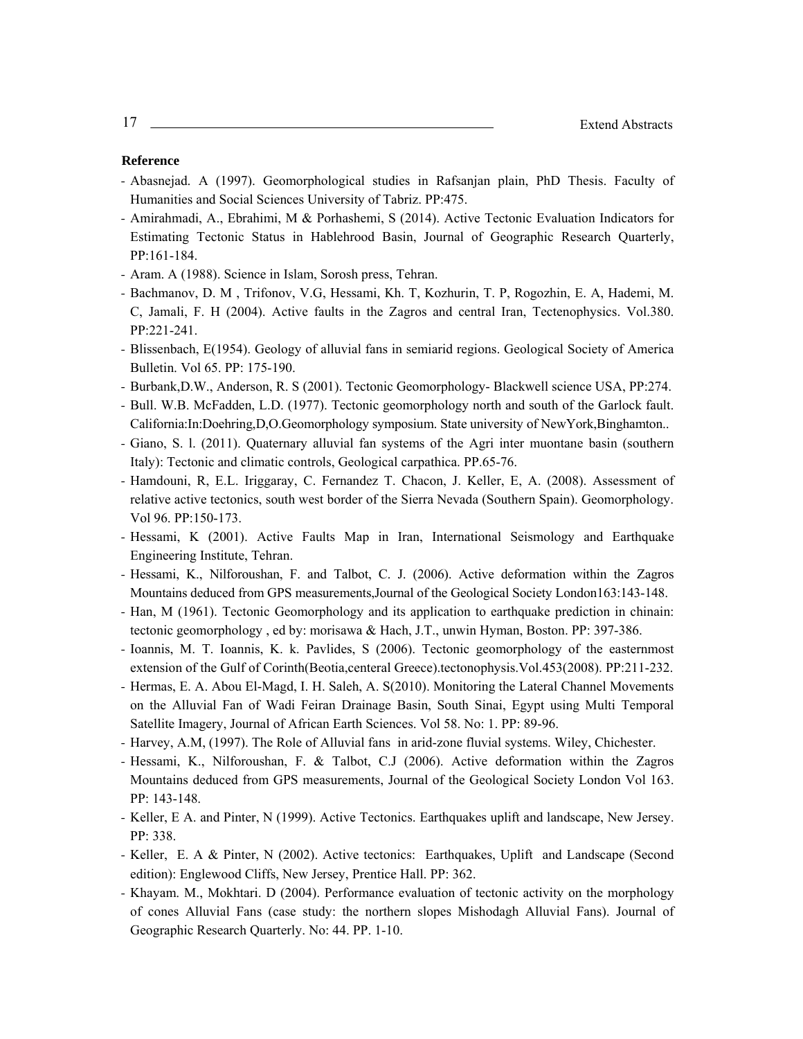- Abasnejad. A (1997). Geomorphological studies in Rafsanjan plain, PhD Thesis. Faculty of Humanities and Social Sciences University of Tabriz. PP:475.
- Amirahmadi, A., Ebrahimi, M & Porhashemi, S (2014). Active Tectonic Evaluation Indicators for Estimating Tectonic Status in Hablehrood Basin, Journal of Geographic Research Quarterly, PP:161-184.
- Aram. A (1988). Science in Islam, Sorosh press, Tehran.
- Bachmanov, D. M , Trifonov, V.G, Hessami, Kh. T, Kozhurin, T. P, Rogozhin, E. A, Hademi, M. C, Jamali, F. H (2004). Active faults in the Zagros and central Iran, Tectenophysics. Vol.380. PP:221-241.
- Blissenbach, E(1954). Geology of alluvial fans in semiarid regions. Geological Society of America Bulletin. Vol 65. PP: 175-190.
- Burbank,D.W., Anderson, R. S (2001). Tectonic Geomorphology- Blackwell science USA, PP:274.
- Bull. W.B. McFadden, L.D. (1977). Tectonic geomorphology north and south of the Garlock fault. California:In:Doehring,D,O.Geomorphology symposium. State university of NewYork,Binghamton..
- Giano, S. l. (2011). Quaternary alluvial fan systems of the Agri inter muontane basin (southern Italy): Tectonic and climatic controls, Geological carpathica. PP.65-76.
- Hamdouni, R, E.L. Iriggaray, C. Fernandez T. Chacon, J. Keller, E, A. (2008). Assessment of relative active tectonics, south west border of the Sierra Nevada (Southern Spain). Geomorphology. Vol 96. PP:150-173.
- Hessami, K (2001). Active Faults Map in Iran, International Seismology and Earthquake Engineering Institute, Tehran.
- Hessami, K., Nilforoushan, F. and Talbot, C. J. (2006). Active deformation within the Zagros Mountains deduced from GPS measurements,Journal of the Geological Society London163:143-148.
- Han, M (1961). Tectonic Geomorphology and its application to earthquake prediction in chinain: tectonic geomorphology , ed by: morisawa & Hach, J.T., unwin Hyman, Boston. PP: 397-386.
- Ioannis, M. T. Ioannis, K. k. Pavlides, S (2006). Tectonic geomorphology of the easternmost extension of the Gulf of Corinth(Beotia,centeral Greece).tectonophysis.Vol.453(2008). PP:211-232.
- Hermas, E. A. Abou El-Magd, I. H. Saleh, A. S(2010). Monitoring the Lateral Channel Movements on the Alluvial Fan of Wadi Feiran Drainage Basin, South Sinai, Egypt using Multi Temporal Satellite Imagery, Journal of African Earth Sciences. Vol 58. No: 1. PP: 89-96.
- Harvey, A.M, (1997). The Role of Alluvial fans in arid-zone fluvial systems. Wiley, Chichester.
- Hessami, K., Nilforoushan, F. & Talbot, C.J (2006). Active deformation within the Zagros Mountains deduced from GPS measurements, Journal of the Geological Society London Vol 163. PP: 143-148.
- Keller, E A. and Pinter, N (1999). Active Tectonics. Earthquakes uplift and landscape, New Jersey. PP: 338.
- Keller, E. A & Pinter, N (2002). Active tectonics: Earthquakes, Uplift and Landscape (Second edition): Englewood Cliffs, New Jersey, Prentice Hall. PP: 362.
- Khayam. M., Mokhtari. D (2004). Performance evaluation of tectonic activity on the morphology of cones Alluvial Fans (case study: the northern slopes Mishodagh Alluvial Fans). Journal of Geographic Research Quarterly. No: 44. PP. 1-10.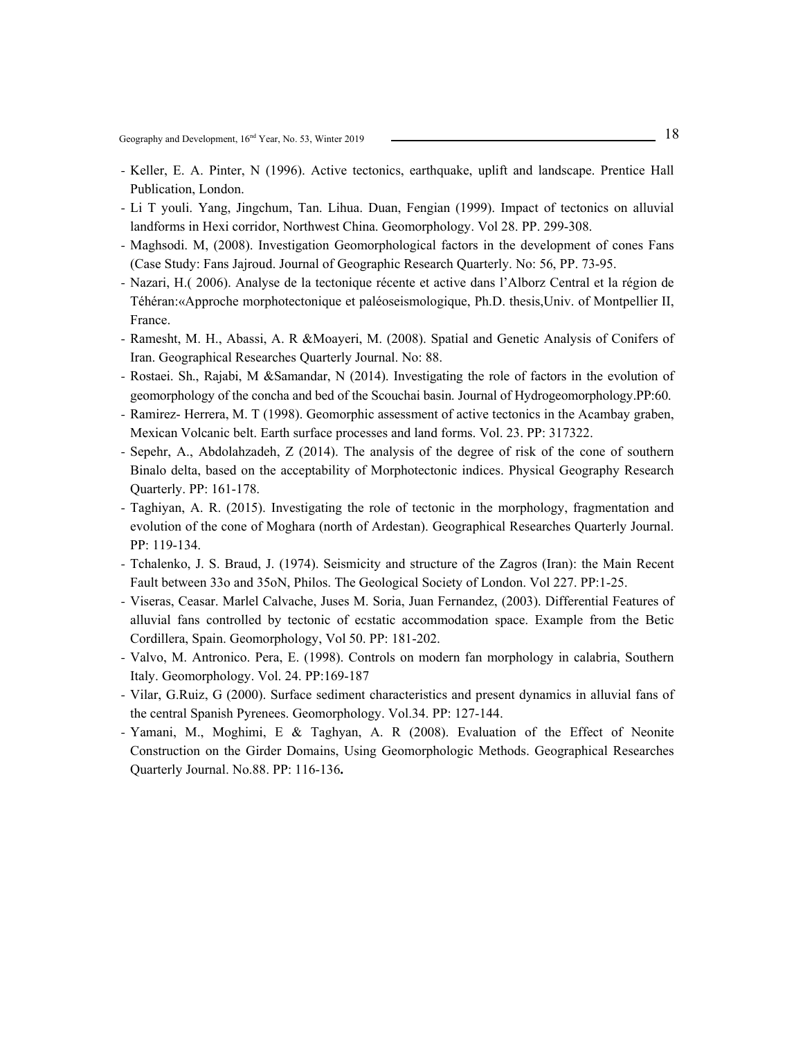- Keller, E. A. Pinter, N (1996). Active tectonics, earthquake, uplift and landscape. Prentice Hall Publication, London.
- Li T youli. Yang, Jingchum, Tan. Lihua. Duan, Fengian (1999). Impact of tectonics on alluvial landforms in Hexi corridor, Northwest China. Geomorphology. Vol 28. PP. 299-308.
- Maghsodi. M, (2008). Investigation Geomorphological factors in the development of cones Fans (Case Study: Fans Jajroud. Journal of Geographic Research Quarterly. No: 56, PP. 73-95.
- Nazari, H.( 2006). Analyse de la tectonique récente et active dans l'Alborz Central et la région de Téhéran:«Approche morphotectonique et paléoseismologique, Ph.D. thesis,Univ. of Montpellier II, France.
- Ramesht, M. H., Abassi, A. R &Moayeri, M. (2008). Spatial and Genetic Analysis of Conifers of Iran. Geographical Researches Quarterly Journal. No: 88.
- Rostaei. Sh., Rajabi, M &Samandar, N (2014). Investigating the role of factors in the evolution of geomorphology of the concha and bed of the Scouchai basin. Journal of Hydrogeomorphology.PP:60.
- Ramirez- Herrera, M. T (1998). Geomorphic assessment of active tectonics in the Acambay graben, Mexican Volcanic belt. Earth surface processes and land forms. Vol. 23. PP: 317322.
- Sepehr, A., Abdolahzadeh, Z (2014). The analysis of the degree of risk of the cone of southern Binalo delta, based on the acceptability of Morphotectonic indices. Physical Geography Research Quarterly. PP: 161-178.
- Taghiyan, A. R. (2015). Investigating the role of tectonic in the morphology, fragmentation and evolution of the cone of Moghara (north of Ardestan). Geographical Researches Quarterly Journal. PP: 119-134.
- Tchalenko, J. S. Braud, J. (1974). Seismicity and structure of the Zagros (Iran): the Main Recent Fault between 33o and 35oN, Philos. The Geological Society of London. Vol 227. PP:1-25.
- Viseras, Ceasar. Marlel Calvache, Juses M. Soria, Juan Fernandez, (2003). Differential Features of alluvial fans controlled by tectonic of ecstatic accommodation space. Example from the Betic Cordillera, Spain. Geomorphology, Vol 50. PP: 181-202.
- Valvo, M. Antronico. Pera, E. (1998). Controls on modern fan morphology in calabria, Southern Italy. Geomorphology. Vol. 24. PP:169-187
- Vilar, G.Ruiz, G (2000). Surface sediment characteristics and present dynamics in alluvial fans of the central Spanish Pyrenees. Geomorphology. Vol.34. PP: 127-144.
- Yamani, M., Moghimi, E & Taghyan, A. R (2008). Evaluation of the Effect of Neonite Construction on the Girder Domains, Using Geomorphologic Methods. Geographical Researches Quarterly Journal. No.88. PP: 116-136**.**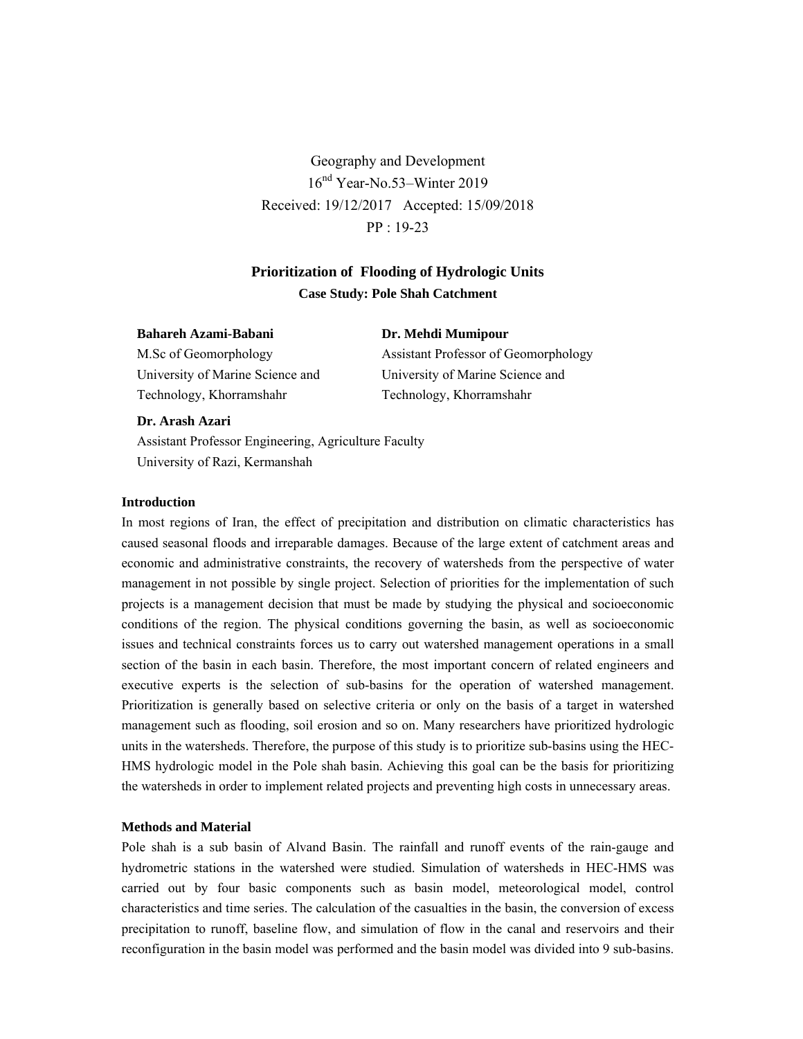Geography and Development 16nd Year-No.53–Winter 2019 Received: 19/12/2017 Accepted: 15/09/2018 PP : 19-23

# **Prioritization of Flooding of Hydrologic Units Case Study: Pole Shah Catchment**

### **Bahareh Azami-Babani**

M.Sc of Geomorphology University of Marine Science and Technology, Khorramshahr

Assistant Professor of Geomorphology University of Marine Science and Technology, Khorramshahr

**Dr. Mehdi Mumipour** 

### **Dr. Arash Azari**

Assistant Professor Engineering, Agriculture Faculty University of Razi, Kermanshah

### **Introduction**

In most regions of Iran, the effect of precipitation and distribution on climatic characteristics has caused seasonal floods and irreparable damages. Because of the large extent of catchment areas and economic and administrative constraints, the recovery of watersheds from the perspective of water management in not possible by single project. Selection of priorities for the implementation of such projects is a management decision that must be made by studying the physical and socioeconomic conditions of the region. The physical conditions governing the basin, as well as socioeconomic issues and technical constraints forces us to carry out watershed management operations in a small section of the basin in each basin. Therefore, the most important concern of related engineers and executive experts is the selection of sub-basins for the operation of watershed management. Prioritization is generally based on selective criteria or only on the basis of a target in watershed management such as flooding, soil erosion and so on. Many researchers have prioritized hydrologic units in the watersheds. Therefore, the purpose of this study is to prioritize sub-basins using the HEC-HMS hydrologic model in the Pole shah basin. Achieving this goal can be the basis for prioritizing the watersheds in order to implement related projects and preventing high costs in unnecessary areas.

### **Methods and Material**

Pole shah is a sub basin of Alvand Basin. The rainfall and runoff events of the rain-gauge and hydrometric stations in the watershed were studied. Simulation of watersheds in HEC-HMS was carried out by four basic components such as basin model, meteorological model, control characteristics and time series. The calculation of the casualties in the basin, the conversion of excess precipitation to runoff, baseline flow, and simulation of flow in the canal and reservoirs and their reconfiguration in the basin model was performed and the basin model was divided into 9 sub-basins.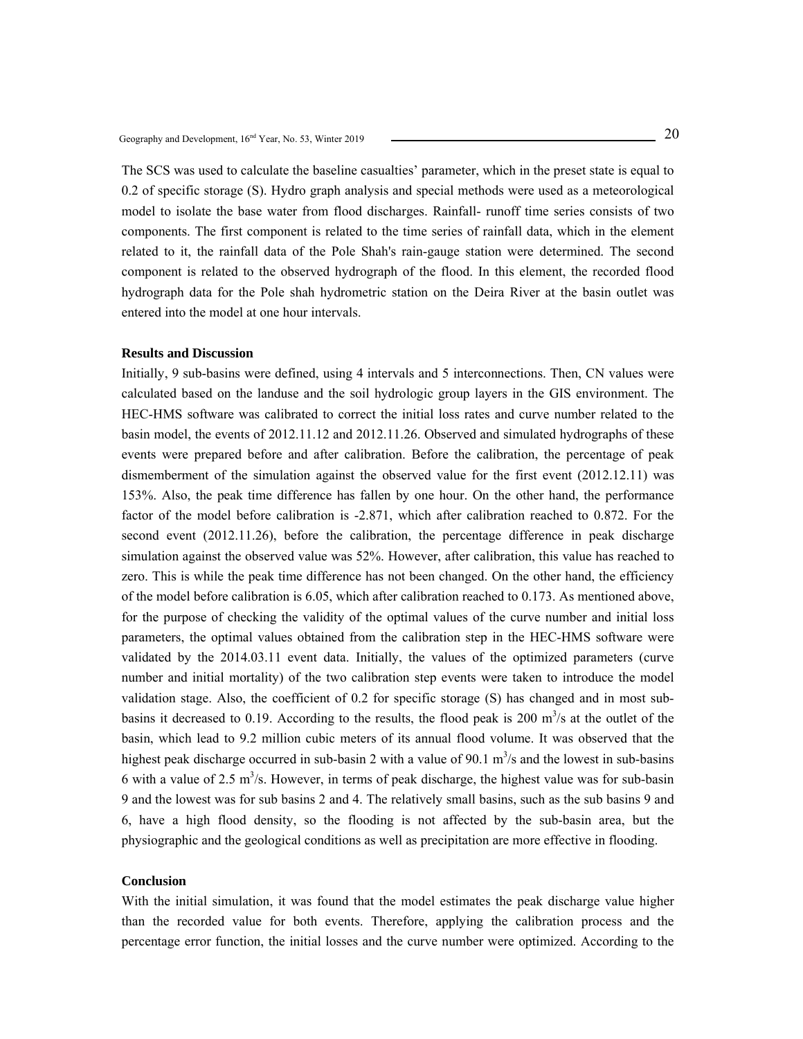The SCS was used to calculate the baseline casualties' parameter, which in the preset state is equal to 0.2 of specific storage (S). Hydro graph analysis and special methods were used as a meteorological model to isolate the base water from flood discharges. Rainfall- runoff time series consists of two components. The first component is related to the time series of rainfall data, which in the element related to it, the rainfall data of the Pole Shah's rain-gauge station were determined. The second component is related to the observed hydrograph of the flood. In this element, the recorded flood hydrograph data for the Pole shah hydrometric station on the Deira River at the basin outlet was entered into the model at one hour intervals.

### **Results and Discussion**

Initially, 9 sub-basins were defined, using 4 intervals and 5 interconnections. Then, CN values were calculated based on the landuse and the soil hydrologic group layers in the GIS environment. The HEC-HMS software was calibrated to correct the initial loss rates and curve number related to the basin model, the events of 2012.11.12 and 2012.11.26. Observed and simulated hydrographs of these events were prepared before and after calibration. Before the calibration, the percentage of peak dismemberment of the simulation against the observed value for the first event (2012.12.11) was 153%. Also, the peak time difference has fallen by one hour. On the other hand, the performance factor of the model before calibration is -2.871, which after calibration reached to 0.872. For the second event (2012.11.26), before the calibration, the percentage difference in peak discharge simulation against the observed value was 52%. However, after calibration, this value has reached to zero. This is while the peak time difference has not been changed. On the other hand, the efficiency of the model before calibration is 6.05, which after calibration reached to 0.173. As mentioned above, for the purpose of checking the validity of the optimal values of the curve number and initial loss parameters, the optimal values obtained from the calibration step in the HEC-HMS software were validated by the 2014.03.11 event data. Initially, the values of the optimized parameters (curve number and initial mortality) of the two calibration step events were taken to introduce the model validation stage. Also, the coefficient of 0.2 for specific storage (S) has changed and in most subbasins it decreased to 0.19. According to the results, the flood peak is  $200 \text{ m}^3/\text{s}$  at the outlet of the basin, which lead to 9.2 million cubic meters of its annual flood volume. It was observed that the highest peak discharge occurred in sub-basin 2 with a value of 90.1  $m<sup>3</sup>/s$  and the lowest in sub-basins 6 with a value of 2.5  $\text{m}^3$ /s. However, in terms of peak discharge, the highest value was for sub-basin 9 and the lowest was for sub basins 2 and 4. The relatively small basins, such as the sub basins 9 and 6, have a high flood density, so the flooding is not affected by the sub-basin area, but the physiographic and the geological conditions as well as precipitation are more effective in flooding.

# **Conclusion**

With the initial simulation, it was found that the model estimates the peak discharge value higher than the recorded value for both events. Therefore, applying the calibration process and the percentage error function, the initial losses and the curve number were optimized. According to the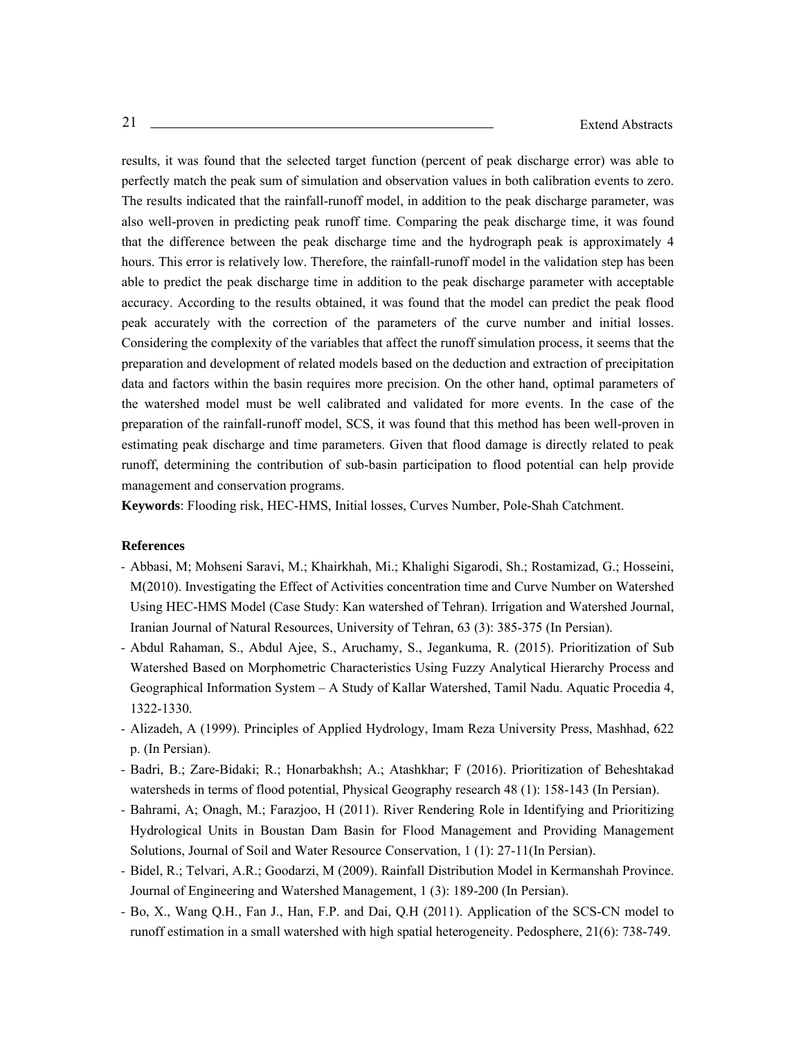results, it was found that the selected target function (percent of peak discharge error) was able to perfectly match the peak sum of simulation and observation values in both calibration events to zero. The results indicated that the rainfall-runoff model, in addition to the peak discharge parameter, was also well-proven in predicting peak runoff time. Comparing the peak discharge time, it was found that the difference between the peak discharge time and the hydrograph peak is approximately 4 hours. This error is relatively low. Therefore, the rainfall-runoff model in the validation step has been able to predict the peak discharge time in addition to the peak discharge parameter with acceptable accuracy. According to the results obtained, it was found that the model can predict the peak flood peak accurately with the correction of the parameters of the curve number and initial losses. Considering the complexity of the variables that affect the runoff simulation process, it seems that the preparation and development of related models based on the deduction and extraction of precipitation data and factors within the basin requires more precision. On the other hand, optimal parameters of the watershed model must be well calibrated and validated for more events. In the case of the preparation of the rainfall-runoff model, SCS, it was found that this method has been well-proven in estimating peak discharge and time parameters. Given that flood damage is directly related to peak runoff, determining the contribution of sub-basin participation to flood potential can help provide management and conservation programs.

**Keywords**: Flooding risk, HEC-HMS, Initial losses, Curves Number, Pole-Shah Catchment.

- Abbasi, M; Mohseni Saravi, M.; Khairkhah, Mi.; Khalighi Sigarodi, Sh.; Rostamizad, G.; Hosseini, M(2010). Investigating the Effect of Activities concentration time and Curve Number on Watershed Using HEC-HMS Model (Case Study: Kan watershed of Tehran). Irrigation and Watershed Journal, Iranian Journal of Natural Resources, University of Tehran, 63 (3): 385-375 (In Persian).
- Abdul Rahaman, S., Abdul Ajee, S., Aruchamy, S., Jegankuma, R. (2015). Prioritization of Sub Watershed Based on Morphometric Characteristics Using Fuzzy Analytical Hierarchy Process and Geographical Information System – A Study of Kallar Watershed, Tamil Nadu. Aquatic Procedia 4, 1322-1330.
- Alizadeh, A (1999). Principles of Applied Hydrology, Imam Reza University Press, Mashhad, 622 p. (In Persian).
- Badri, B.; Zare-Bidaki; R.; Honarbakhsh; A.; Atashkhar; F (2016). Prioritization of Beheshtakad watersheds in terms of flood potential, Physical Geography research 48 (1): 158-143 (In Persian).
- Bahrami, A; Onagh, M.; Farazjoo, H (2011). River Rendering Role in Identifying and Prioritizing Hydrological Units in Boustan Dam Basin for Flood Management and Providing Management Solutions, Journal of Soil and Water Resource Conservation, 1 (1): 27-11(In Persian).
- Bidel, R.; Telvari, A.R.; Goodarzi, M (2009). Rainfall Distribution Model in Kermanshah Province. Journal of Engineering and Watershed Management, 1 (3): 189-200 (In Persian).
- Bo, X., Wang Q.H., Fan J., Han, F.P. and Dai, Q.H (2011). Application of the SCS-CN model to runoff estimation in a small watershed with high spatial heterogeneity. Pedosphere, 21(6): 738-749.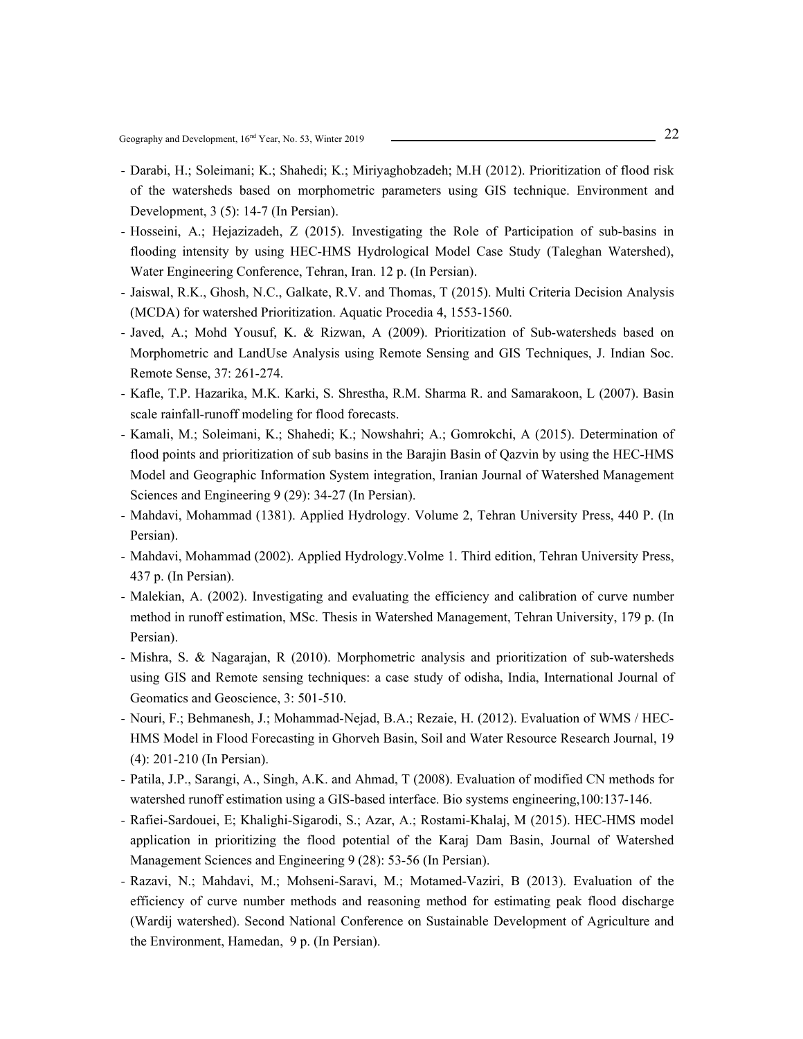- Darabi, H.; Soleimani; K.; Shahedi; K.; Miriyaghobzadeh; M.H (2012). Prioritization of flood risk of the watersheds based on morphometric parameters using GIS technique. Environment and Development, 3 (5): 14-7 (In Persian).
- Hosseini, A.; Hejazizadeh, Z (2015). Investigating the Role of Participation of sub-basins in flooding intensity by using HEC-HMS Hydrological Model Case Study (Taleghan Watershed), Water Engineering Conference, Tehran, Iran. 12 p. (In Persian).
- Jaiswal, R.K., Ghosh, N.C., Galkate, R.V. and Thomas, T (2015). Multi Criteria Decision Analysis (MCDA) for watershed Prioritization. Aquatic Procedia 4, 1553-1560.
- Javed, A.; Mohd Yousuf, K. & Rizwan, A (2009). Prioritization of Sub-watersheds based on Morphometric and LandUse Analysis using Remote Sensing and GIS Techniques, J. Indian Soc. Remote Sense, 37: 261-274.
- Kafle, T.P. Hazarika, M.K. Karki, S. Shrestha, R.M. Sharma R. and Samarakoon, L (2007). Basin scale rainfall-runoff modeling for flood forecasts.
- Kamali, M.; Soleimani, K.; Shahedi; K.; Nowshahri; A.; Gomrokchi, A (2015). Determination of flood points and prioritization of sub basins in the Barajin Basin of Qazvin by using the HEC-HMS Model and Geographic Information System integration, Iranian Journal of Watershed Management Sciences and Engineering 9 (29): 34-27 (In Persian).
- Mahdavi, Mohammad (1381). Applied Hydrology. Volume 2, Tehran University Press, 440 P. (In Persian).
- Mahdavi, Mohammad (2002). Applied Hydrology.Volme 1. Third edition, Tehran University Press, 437 p. (In Persian).
- Malekian, A. (2002). Investigating and evaluating the efficiency and calibration of curve number method in runoff estimation, MSc. Thesis in Watershed Management, Tehran University, 179 p. (In Persian).
- Mishra, S. & Nagarajan, R (2010). Morphometric analysis and prioritization of sub-watersheds using GIS and Remote sensing techniques: a case study of odisha, India, International Journal of Geomatics and Geoscience, 3: 501-510.
- Nouri, F.; Behmanesh, J.; Mohammad-Nejad, B.A.; Rezaie, H. (2012). Evaluation of WMS / HEC-HMS Model in Flood Forecasting in Ghorveh Basin, Soil and Water Resource Research Journal, 19 (4): 201-210 (In Persian).
- Patila, J.P., Sarangi, A., Singh, A.K. and Ahmad, T (2008). Evaluation of modified CN methods for watershed runoff estimation using a GIS-based interface. Bio systems engineering,100:137-146.
- Rafiei-Sardouei, E; Khalighi-Sigarodi, S.; Azar, A.; Rostami-Khalaj, M (2015). HEC-HMS model application in prioritizing the flood potential of the Karaj Dam Basin, Journal of Watershed Management Sciences and Engineering 9 (28): 53-56 (In Persian).
- Razavi, N.; Mahdavi, M.; Mohseni-Saravi, M.; Motamed-Vaziri, B (2013). Evaluation of the efficiency of curve number methods and reasoning method for estimating peak flood discharge (Wardij watershed). Second National Conference on Sustainable Development of Agriculture and the Environment, Hamedan, 9 p. (In Persian).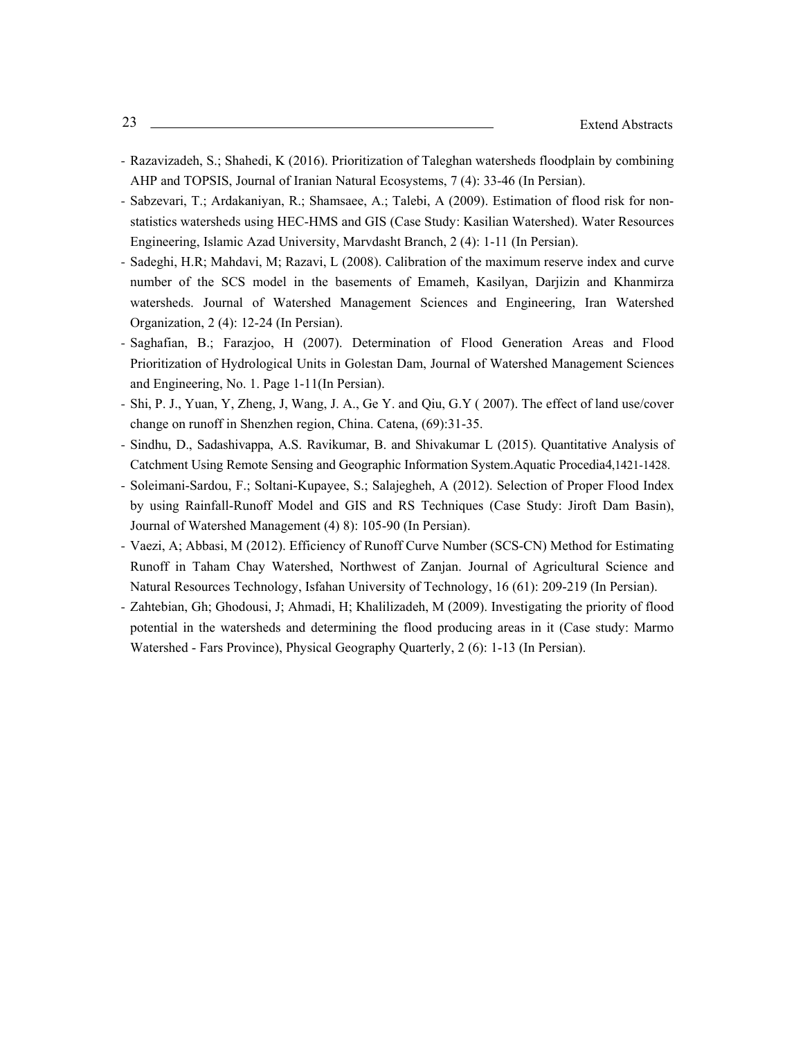- Razavizadeh, S.; Shahedi, K (2016). Prioritization of Taleghan watersheds floodplain by combining AHP and TOPSIS, Journal of Iranian Natural Ecosystems, 7 (4): 33-46 (In Persian).
- Sabzevari, T.; Ardakaniyan, R.; Shamsaee, A.; Talebi, A (2009). Estimation of flood risk for nonstatistics watersheds using HEC-HMS and GIS (Case Study: Kasilian Watershed). Water Resources Engineering, Islamic Azad University, Marvdasht Branch, 2 (4): 1-11 (In Persian).
- Sadeghi, H.R; Mahdavi, M; Razavi, L (2008). Calibration of the maximum reserve index and curve number of the SCS model in the basements of Emameh, Kasilyan, Darjizin and Khanmirza watersheds. Journal of Watershed Management Sciences and Engineering, Iran Watershed Organization, 2 (4): 12-24 (In Persian).
- Saghafian, B.; Farazjoo, H (2007). Determination of Flood Generation Areas and Flood Prioritization of Hydrological Units in Golestan Dam, Journal of Watershed Management Sciences and Engineering, No. 1. Page 1-11(In Persian).
- Shi, P. J., Yuan, Y, Zheng, J, Wang, J. A., Ge Y. and Qiu, G.Y ( 2007). The effect of land use/cover change on runoff in Shenzhen region, China. Catena, (69):31-35.
- Sindhu, D., Sadashivappa, A.S. Ravikumar, B. and Shivakumar L (2015). Quantitative Analysis of Catchment Using Remote Sensing and Geographic Information System.Aquatic Procedia4,1421-1428.
- Soleimani-Sardou, F.; Soltani-Kupayee, S.; Salajegheh, A (2012). Selection of Proper Flood Index by using Rainfall-Runoff Model and GIS and RS Techniques (Case Study: Jiroft Dam Basin), Journal of Watershed Management (4) 8): 105-90 (In Persian).
- Vaezi, A; Abbasi, M (2012). Efficiency of Runoff Curve Number (SCS-CN) Method for Estimating Runoff in Taham Chay Watershed, Northwest of Zanjan. Journal of Agricultural Science and Natural Resources Technology, Isfahan University of Technology, 16 (61): 209-219 (In Persian).
- Zahtebian, Gh; Ghodousi, J; Ahmadi, H; Khalilizadeh, M (2009). Investigating the priority of flood potential in the watersheds and determining the flood producing areas in it (Case study: Marmo Watershed - Fars Province), Physical Geography Quarterly, 2 (6): 1-13 (In Persian).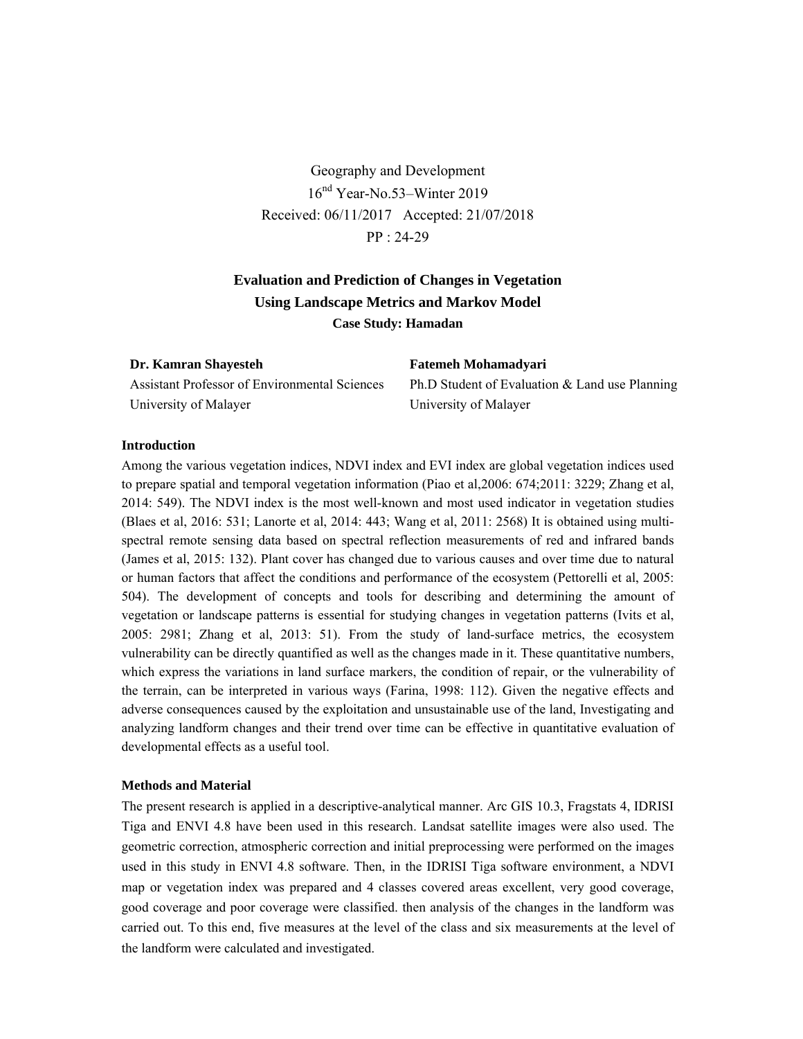Geography and Development 16nd Year-No.53–Winter 2019 Received: 06/11/2017 Accepted: 21/07/2018 PP : 24-29

# **Evaluation and Prediction of Changes in Vegetation Using Landscape Metrics and Markov Model Case Study: Hamadan**

### **Dr. Kamran Shayesteh**

Assistant Professor of Environmental Sciences University of Malayer

**Fatemeh Mohamadyari** Ph.D Student of Evaluation & Land use Planning University of Malayer

### **Introduction**

Among the various vegetation indices, NDVI index and EVI index are global vegetation indices used to prepare spatial and temporal vegetation information (Piao et al,2006: 674;2011: 3229; Zhang et al, 2014: 549). The NDVI index is the most well-known and most used indicator in vegetation studies (Blaes et al, 2016: 531; Lanorte et al, 2014: 443; Wang et al, 2011: 2568) It is obtained using multispectral remote sensing data based on spectral reflection measurements of red and infrared bands (James et al, 2015: 132). Plant cover has changed due to various causes and over time due to natural or human factors that affect the conditions and performance of the ecosystem (Pettorelli et al, 2005: 504). The development of concepts and tools for describing and determining the amount of vegetation or landscape patterns is essential for studying changes in vegetation patterns (Ivits et al, 2005: 2981; Zhang et al, 2013: 51). From the study of land-surface metrics, the ecosystem vulnerability can be directly quantified as well as the changes made in it. These quantitative numbers, which express the variations in land surface markers, the condition of repair, or the vulnerability of the terrain, can be interpreted in various ways (Farina, 1998: 112). Given the negative effects and adverse consequences caused by the exploitation and unsustainable use of the land, Investigating and analyzing landform changes and their trend over time can be effective in quantitative evaluation of developmental effects as a useful tool.

### **Methods and Material**

The present research is applied in a descriptive-analytical manner. Arc GIS 10.3, Fragstats 4, IDRISI Tiga and ENVI 4.8 have been used in this research. Landsat satellite images were also used. The geometric correction, atmospheric correction and initial preprocessing were performed on the images used in this study in ENVI 4.8 software. Then, in the IDRISI Tiga software environment, a NDVI map or vegetation index was prepared and 4 classes covered areas excellent, very good coverage, good coverage and poor coverage were classified. then analysis of the changes in the landform was carried out. To this end, five measures at the level of the class and six measurements at the level of the landform were calculated and investigated.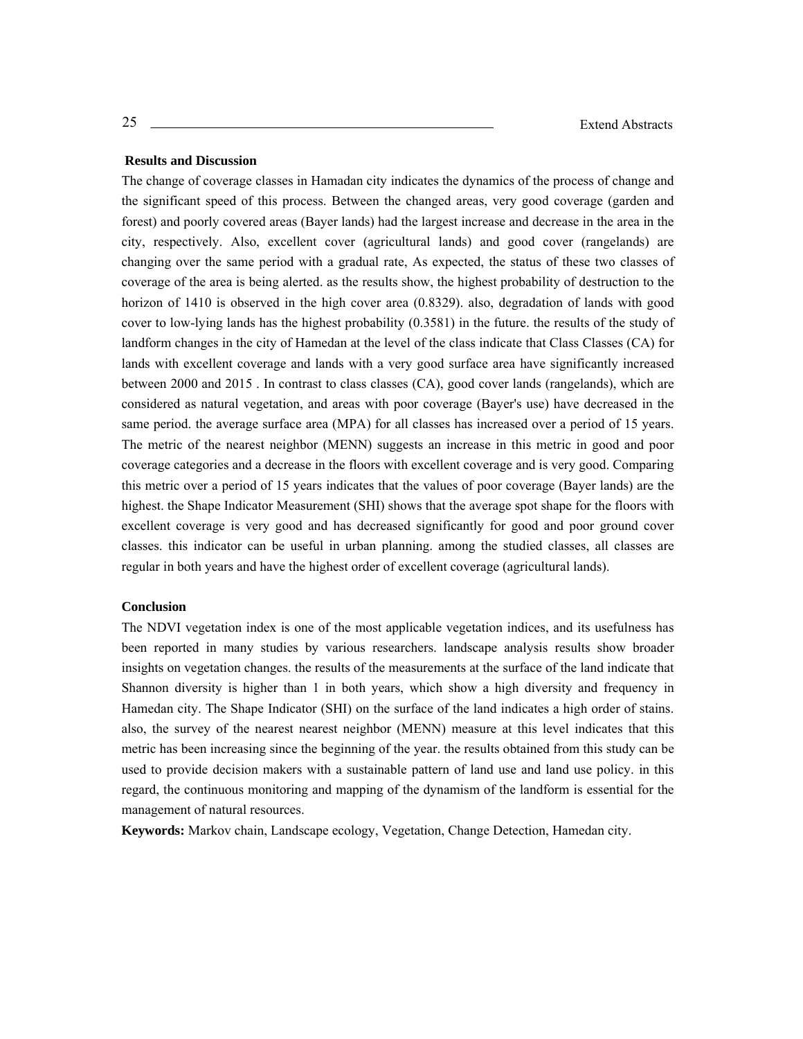### **Results and Discussion**

The change of coverage classes in Hamadan city indicates the dynamics of the process of change and the significant speed of this process. Between the changed areas, very good coverage (garden and forest) and poorly covered areas (Bayer lands) had the largest increase and decrease in the area in the city, respectively. Also, excellent cover (agricultural lands) and good cover (rangelands) are changing over the same period with a gradual rate, As expected, the status of these two classes of coverage of the area is being alerted. as the results show, the highest probability of destruction to the horizon of 1410 is observed in the high cover area (0.8329). also, degradation of lands with good cover to low-lying lands has the highest probability (0.3581) in the future. the results of the study of landform changes in the city of Hamedan at the level of the class indicate that Class Classes (CA) for lands with excellent coverage and lands with a very good surface area have significantly increased between 2000 and 2015 . In contrast to class classes (CA), good cover lands (rangelands), which are considered as natural vegetation, and areas with poor coverage (Bayer's use) have decreased in the same period. the average surface area (MPA) for all classes has increased over a period of 15 years. The metric of the nearest neighbor (MENN) suggests an increase in this metric in good and poor coverage categories and a decrease in the floors with excellent coverage and is very good. Comparing this metric over a period of 15 years indicates that the values of poor coverage (Bayer lands) are the highest. the Shape Indicator Measurement (SHI) shows that the average spot shape for the floors with excellent coverage is very good and has decreased significantly for good and poor ground cover classes. this indicator can be useful in urban planning. among the studied classes, all classes are regular in both years and have the highest order of excellent coverage (agricultural lands).

### **Conclusion**

The NDVI vegetation index is one of the most applicable vegetation indices, and its usefulness has been reported in many studies by various researchers. landscape analysis results show broader insights on vegetation changes. the results of the measurements at the surface of the land indicate that Shannon diversity is higher than 1 in both years, which show a high diversity and frequency in Hamedan city. The Shape Indicator (SHI) on the surface of the land indicates a high order of stains. also, the survey of the nearest nearest neighbor (MENN) measure at this level indicates that this metric has been increasing since the beginning of the year. the results obtained from this study can be used to provide decision makers with a sustainable pattern of land use and land use policy. in this regard, the continuous monitoring and mapping of the dynamism of the landform is essential for the management of natural resources.

**Keywords:** Markov chain, Landscape ecology, Vegetation, Change Detection, Hamedan city.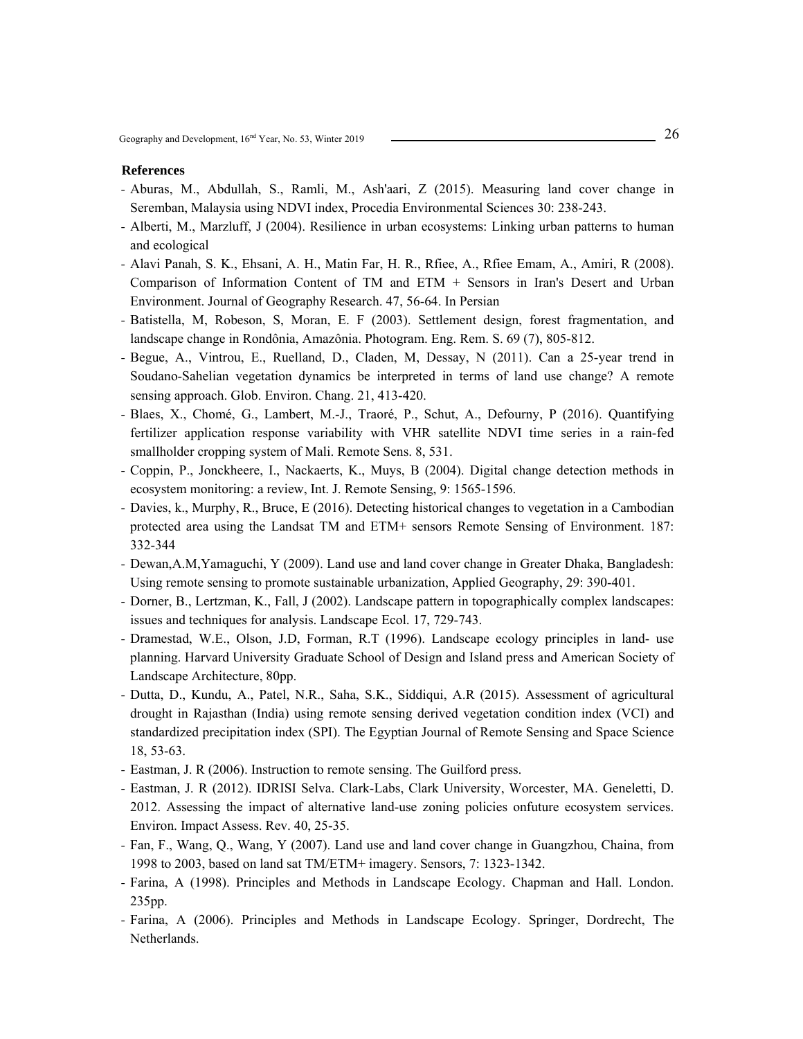- Aburas, M., Abdullah, S., Ramli, M., Ash'aari, Z (2015). Measuring land cover change in Seremban, Malaysia using NDVI index, Procedia Environmental Sciences 30: 238-243.
- Alberti, M., Marzluff, J (2004). Resilience in urban ecosystems: Linking urban patterns to human and ecological
- Alavi Panah, S. K., Ehsani, A. H., Matin Far, H. R., Rfiee, A., Rfiee Emam, A., Amiri, R (2008). Comparison of Information Content of TM and ETM + Sensors in Iran's Desert and Urban Environment. Journal of Geography Research. 47, 56-64. In Persian
- Batistella, M, Robeson, S, Moran, E. F (2003). Settlement design, forest fragmentation, and landscape change in Rondônia, Amazônia. Photogram. Eng. Rem. S. 69 (7), 805-812.
- Begue, A., Vintrou, E., Ruelland, D., Claden, M, Dessay, N (2011). Can a 25-year trend in Soudano-Sahelian vegetation dynamics be interpreted in terms of land use change? A remote sensing approach. Glob. Environ. Chang. 21, 413-420.
- Blaes, X., Chomé, G., Lambert, M.-J., Traoré, P., Schut, A., Defourny, P (2016). Quantifying fertilizer application response variability with VHR satellite NDVI time series in a rain-fed smallholder cropping system of Mali. Remote Sens. 8, 531.
- Coppin, P., Jonckheere, I., Nackaerts, K., Muys, B (2004). Digital change detection methods in ecosystem monitoring: a review, Int. J. Remote Sensing, 9: 1565-1596.
- Davies, k., Murphy, R., Bruce, E (2016). Detecting historical changes to vegetation in a Cambodian protected area using the Landsat TM and ETM+ sensors Remote Sensing of Environment. 187: 332-344
- Dewan,A.M,Yamaguchi, Y (2009). Land use and land cover change in Greater Dhaka, Bangladesh: Using remote sensing to promote sustainable urbanization, Applied Geography, 29: 390-401.
- Dorner, B., Lertzman, K., Fall, J (2002). Landscape pattern in topographically complex landscapes: issues and techniques for analysis. Landscape Ecol. 17, 729-743.
- Dramestad, W.E., Olson, J.D, Forman, R.T (1996). Landscape ecology principles in land- use planning. Harvard University Graduate School of Design and Island press and American Society of Landscape Architecture, 80pp.
- Dutta, D., Kundu, A., Patel, N.R., Saha, S.K., Siddiqui, A.R (2015). Assessment of agricultural drought in Rajasthan (India) using remote sensing derived vegetation condition index (VCI) and standardized precipitation index (SPI). The Egyptian Journal of Remote Sensing and Space Science 18, 53-63.
- Eastman, J. R (2006). Instruction to remote sensing. The Guilford press.
- Eastman, J. R (2012). IDRISI Selva. Clark-Labs, Clark University, Worcester, MA. Geneletti, D. 2012. Assessing the impact of alternative land-use zoning policies onfuture ecosystem services. Environ. Impact Assess. Rev. 40, 25-35.
- Fan, F., Wang, Q., Wang, Y (2007). Land use and land cover change in Guangzhou, Chaina, from 1998 to 2003, based on land sat TM/ETM+ imagery. Sensors, 7: 1323-1342.
- Farina, A (1998). Principles and Methods in Landscape Ecology. Chapman and Hall. London. 235pp.
- Farina, A (2006). Principles and Methods in Landscape Ecology. Springer, Dordrecht, The Netherlands.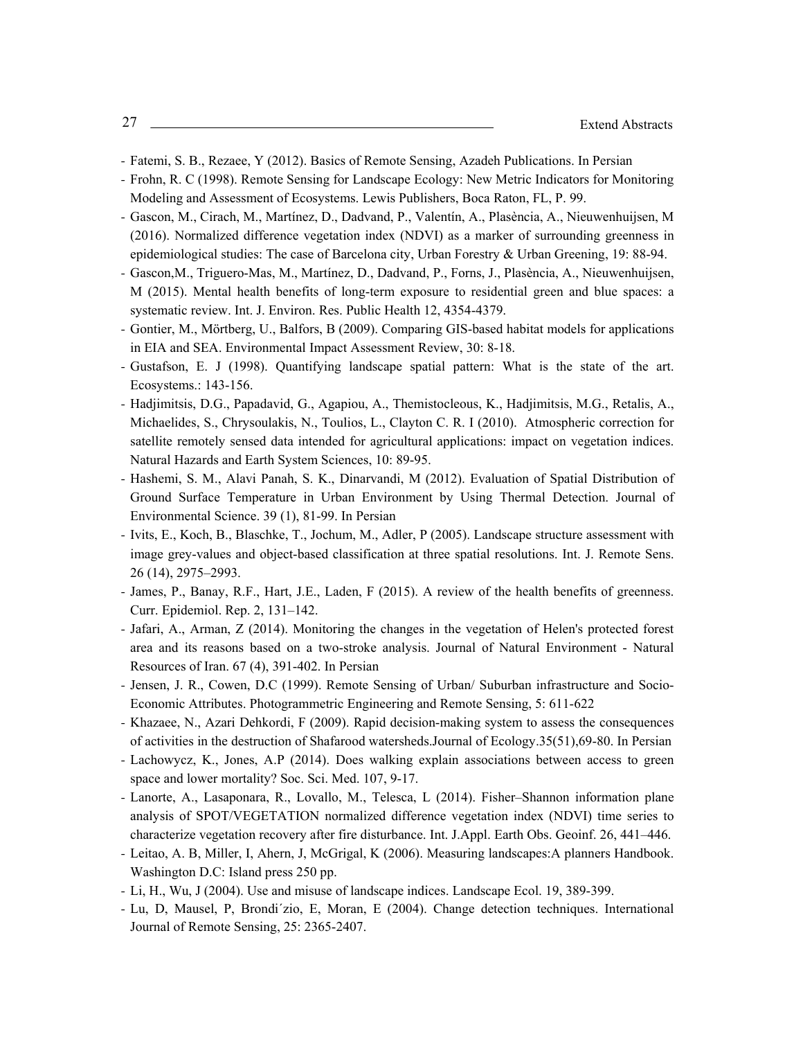- Fatemi, S. B., Rezaee, Y (2012). Basics of Remote Sensing, Azadeh Publications. In Persian
- Frohn, R. C (1998). Remote Sensing for Landscape Ecology: New Metric Indicators for Monitoring Modeling and Assessment of Ecosystems. Lewis Publishers, Boca Raton, FL, P. 99.
- Gascon, M., Cirach, M., Martínez, D., Dadvand, P., Valentín, A., Plasència, A., Nieuwenhuijsen, M (2016). Normalized difference vegetation index (NDVI) as a marker of surrounding greenness in epidemiological studies: The case of Barcelona city, Urban Forestry & Urban Greening, 19: 88-94.
- Gascon,M., Triguero-Mas, M., Martínez, D., Dadvand, P., Forns, J., Plasència, A., Nieuwenhuijsen, M (2015). Mental health benefits of long-term exposure to residential green and blue spaces: a systematic review. Int. J. Environ. Res. Public Health 12, 4354-4379.
- Gontier, M., Mörtberg, U., Balfors, B (2009). Comparing GIS-based habitat models for applications in EIA and SEA. Environmental Impact Assessment Review, 30: 8-18.
- Gustafson, E. J (1998). Quantifying landscape spatial pattern: What is the state of the art. Ecosystems.: 143-156.
- Hadjimitsis, D.G., Papadavid, G., Agapiou, A., Themistocleous, K., Hadjimitsis, M.G., Retalis, A., Michaelides, S., Chrysoulakis, N., Toulios, L., Clayton C. R. I (2010). Atmospheric correction for satellite remotely sensed data intended for agricultural applications: impact on vegetation indices. Natural Hazards and Earth System Sciences, 10: 89-95.
- Hashemi, S. M., Alavi Panah, S. K., Dinarvandi, M (2012). Evaluation of Spatial Distribution of Ground Surface Temperature in Urban Environment by Using Thermal Detection. Journal of Environmental Science. 39 (1), 81-99. In Persian
- Ivits, E., Koch, B., Blaschke, T., Jochum, M., Adler, P (2005). Landscape structure assessment with image grey-values and object-based classification at three spatial resolutions. Int. J. Remote Sens. 26 (14), 2975–2993.
- James, P., Banay, R.F., Hart, J.E., Laden, F (2015). A review of the health benefits of greenness. Curr. Epidemiol. Rep. 2, 131–142.
- Jafari, A., Arman, Z (2014). Monitoring the changes in the vegetation of Helen's protected forest area and its reasons based on a two-stroke analysis. Journal of Natural Environment - Natural Resources of Iran. 67 (4), 391-402. In Persian
- Jensen, J. R., Cowen, D.C (1999). Remote Sensing of Urban/ Suburban infrastructure and Socio-Economic Attributes. Photogrammetric Engineering and Remote Sensing, 5: 611-622
- Khazaee, N., Azari Dehkordi, F (2009). Rapid decision-making system to assess the consequences of activities in the destruction of Shafarood watersheds.Journal of Ecology.35(51),69-80. In Persian
- Lachowycz, K., Jones, A.P (2014). Does walking explain associations between access to green space and lower mortality? Soc. Sci. Med. 107, 9-17.
- Lanorte, A., Lasaponara, R., Lovallo, M., Telesca, L (2014). Fisher–Shannon information plane analysis of SPOT/VEGETATION normalized difference vegetation index (NDVI) time series to characterize vegetation recovery after fire disturbance. Int. J.Appl. Earth Obs. Geoinf. 26, 441–446.
- Leitao, A. B, Miller, I, Ahern, J, McGrigal, K (2006). Measuring landscapes: A planners Handbook. Washington D.C: Island press 250 pp.
- Li, H., Wu, J (2004). Use and misuse of landscape indices. Landscape Ecol. 19, 389-399.
- Lu, D, Mausel, P, Brondi´zio, E, Moran, E (2004). Change detection techniques. International Journal of Remote Sensing, 25: 2365-2407.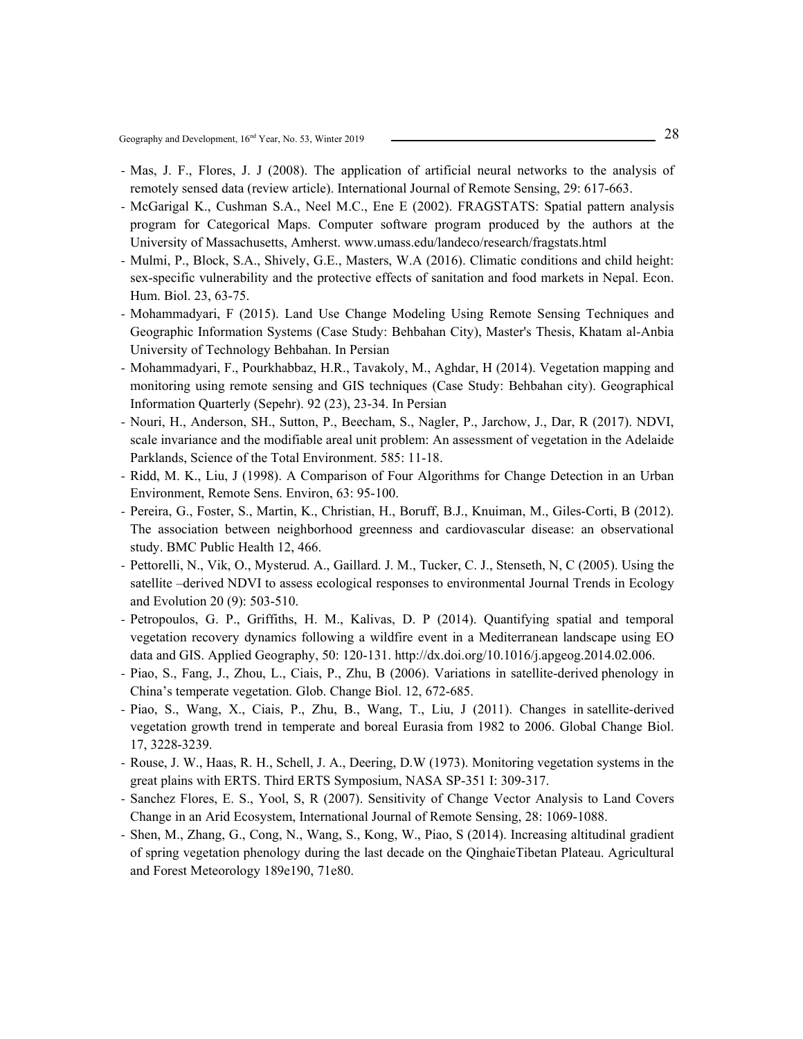- Mas, J. F., Flores, J. J (2008). The application of artificial neural networks to the analysis of remotely sensed data (review article). International Journal of Remote Sensing, 29: 617-663.
- McGarigal K., Cushman S.A., Neel M.C., Ene E (2002). FRAGSTATS: Spatial pattern analysis program for Categorical Maps. Computer software program produced by the authors at the University of Massachusetts, Amherst. www.umass.edu/landeco/research/fragstats.html
- Mulmi, P., Block, S.A., Shively, G.E., Masters, W.A (2016). Climatic conditions and child height: sex-specific vulnerability and the protective effects of sanitation and food markets in Nepal. Econ. Hum. Biol. 23, 63-75.
- Mohammadyari, F (2015). Land Use Change Modeling Using Remote Sensing Techniques and Geographic Information Systems (Case Study: Behbahan City), Master's Thesis, Khatam al-Anbia University of Technology Behbahan. In Persian
- Mohammadyari, F., Pourkhabbaz, H.R., Tavakoly, M., Aghdar, H (2014). Vegetation mapping and monitoring using remote sensing and GIS techniques (Case Study: Behbahan city). Geographical Information Quarterly (Sepehr). 92 (23), 23-34. In Persian
- Nouri, H., Anderson, SH., Sutton, P., Beecham, S., Nagler, P., Jarchow, J., Dar, R (2017). NDVI, scale invariance and the modifiable areal unit problem: An assessment of vegetation in the Adelaide Parklands, Science of the Total Environment. 585: 11-18.
- Ridd, M. K., Liu, J (1998). A Comparison of Four Algorithms for Change Detection in an Urban Environment, Remote Sens. Environ, 63: 95-100.
- Pereira, G., Foster, S., Martin, K., Christian, H., Boruff, B.J., Knuiman, M., Giles-Corti, B (2012). The association between neighborhood greenness and cardiovascular disease: an observational study. BMC Public Health 12, 466.
- Pettorelli, N., Vik, O., Mysterud. A., Gaillard. J. M., Tucker, C. J., Stenseth, N, C (2005). Using the satellite –derived NDVI to assess ecological responses to environmental Journal Trends in Ecology and Evolution 20 (9): 503-510.
- Petropoulos, G. P., Griffiths, H. M., Kalivas, D. P (2014). Quantifying spatial and temporal vegetation recovery dynamics following a wildfire event in a Mediterranean landscape using EO data and GIS. Applied Geography, 50: 120-131. http://dx.doi.org/10.1016/j.apgeog.2014.02.006.
- Piao, S., Fang, J., Zhou, L., Ciais, P., Zhu, B (2006). Variations in satellite-derived phenology in China's temperate vegetation. Glob. Change Biol. 12, 672-685.
- Piao, S., Wang, X., Ciais, P., Zhu, B., Wang, T., Liu, J (2011). Changes in satellite-derived vegetation growth trend in temperate and boreal Eurasia from 1982 to 2006. Global Change Biol. 17, 3228-3239.
- Rouse, J. W., Haas, R. H., Schell, J. A., Deering, D.W (1973). Monitoring vegetation systems in the great plains with ERTS. Third ERTS Symposium, NASA SP-351 I: 309-317.
- Sanchez Flores, E. S., Yool, S, R (2007). Sensitivity of Change Vector Analysis to Land Covers Change in an Arid Ecosystem, International Journal of Remote Sensing, 28: 1069-1088.
- Shen, M., Zhang, G., Cong, N., Wang, S., Kong, W., Piao, S (2014). Increasing altitudinal gradient of spring vegetation phenology during the last decade on the QinghaieTibetan Plateau. Agricultural and Forest Meteorology 189e190, 71e80.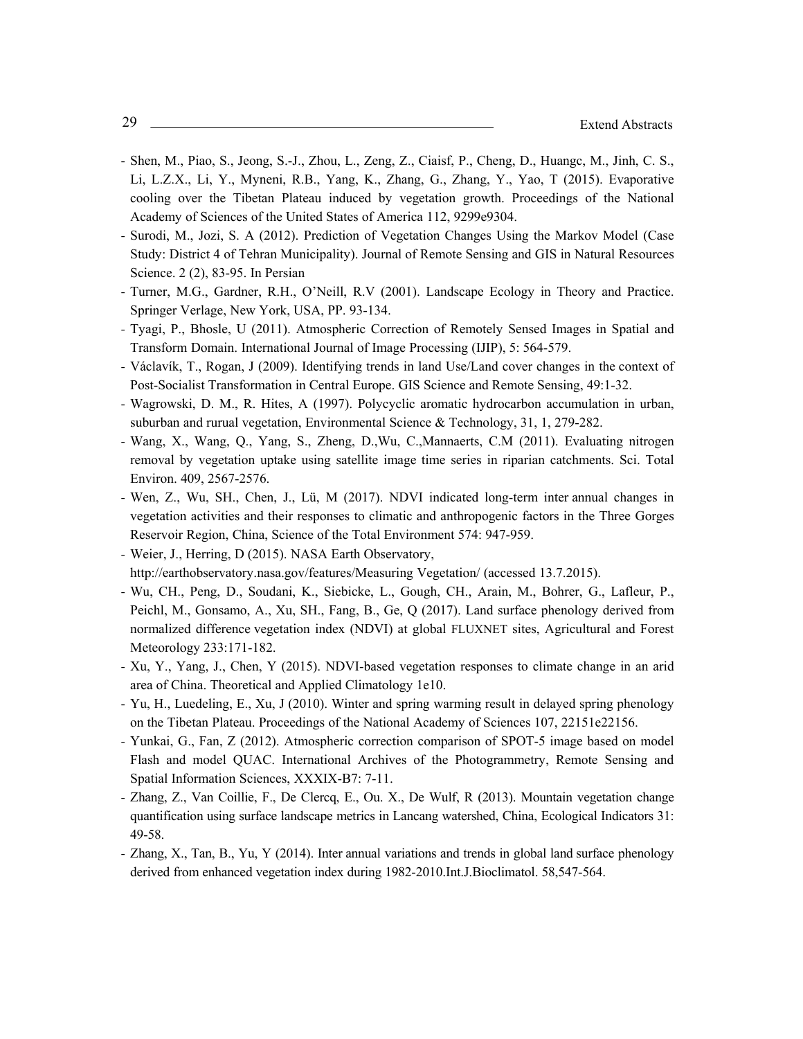- Shen, M., Piao, S., Jeong, S.-J., Zhou, L., Zeng, Z., Ciaisf, P., Cheng, D., Huangc, M., Jinh, C. S., Li, L.Z.X., Li, Y., Myneni, R.B., Yang, K., Zhang, G., Zhang, Y., Yao, T (2015). Evaporative cooling over the Tibetan Plateau induced by vegetation growth. Proceedings of the National Academy of Sciences of the United States of America 112, 9299e9304.
- Surodi, M., Jozi, S. A (2012). Prediction of Vegetation Changes Using the Markov Model (Case Study: District 4 of Tehran Municipality). Journal of Remote Sensing and GIS in Natural Resources Science. 2 (2), 83-95. In Persian
- Turner, M.G., Gardner, R.H., O'Neill, R.V (2001). Landscape Ecology in Theory and Practice. Springer Verlage, New York, USA, PP. 93-134.
- Tyagi, P., Bhosle, U (2011). Atmospheric Correction of Remotely Sensed Images in Spatial and Transform Domain. International Journal of Image Processing (IJIP), 5: 564-579.
- Václavík, T., Rogan, J (2009). Identifying trends in land Use/Land cover changes in the context of Post-Socialist Transformation in Central Europe. GIS Science and Remote Sensing, 49:1-32.
- Wagrowski, D. M., R. Hites, A (1997). Polycyclic aromatic hydrocarbon accumulation in urban, suburban and rurual vegetation, Environmental Science & Technology, 31, 1, 279-282.
- Wang, X., Wang, Q., Yang, S., Zheng, D.,Wu, C.,Mannaerts, C.M (2011). Evaluating nitrogen removal by vegetation uptake using satellite image time series in riparian catchments. Sci. Total Environ. 409, 2567-2576.
- Wen, Z., Wu, SH., Chen, J., Lü, M (2017). NDVI indicated long-term inter annual changes in vegetation activities and their responses to climatic and anthropogenic factors in the Three Gorges Reservoir Region, China, Science of the Total Environment 574: 947-959.
- Weier, J., Herring, D (2015). NASA Earth Observatory, http://earthobservatory.nasa.gov/features/Measuring Vegetation/ (accessed 13.7.2015).
- Wu, CH., Peng, D., Soudani, K., Siebicke, L., Gough, CH., Arain, M., Bohrer, G., Lafleur, P., Peichl, M., Gonsamo, A., Xu, SH., Fang, B., Ge, Q (2017). Land surface phenology derived from normalized difference vegetation index (NDVI) at global FLUXNET sites, Agricultural and Forest Meteorology 233:171-182.
- Xu, Y., Yang, J., Chen, Y (2015). NDVI-based vegetation responses to climate change in an arid area of China. Theoretical and Applied Climatology 1e10.
- Yu, H., Luedeling, E., Xu, J (2010). Winter and spring warming result in delayed spring phenology on the Tibetan Plateau. Proceedings of the National Academy of Sciences 107, 22151e22156.
- Yunkai, G., Fan, Z (2012). Atmospheric correction comparison of SPOT-5 image based on model Flash and model QUAC. International Archives of the Photogrammetry, Remote Sensing and Spatial Information Sciences, XXXIX-B7: 7-11.
- Zhang, Z., Van Coillie, F., De Clercq, E., Ou. X., De Wulf, R (2013). Mountain vegetation change quantification using surface landscape metrics in Lancang watershed, China, Ecological Indicators 31: 49-58.
- Zhang, X., Tan, B., Yu, Y (2014). Inter annual variations and trends in global land surface phenology derived from enhanced vegetation index during 1982-2010.Int.J.Bioclimatol. 58,547-564.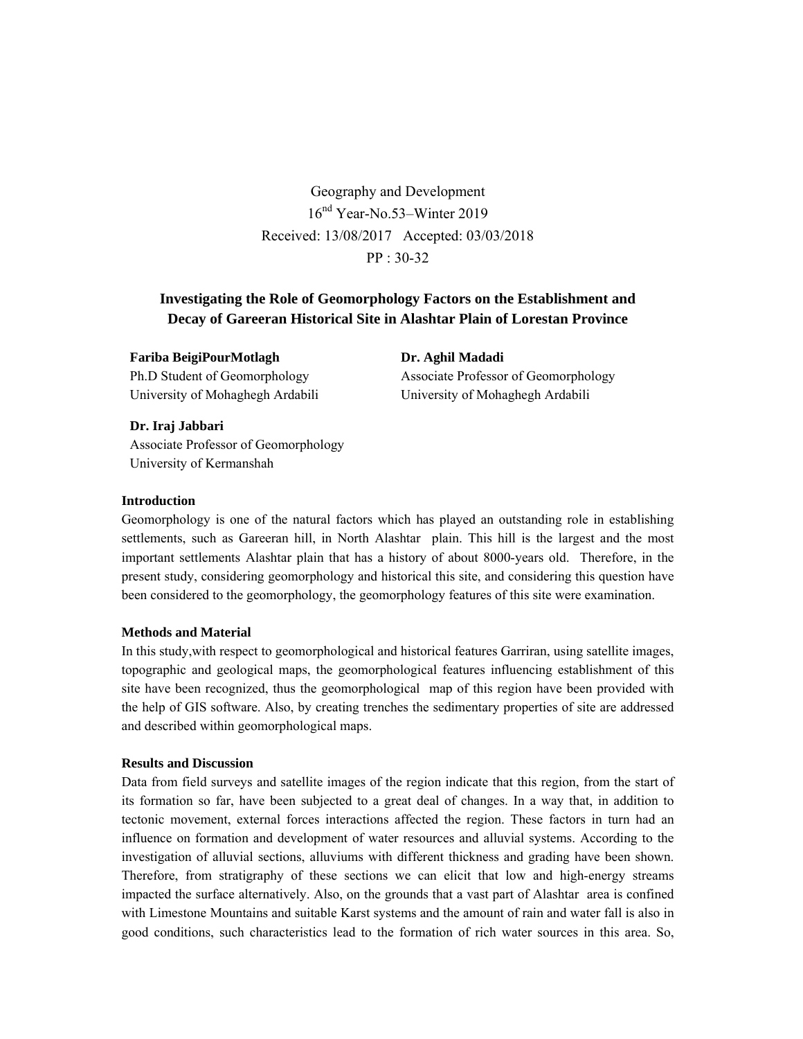Geography and Development 16nd Year-No.53–Winter 2019 Received: 13/08/2017 Accepted: 03/03/2018 PP : 30-32

# **Investigating the Role of Geomorphology Factors on the Establishment and Decay of Gareeran Historical Site in Alashtar Plain of Lorestan Province**

# **Fariba BeigiPourMotlagh**

Ph.D Student of Geomorphology University of Mohaghegh Ardabili **Dr. Aghil Madadi**  Associate Professor of Geomorphology University of Mohaghegh Ardabili

# **Dr. Iraj Jabbari**

Associate Professor of Geomorphology University of Kermanshah

# **Introduction**

Geomorphology is one of the natural factors which has played an outstanding role in establishing settlements, such as Gareeran hill, in North Alashtar plain. This hill is the largest and the most important settlements Alashtar plain that has a history of about 8000-years old. Therefore, in the present study, considering geomorphology and historical this site, and considering this question have been considered to the geomorphology, the geomorphology features of this site were examination.

# **Methods and Material**

In this study,with respect to geomorphological and historical features Garriran, using satellite images, topographic and geological maps, the geomorphological features influencing establishment of this site have been recognized, thus the geomorphological map of this region have been provided with the help of GIS software. Also, by creating trenches the sedimentary properties of site are addressed and described within geomorphological maps.

# **Results and Discussion**

Data from field surveys and satellite images of the region indicate that this region, from the start of its formation so far, have been subjected to a great deal of changes. In a way that, in addition to tectonic movement, external forces interactions affected the region. These factors in turn had an influence on formation and development of water resources and alluvial systems. According to the investigation of alluvial sections, alluviums with different thickness and grading have been shown. Therefore, from stratigraphy of these sections we can elicit that low and high-energy streams impacted the surface alternatively. Also, on the grounds that a vast part of Alashtar area is confined with Limestone Mountains and suitable Karst systems and the amount of rain and water fall is also in good conditions, such characteristics lead to the formation of rich water sources in this area. So,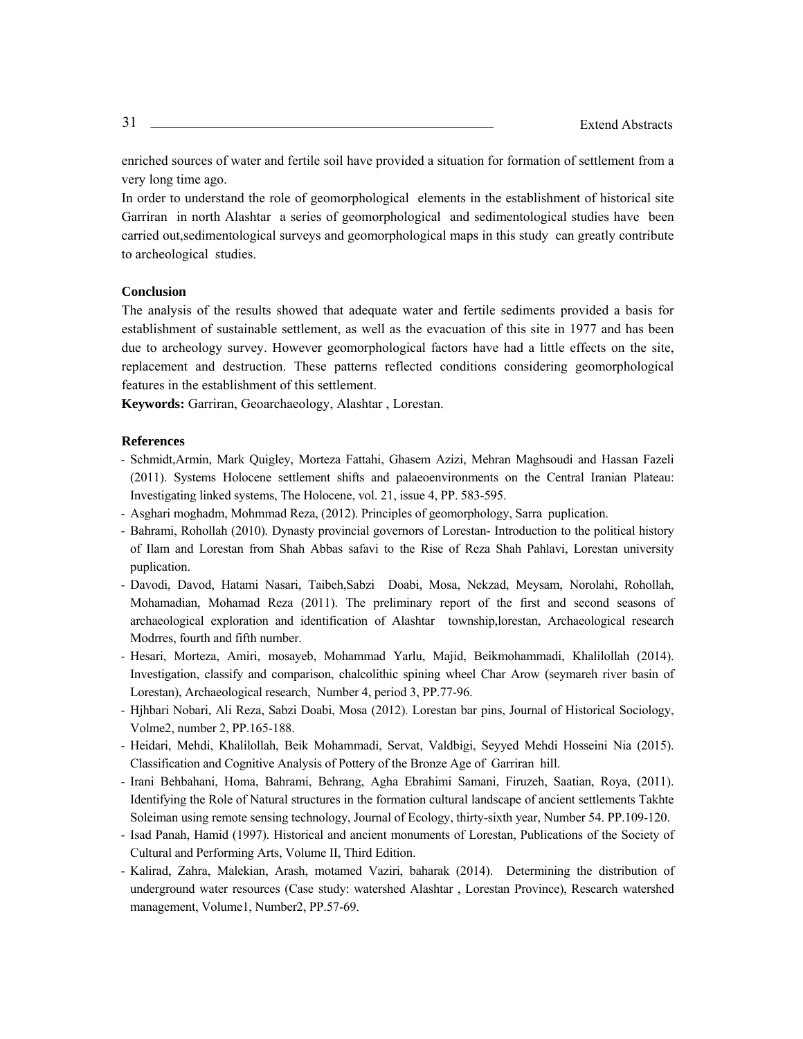enriched sources of water and fertile soil have provided a situation for formation of settlement from a very long time ago.

In order to understand the role of geomorphological elements in the establishment of historical site Garriran in north Alashtar a series of geomorphological and sedimentological studies have been carried out,sedimentological surveys and geomorphological maps in this study can greatly contribute to archeological studies.

### **Conclusion**

The analysis of the results showed that adequate water and fertile sediments provided a basis for establishment of sustainable settlement, as well as the evacuation of this site in 1977 and has been due to archeology survey. However geomorphological factors have had a little effects on the site, replacement and destruction. These patterns reflected conditions considering geomorphological features in the establishment of this settlement.

**Keywords:** Garriran, Geoarchaeology, Alashtar , Lorestan.

- Schmidt,Armin, Mark Quigley, Morteza Fattahi, Ghasem Azizi, Mehran Maghsoudi and Hassan Fazeli (2011). Systems Holocene settlement shifts and palaeoenvironments on the Central Iranian Plateau: Investigating linked systems, The Holocene, vol. 21, issue 4, PP. 583-595.
- Asghari moghadm, Mohmmad Reza, (2012). Principles of geomorphology, Sarra puplication.
- Bahrami, Rohollah (2010). Dynasty provincial governors of Lorestan- Introduction to the political history of Ilam and Lorestan from Shah Abbas safavi to the Rise of Reza Shah Pahlavi, Lorestan university puplication.
- Davodi, Davod, Hatami Nasari, Taibeh,Sabzi Doabi, Mosa, Nekzad, Meysam, Norolahi, Rohollah, Mohamadian, Mohamad Reza (2011). The preliminary report of the first and second seasons of archaeological exploration and identification of Alashtar township,lorestan, Archaeological research Modrres, fourth and fifth number.
- Hesari, Morteza, Amiri, mosayeb, Mohammad Yarlu, Majid, Beikmohammadi, Khalilollah (2014). Investigation, classify and comparison, chalcolithic spining wheel Char Arow (seymareh river basin of Lorestan), Archaeological research, Number 4, period 3, PP.77-96.
- Hjhbari Nobari, Ali Reza, Sabzi Doabi, Mosa (2012). Lorestan bar pins, Journal of Historical Sociology, Volme2, number 2, PP.165-188.
- Heidari, Mehdi, Khalilollah, Beik Mohammadi, Servat, Valdbigi, Seyyed Mehdi Hosseini Nia (2015). Classification and Cognitive Analysis of Pottery of the Bronze Age of Garriran hill.
- Irani Behbahani, Homa, Bahrami, Behrang, Agha Ebrahimi Samani, Firuzeh, Saatian, Roya, (2011). Identifying the Role of Natural structures in the formation cultural landscape of ancient settlements Takhte Soleiman using remote sensing technology, Journal of Ecology, thirty-sixth year, Number 54. PP.109-120.
- Isad Panah, Hamid (1997). Historical and ancient monuments of Lorestan, Publications of the Society of Cultural and Performing Arts, Volume II, Third Edition.
- Kalirad, Zahra, Malekian, Arash, motamed Vaziri, baharak (2014). Determining the distribution of underground water resources (Case study: watershed Alashtar , Lorestan Province), Research watershed management, Volume1, Number2, PP.57-69.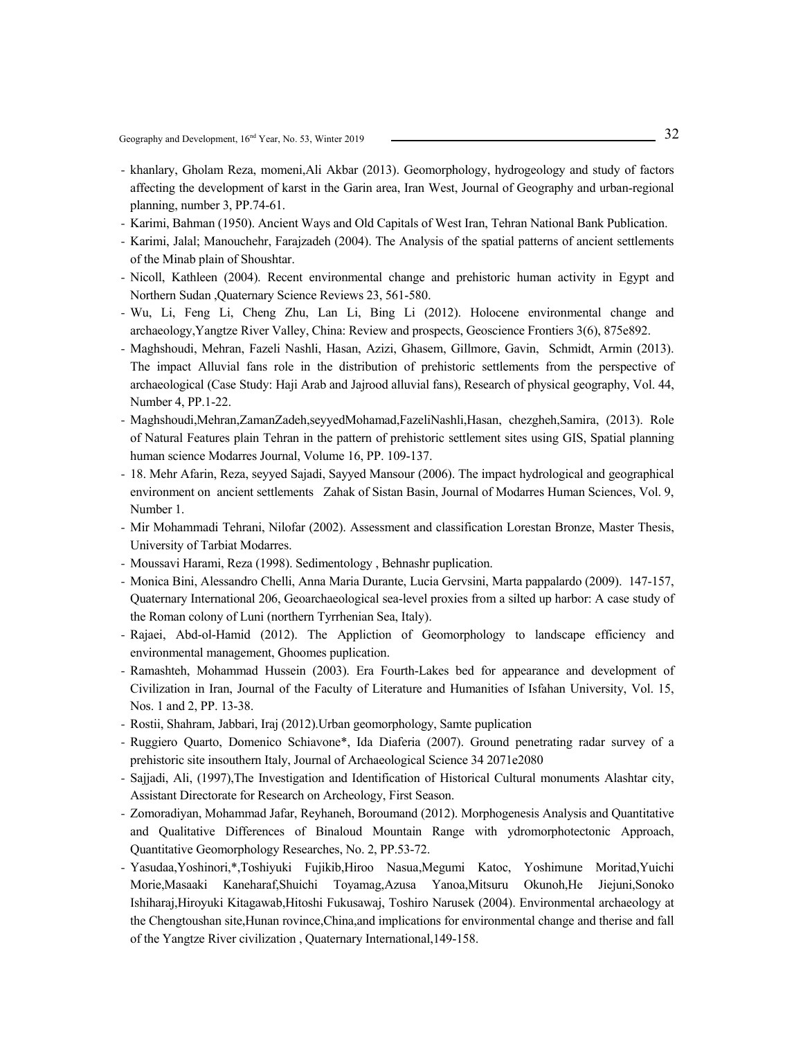- khanlary, Gholam Reza, momeni,Ali Akbar (2013). Geomorphology, hydrogeology and study of factors affecting the development of karst in the Garin area, Iran West, Journal of Geography and urban-regional planning, number 3, PP.74-61.
- Karimi, Bahman (1950). Ancient Ways and Old Capitals of West Iran, Tehran National Bank Publication.
- Karimi, Jalal; Manouchehr, Farajzadeh (2004). The Analysis of the spatial patterns of ancient settlements of the Minab plain of Shoushtar.
- Nicoll, Kathleen (2004). Recent environmental change and prehistoric human activity in Egypt and Northern Sudan ,Quaternary Science Reviews 23, 561-580.
- Wu, Li, Feng Li, Cheng Zhu, Lan Li, Bing Li (2012). Holocene environmental change and archaeology,Yangtze River Valley, China: Review and prospects, Geoscience Frontiers 3(6), 875e892.
- Maghshoudi, Mehran, Fazeli Nashli, Hasan, Azizi, Ghasem, Gillmore, Gavin, Schmidt, Armin (2013). The impact Alluvial fans role in the distribution of prehistoric settlements from the perspective of archaeological (Case Study: Haji Arab and Jajrood alluvial fans), Research of physical geography, Vol. 44, Number 4, PP.1-22.
- Maghshoudi,Mehran,ZamanZadeh,seyyedMohamad,FazeliNashli,Hasan, chezgheh,Samira, (2013). Role of Natural Features plain Tehran in the pattern of prehistoric settlement sites using GIS, Spatial planning human science Modarres Journal, Volume 16, PP. 109-137.
- 18. Mehr Afarin, Reza, seyyed Sajadi, Sayyed Mansour (2006). The impact hydrological and geographical environment on ancient settlements Zahak of Sistan Basin, Journal of Modarres Human Sciences, Vol. 9, Number 1.
- Mir Mohammadi Tehrani, Nilofar (2002). Assessment and classification Lorestan Bronze, Master Thesis, University of Tarbiat Modarres.
- Moussavi Harami, Reza (1998). Sedimentology , Behnashr puplication.
- Monica Bini, Alessandro Chelli, Anna Maria Durante, Lucia Gervsini, Marta pappalardo (2009). 147-157, Quaternary International 206, Geoarchaeological sea-level proxies from a silted up harbor: A case study of the Roman colony of Luni (northern Tyrrhenian Sea, Italy).
- Rajaei, Abd-ol-Hamid (2012). The Appliction of Geomorphology to landscape efficiency and environmental management, Ghoomes puplication.
- Ramashteh, Mohammad Hussein (2003). Era Fourth-Lakes bed for appearance and development of Civilization in Iran, Journal of the Faculty of Literature and Humanities of Isfahan University, Vol. 15, Nos. 1 and 2, PP. 13-38.
- Rostii, Shahram, Jabbari, Iraj (2012).Urban geomorphology, Samte puplication
- Ruggiero Quarto, Domenico Schiavone\*, Ida Diaferia (2007). Ground penetrating radar survey of a prehistoric site insouthern Italy, Journal of Archaeological Science 34 2071e2080
- Sajjadi, Ali, (1997),The Investigation and Identification of Historical Cultural monuments Alashtar city, Assistant Directorate for Research on Archeology, First Season.
- Zomoradiyan, Mohammad Jafar, Reyhaneh, Boroumand (2012). Morphogenesis Analysis and Quantitative and Qualitative Differences of Binaloud Mountain Range with ydromorphotectonic Approach, Quantitative Geomorphology Researches, No. 2, PP.53-72.
- Yasudaa,Yoshinori,\*,Toshiyuki Fujikib,Hiroo Nasua,Megumi Katoc, Yoshimune Moritad,Yuichi Morie,Masaaki Kaneharaf,Shuichi Toyamag,Azusa Yanoa,Mitsuru Okunoh,He Jiejuni,Sonoko Ishiharaj,Hiroyuki Kitagawab,Hitoshi Fukusawaj, Toshiro Narusek (2004). Environmental archaeology at the Chengtoushan site,Hunan rovince,China,and implications for environmental change and therise and fall of the Yangtze River civilization , Quaternary International,149-158.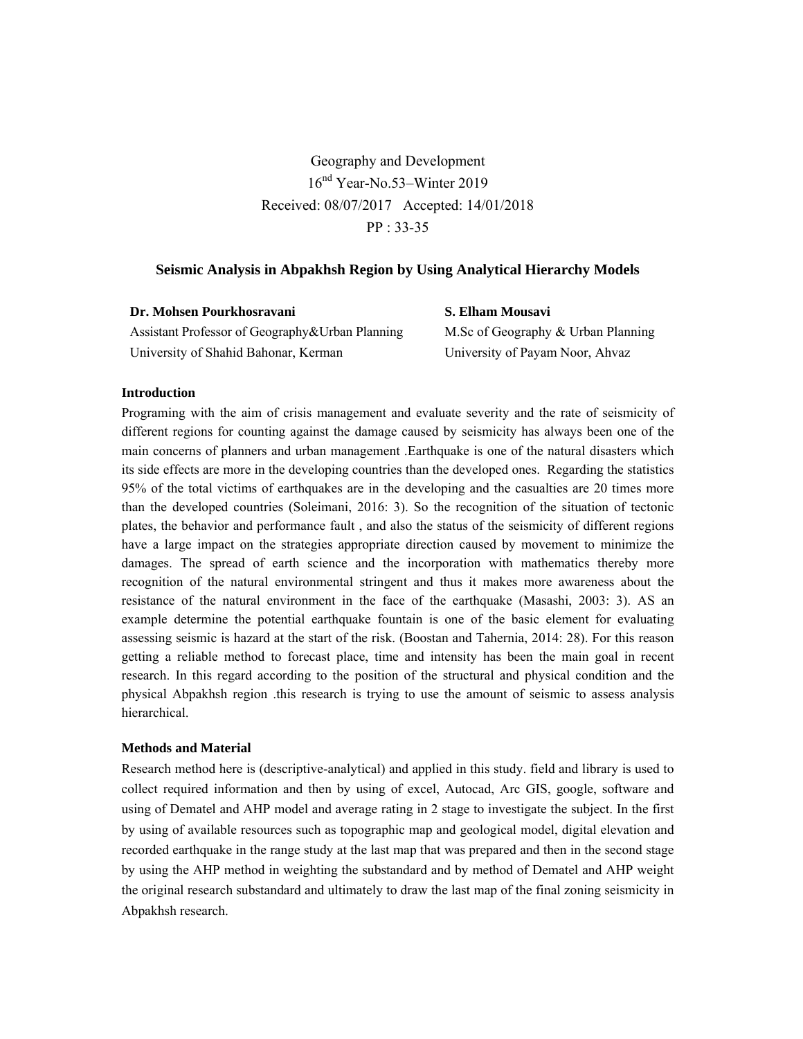Geography and Development  $16<sup>nd</sup> Year-No.53-Winter 2019$ Received: 08/07/2017 Accepted: 14/01/2018 PP : 33-35

# **Seismic Analysis in Abpakhsh Region by Using Analytical Hierarchy Models**

| Dr. Mohsen Pourkhosravani                       | S. Elhan |
|-------------------------------------------------|----------|
| Assistant Professor of Geography&Urban Planning | M.Sc of  |
| University of Shahid Bahonar, Kerman            | Universi |

**S. Elham Mousavi**  Geography & Urban Planning ty of Payam Noor, Ahvaz

### **Introduction**

Programing with the aim of crisis management and evaluate severity and the rate of seismicity of different regions for counting against the damage caused by seismicity has always been one of the main concerns of planners and urban management .Earthquake is one of the natural disasters which its side effects are more in the developing countries than the developed ones. Regarding the statistics 95% of the total victims of earthquakes are in the developing and the casualties are 20 times more than the developed countries (Soleimani, 2016: 3). So the recognition of the situation of tectonic plates, the behavior and performance fault , and also the status of the seismicity of different regions have a large impact on the strategies appropriate direction caused by movement to minimize the damages. The spread of earth science and the incorporation with mathematics thereby more recognition of the natural environmental stringent and thus it makes more awareness about the resistance of the natural environment in the face of the earthquake (Masashi, 2003: 3). AS an example determine the potential earthquake fountain is one of the basic element for evaluating assessing seismic is hazard at the start of the risk. (Boostan and Tahernia, 2014: 28). For this reason getting a reliable method to forecast place, time and intensity has been the main goal in recent research. In this regard according to the position of the structural and physical condition and the physical Abpakhsh region .this research is trying to use the amount of seismic to assess analysis hierarchical.

### **Methods and Material**

Research method here is (descriptive-analytical) and applied in this study. field and library is used to collect required information and then by using of excel, Autocad, Arc GIS, google, software and using of Dematel and AHP model and average rating in 2 stage to investigate the subject. In the first by using of available resources such as topographic map and geological model, digital elevation and recorded earthquake in the range study at the last map that was prepared and then in the second stage by using the AHP method in weighting the substandard and by method of Dematel and AHP weight the original research substandard and ultimately to draw the last map of the final zoning seismicity in Abpakhsh research.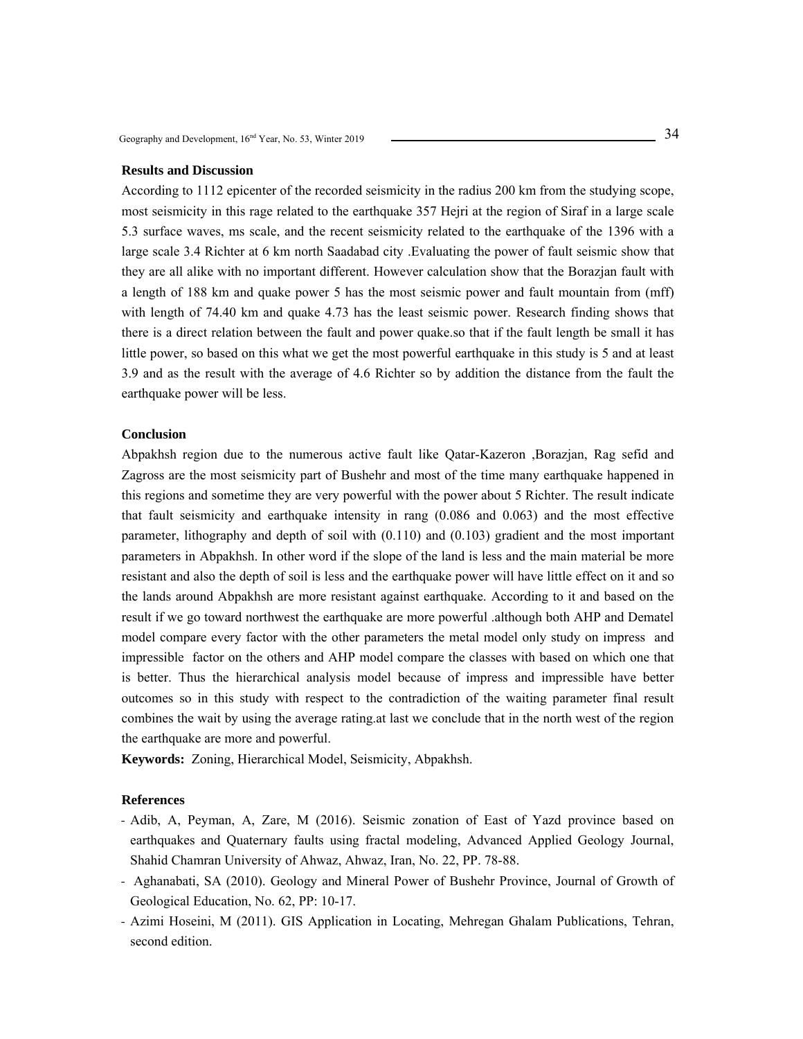### **Results and Discussion**

According to 1112 epicenter of the recorded seismicity in the radius 200 km from the studying scope, most seismicity in this rage related to the earthquake 357 Hejri at the region of Siraf in a large scale 5.3 surface waves, ms scale, and the recent seismicity related to the earthquake of the 1396 with a large scale 3.4 Richter at 6 km north Saadabad city .Evaluating the power of fault seismic show that they are all alike with no important different. However calculation show that the Borazjan fault with a length of 188 km and quake power 5 has the most seismic power and fault mountain from (mff) with length of 74.40 km and quake 4.73 has the least seismic power. Research finding shows that there is a direct relation between the fault and power quake.so that if the fault length be small it has little power, so based on this what we get the most powerful earthquake in this study is 5 and at least 3.9 and as the result with the average of 4.6 Richter so by addition the distance from the fault the earthquake power will be less.

### **Conclusion**

Abpakhsh region due to the numerous active fault like Qatar-Kazeron ,Borazjan, Rag sefid and Zagross are the most seismicity part of Bushehr and most of the time many earthquake happened in this regions and sometime they are very powerful with the power about 5 Richter. The result indicate that fault seismicity and earthquake intensity in rang (0.086 and 0.063) and the most effective parameter, lithography and depth of soil with (0.110) and (0.103) gradient and the most important parameters in Abpakhsh. In other word if the slope of the land is less and the main material be more resistant and also the depth of soil is less and the earthquake power will have little effect on it and so the lands around Abpakhsh are more resistant against earthquake. According to it and based on the result if we go toward northwest the earthquake are more powerful .although both AHP and Dematel model compare every factor with the other parameters the metal model only study on impress and impressible factor on the others and AHP model compare the classes with based on which one that is better. Thus the hierarchical analysis model because of impress and impressible have better outcomes so in this study with respect to the contradiction of the waiting parameter final result combines the wait by using the average rating.at last we conclude that in the north west of the region the earthquake are more and powerful.

**Keywords:** Zoning, Hierarchical Model, Seismicity, Abpakhsh.

- Adib, A, Peyman, A, Zare, M (2016). Seismic zonation of East of Yazd province based on earthquakes and Quaternary faults using fractal modeling, Advanced Applied Geology Journal, Shahid Chamran University of Ahwaz, Ahwaz, Iran, No. 22, PP. 78-88.
- Aghanabati, SA (2010). Geology and Mineral Power of Bushehr Province, Journal of Growth of Geological Education, No. 62, PP: 10-17.
- Azimi Hoseini, M (2011). GIS Application in Locating, Mehregan Ghalam Publications, Tehran, second edition.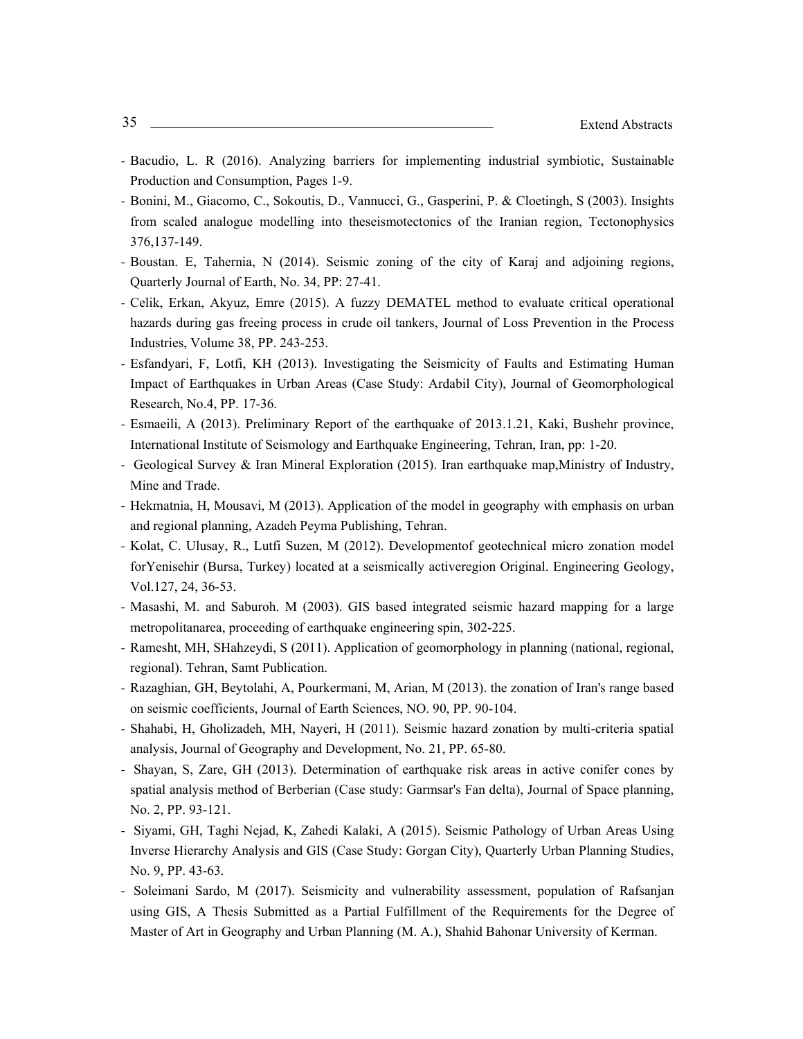- Bacudio, L. R (2016). Analyzing barriers for implementing industrial symbiotic, Sustainable Production and Consumption, Pages 1-9.
- Bonini, M., Giacomo, C., Sokoutis, D., Vannucci, G., Gasperini, P. & Cloetingh, S (2003). Insights from scaled analogue modelling into theseismotectonics of the Iranian region, Tectonophysics 376,137-149.
- Boustan. E, Tahernia, N (2014). Seismic zoning of the city of Karaj and adjoining regions, Quarterly Journal of Earth, No. 34, PP: 27-41.
- Celik, Erkan, Akyuz, Emre (2015). A fuzzy DEMATEL method to evaluate critical operational hazards during gas freeing process in crude oil tankers, Journal of Loss Prevention in the Process Industries, Volume 38, PP. 243-253.
- Esfandyari, F, Lotfi, KH (2013). Investigating the Seismicity of Faults and Estimating Human Impact of Earthquakes in Urban Areas (Case Study: Ardabil City), Journal of Geomorphological Research, No.4, PP. 17-36.
- Esmaeili, A (2013). Preliminary Report of the earthquake of 2013.1.21, Kaki, Bushehr province, International Institute of Seismology and Earthquake Engineering, Tehran, Iran, pp: 1-20.
- Geological Survey & Iran Mineral Exploration (2015). Iran earthquake map,Ministry of Industry, Mine and Trade.
- Hekmatnia, H, Mousavi, M (2013). Application of the model in geography with emphasis on urban and regional planning, Azadeh Peyma Publishing, Tehran.
- Kolat, C. Ulusay, R., Lutfi Suzen, M (2012). Developmentof geotechnical micro zonation model forYenisehir (Bursa, Turkey) located at a seismically activeregion Original. Engineering Geology, Vol.127, 24, 36-53.
- Masashi, M. and Saburoh. M (2003). GIS based integrated seismic hazard mapping for a large metropolitanarea, proceeding of earthquake engineering spin, 302-225.
- Ramesht, MH, SHahzeydi, S (2011). Application of geomorphology in planning (national, regional, regional). Tehran, Samt Publication.
- Razaghian, GH, Beytolahi, A, Pourkermani, M, Arian, M (2013). the zonation of Iran's range based on seismic coefficients, Journal of Earth Sciences, NO. 90, PP. 90-104.
- Shahabi, H, Gholizadeh, MH, Nayeri, H (2011). Seismic hazard zonation by multi-criteria spatial analysis, Journal of Geography and Development, No. 21, PP. 65-80.
- Shayan, S, Zare, GH (2013). Determination of earthquake risk areas in active conifer cones by spatial analysis method of Berberian (Case study: Garmsar's Fan delta), Journal of Space planning, No. 2, PP. 93-121.
- Siyami, GH, Taghi Nejad, K, Zahedi Kalaki, A (2015). Seismic Pathology of Urban Areas Using Inverse Hierarchy Analysis and GIS (Case Study: Gorgan City), Quarterly Urban Planning Studies, No. 9, PP. 43-63.
- Soleimani Sardo, M (2017). Seismicity and vulnerability assessment, population of Rafsanjan using GIS, A Thesis Submitted as a Partial Fulfillment of the Requirements for the Degree of Master of Art in Geography and Urban Planning (M. A.), Shahid Bahonar University of Kerman.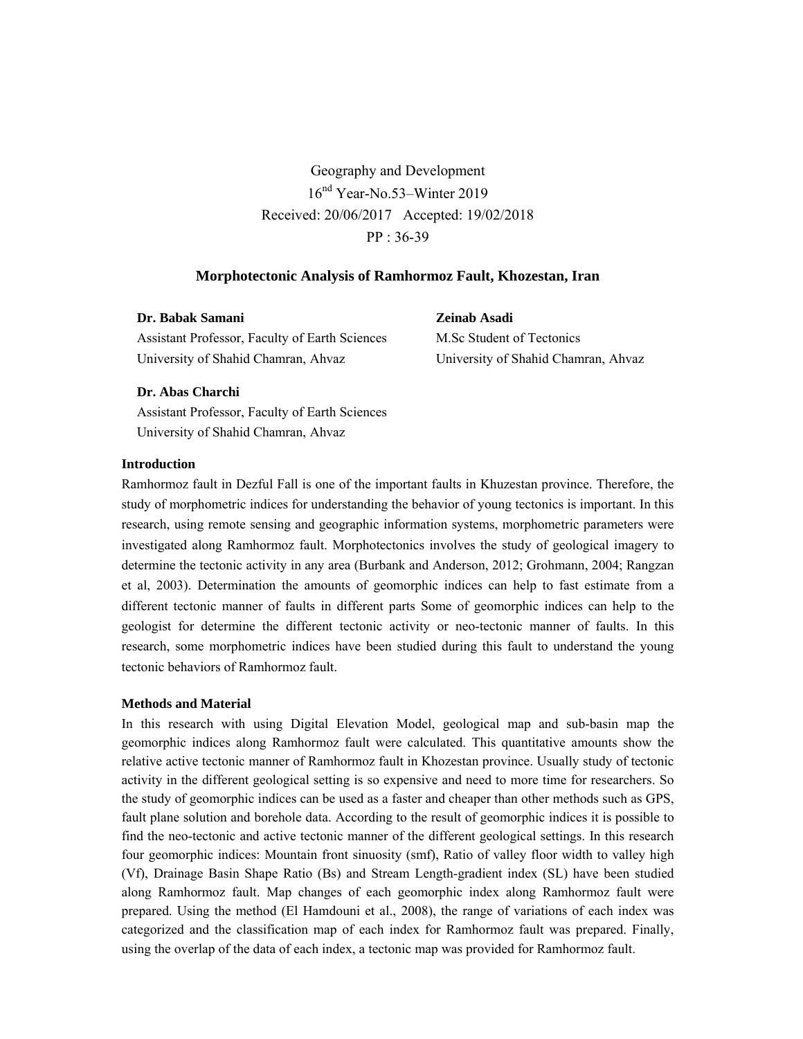Geography and Development 16nd Year-No.53–Winter 2019 Received: 20/06/2017 Accepted: 19/02/2018 PP : 36-39

# **Morphotectonic Analysis of Ramhormoz Fault, Khozestan, Iran**

| Dr. Babak Samani                               |
|------------------------------------------------|
| Assistant Professor, Faculty of Earth Sciences |
| University of Shahid Chamran, Ahvaz            |

**Zeinab Asadi**  M.Sc Student of Tectonics University of Shahid Chamran, Ahvaz

# **Dr. Abas Charchi**

Assistant Professor, Faculty of Earth Sciences University of Shahid Chamran, Ahvaz

# **Introduction**

Ramhormoz fault in Dezful Fall is one of the important faults in Khuzestan province. Therefore, the study of morphometric indices for understanding the behavior of young tectonics is important. In this research, using remote sensing and geographic information systems, morphometric parameters were investigated along Ramhormoz fault. Morphotectonics involves the study of geological imagery to determine the tectonic activity in any area (Burbank and Anderson, 2012; Grohmann, 2004; Rangzan et al, 2003). Determination the amounts of geomorphic indices can help to fast estimate from a different tectonic manner of faults in different parts Some of geomorphic indices can help to the geologist for determine the different tectonic activity or neo-tectonic manner of faults. In this research, some morphometric indices have been studied during this fault to understand the young tectonic behaviors of Ramhormoz fault.

### **Methods and Material**

In this research with using Digital Elevation Model, geological map and sub-basin map the geomorphic indices along Ramhormoz fault were calculated. This quantitative amounts show the relative active tectonic manner of Ramhormoz fault in Khozestan province. Usually study of tectonic activity in the different geological setting is so expensive and need to more time for researchers. So the study of geomorphic indices can be used as a faster and cheaper than other methods such as GPS, fault plane solution and borehole data. According to the result of geomorphic indices it is possible to find the neo-tectonic and active tectonic manner of the different geological settings. In this research four geomorphic indices: Mountain front sinuosity (smf), Ratio of valley floor width to valley high (Vf), Drainage Basin Shape Ratio (Bs) and Stream Length-gradient index (SL) have been studied along Ramhormoz fault. Map changes of each geomorphic index along Ramhormoz fault were prepared. Using the method (El Hamdouni et al., 2008), the range of variations of each index was categorized and the classification map of each index for Ramhormoz fault was prepared. Finally, using the overlap of the data of each index, a tectonic map was provided for Ramhormoz fault.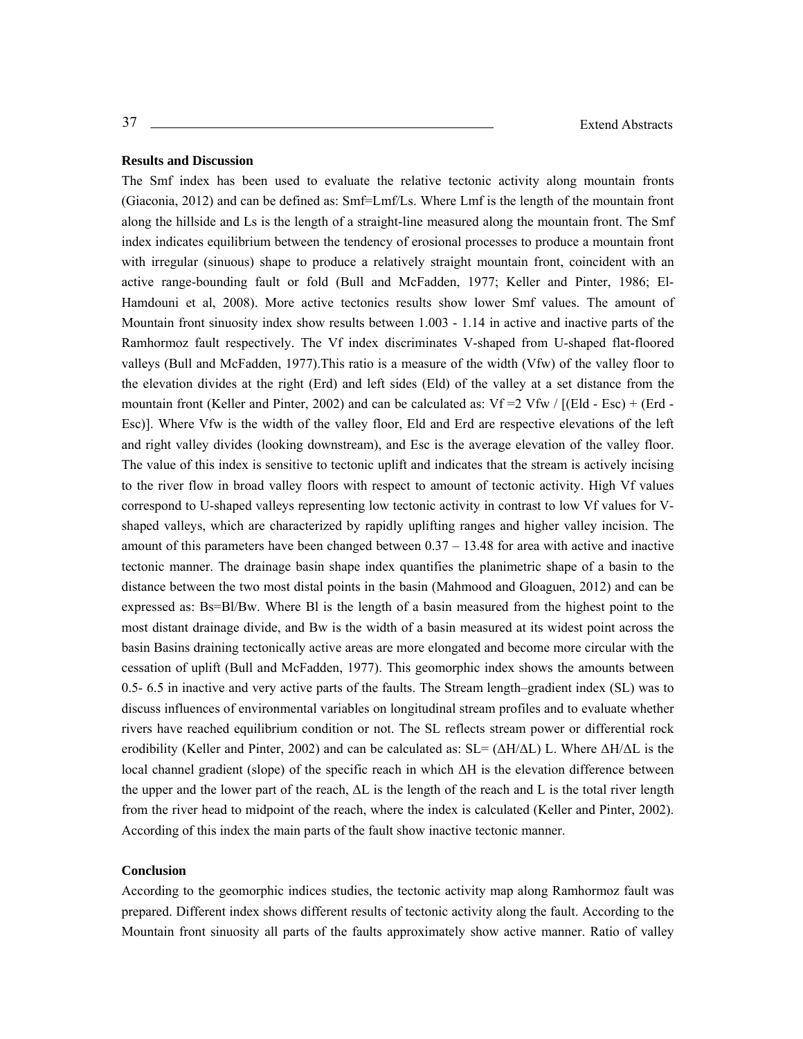### **Results and Discussion**

The Smf index has been used to evaluate the relative tectonic activity along mountain fronts (Giaconia, 2012) and can be defined as: Smf=Lmf/Ls. Where Lmf is the length of the mountain front along the hillside and Ls is the length of a straight-line measured along the mountain front. The Smf index indicates equilibrium between the tendency of erosional processes to produce a mountain front with irregular (sinuous) shape to produce a relatively straight mountain front, coincident with an active range-bounding fault or fold (Bull and McFadden, 1977; Keller and Pinter, 1986; El-Hamdouni et al, 2008). More active tectonics results show lower Smf values. The amount of Mountain front sinuosity index show results between 1.003 - 1.14 in active and inactive parts of the Ramhormoz fault respectively. The Vf index discriminates V-shaped from U-shaped flat-floored valleys (Bull and McFadden, 1977).This ratio is a measure of the width (Vfw) of the valley floor to the elevation divides at the right (Erd) and left sides (Eld) of the valley at a set distance from the mountain front (Keller and Pinter, 2002) and can be calculated as:  $Vf = 2 Vfw / [(Eld - Esc) + (Erd -$ Esc)]. Where Vfw is the width of the valley floor, Eld and Erd are respective elevations of the left and right valley divides (looking downstream), and Esc is the average elevation of the valley floor. The value of this index is sensitive to tectonic uplift and indicates that the stream is actively incising to the river flow in broad valley floors with respect to amount of tectonic activity. High Vf values correspond to U-shaped valleys representing low tectonic activity in contrast to low Vf values for Vshaped valleys, which are characterized by rapidly uplifting ranges and higher valley incision. The amount of this parameters have been changed between 0.37 – 13.48 for area with active and inactive tectonic manner. The drainage basin shape index quantifies the planimetric shape of a basin to the distance between the two most distal points in the basin (Mahmood and Gloaguen, 2012) and can be expressed as: Bs=Bl/Bw. Where Bl is the length of a basin measured from the highest point to the most distant drainage divide, and Bw is the width of a basin measured at its widest point across the basin Basins draining tectonically active areas are more elongated and become more circular with the cessation of uplift (Bull and McFadden, 1977). This geomorphic index shows the amounts between 0.5- 6.5 in inactive and very active parts of the faults. The Stream length–gradient index (SL) was to discuss influences of environmental variables on longitudinal stream profiles and to evaluate whether rivers have reached equilibrium condition or not. The SL reflects stream power or differential rock erodibility (Keller and Pinter, 2002) and can be calculated as:  $SL = (\Delta H/\Delta L) L$ . Where  $\Delta H/\Delta L$  is the local channel gradient (slope) of the specific reach in which ΔH is the elevation difference between the upper and the lower part of the reach,  $\Delta L$  is the length of the reach and L is the total river length from the river head to midpoint of the reach, where the index is calculated (Keller and Pinter, 2002). According of this index the main parts of the fault show inactive tectonic manner.

### **Conclusion**

According to the geomorphic indices studies, the tectonic activity map along Ramhormoz fault was prepared. Different index shows different results of tectonic activity along the fault. According to the Mountain front sinuosity all parts of the faults approximately show active manner. Ratio of valley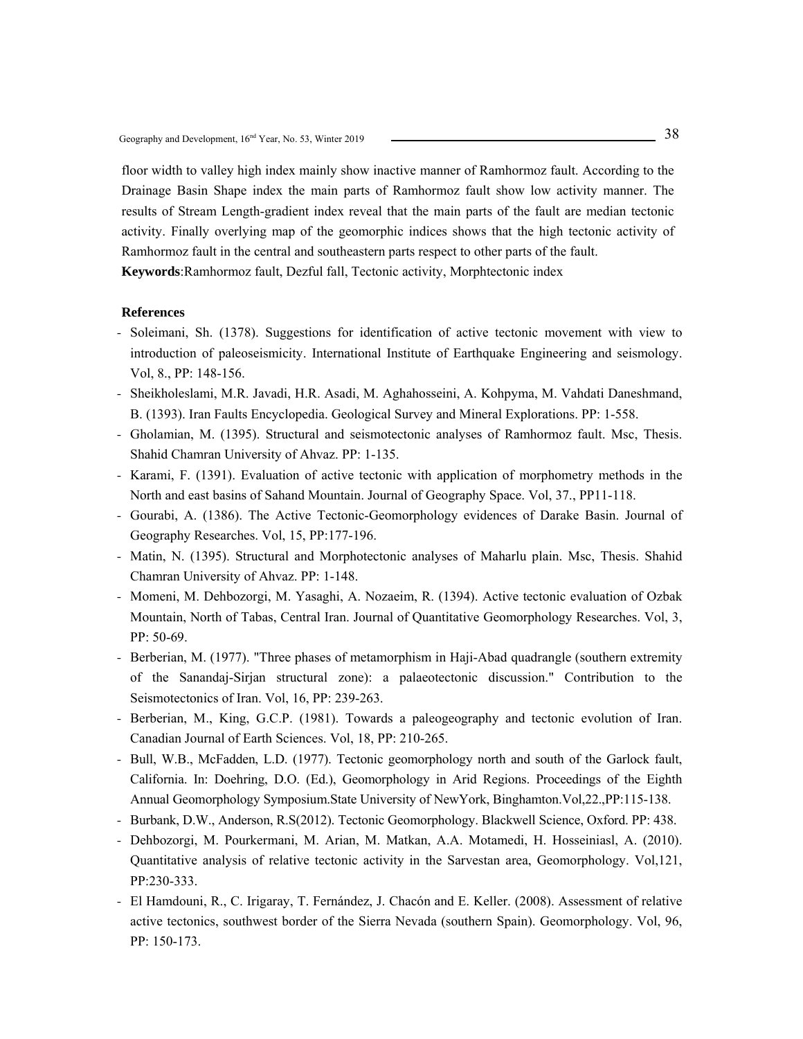floor width to valley high index mainly show inactive manner of Ramhormoz fault. According to the Drainage Basin Shape index the main parts of Ramhormoz fault show low activity manner. The results of Stream Length-gradient index reveal that the main parts of the fault are median tectonic activity. Finally overlying map of the geomorphic indices shows that the high tectonic activity of Ramhormoz fault in the central and southeastern parts respect to other parts of the fault.

**Keywords**:Ramhormoz fault, Dezful fall, Tectonic activity, Morphtectonic index

- Soleimani, Sh. (1378). Suggestions for identification of active tectonic movement with view to introduction of paleoseismicity. International Institute of Earthquake Engineering and seismology. Vol, 8., PP: 148-156.
- Sheikholeslami, M.R. Javadi, H.R. Asadi, M. Aghahosseini, A. Kohpyma, M. Vahdati Daneshmand, B. (1393). Iran Faults Encyclopedia. Geological Survey and Mineral Explorations. PP: 1-558.
- Gholamian, M. (1395). Structural and seismotectonic analyses of Ramhormoz fault. Msc, Thesis. Shahid Chamran University of Ahvaz. PP: 1-135.
- Karami, F. (1391). Evaluation of active tectonic with application of morphometry methods in the North and east basins of Sahand Mountain. Journal of Geography Space. Vol, 37., PP11-118.
- Gourabi, A. (1386). The Active Tectonic-Geomorphology evidences of Darake Basin. Journal of Geography Researches. Vol, 15, PP:177-196.
- Matin, N. (1395). Structural and Morphotectonic analyses of Maharlu plain. Msc, Thesis. Shahid Chamran University of Ahvaz. PP: 1-148.
- Momeni, M. Dehbozorgi, M. Yasaghi, A. Nozaeim, R. (1394). Active tectonic evaluation of Ozbak Mountain, North of Tabas, Central Iran. Journal of Quantitative Geomorphology Researches. Vol, 3, PP: 50-69.
- Berberian, M. (1977). "Three phases of metamorphism in Haji-Abad quadrangle (southern extremity of the Sanandaj-Sirjan structural zone): a palaeotectonic discussion." Contribution to the Seismotectonics of Iran. Vol, 16, PP: 239-263.
- Berberian, M., King, G.C.P. (1981). Towards a paleogeography and tectonic evolution of Iran. Canadian Journal of Earth Sciences. Vol, 18, PP: 210-265.
- Bull, W.B., McFadden, L.D. (1977). Tectonic geomorphology north and south of the Garlock fault, California. In: Doehring, D.O. (Ed.), Geomorphology in Arid Regions. Proceedings of the Eighth Annual Geomorphology Symposium.State University of NewYork, Binghamton.Vol,22.,PP:115-138.
- Burbank, D.W., Anderson, R.S(2012). Tectonic Geomorphology. Blackwell Science, Oxford. PP: 438.
- Dehbozorgi, M. Pourkermani, M. Arian, M. Matkan, A.A. Motamedi, H. Hosseiniasl, A. (2010). Quantitative analysis of relative tectonic activity in the Sarvestan area, Geomorphology. Vol,121, PP:230-333.
- El Hamdouni, R., C. Irigaray, T. Fernández, J. Chacón and E. Keller. (2008). Assessment of relative active tectonics, southwest border of the Sierra Nevada (southern Spain). Geomorphology. Vol, 96, PP: 150-173.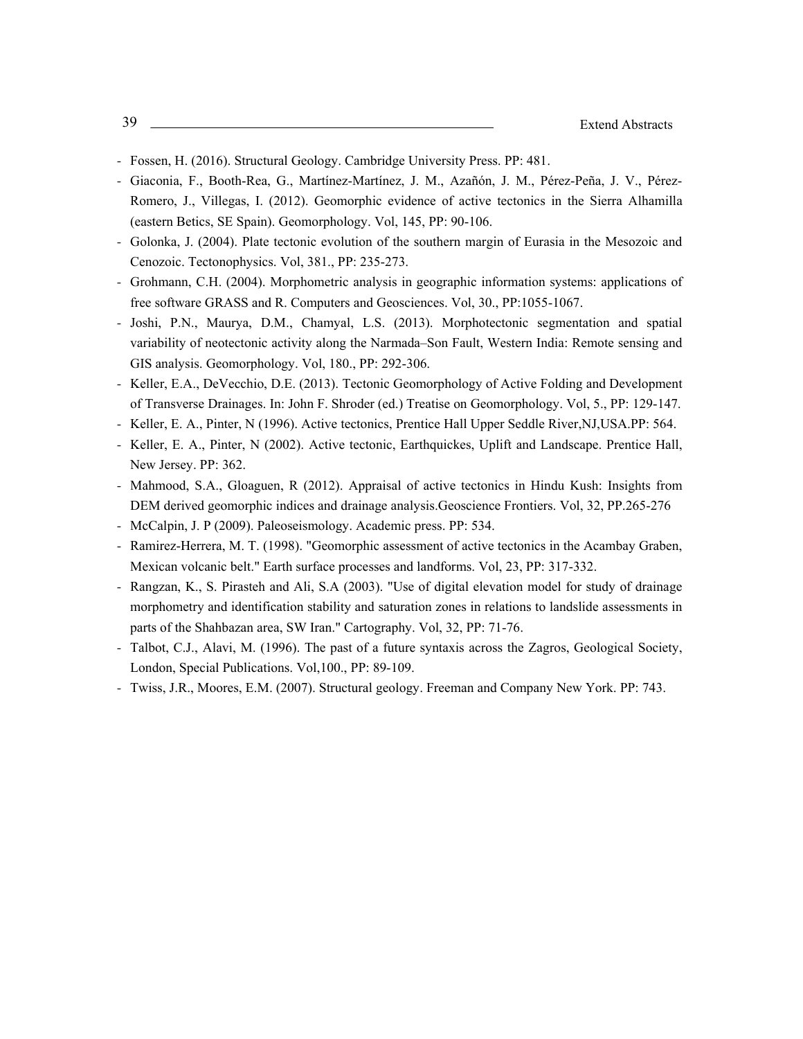- Fossen, H. (2016). Structural Geology. Cambridge University Press. PP: 481.
- Giaconia, F., Booth-Rea, G., Martínez-Martínez, J. M., Azañón, J. M., Pérez-Peña, J. V., Pérez-Romero, J., Villegas, I. (2012). Geomorphic evidence of active tectonics in the Sierra Alhamilla (eastern Betics, SE Spain). Geomorphology. Vol, 145, PP: 90-106.
- Golonka, J. (2004). Plate tectonic evolution of the southern margin of Eurasia in the Mesozoic and Cenozoic. Tectonophysics. Vol, 381., PP: 235-273.
- Grohmann, C.H. (2004). Morphometric analysis in geographic information systems: applications of free software GRASS and R. Computers and Geosciences. Vol, 30., PP:1055-1067.
- Joshi, P.N., Maurya, D.M., Chamyal, L.S. (2013). Morphotectonic segmentation and spatial variability of neotectonic activity along the Narmada–Son Fault, Western India: Remote sensing and GIS analysis. Geomorphology. Vol, 180., PP: 292-306.
- Keller, E.A., DeVecchio, D.E. (2013). Tectonic Geomorphology of Active Folding and Development of Transverse Drainages. In: John F. Shroder (ed.) Treatise on Geomorphology. Vol, 5., PP: 129-147.
- Keller, E. A., Pinter, N (1996). Active tectonics, Prentice Hall Upper Seddle River,NJ,USA.PP: 564.
- Keller, E. A., Pinter, N (2002). Active tectonic, Earthquickes, Uplift and Landscape. Prentice Hall, New Jersey. PP: 362.
- Mahmood, S.A., Gloaguen, R (2012). Appraisal of active tectonics in Hindu Kush: Insights from DEM derived geomorphic indices and drainage analysis.Geoscience Frontiers. Vol, 32, PP.265-276
- McCalpin, J. P (2009). Paleoseismology. Academic press. PP: 534.
- Ramirez-Herrera, M. T. (1998). "Geomorphic assessment of active tectonics in the Acambay Graben, Mexican volcanic belt." Earth surface processes and landforms. Vol, 23, PP: 317-332.
- Rangzan, K., S. Pirasteh and Ali, S.A (2003). "Use of digital elevation model for study of drainage morphometry and identification stability and saturation zones in relations to landslide assessments in parts of the Shahbazan area, SW Iran." Cartography. Vol, 32, PP: 71-76.
- Talbot, C.J., Alavi, M. (1996). The past of a future syntaxis across the Zagros, Geological Society, London, Special Publications. Vol,100., PP: 89-109.
- Twiss, J.R., Moores, E.M. (2007). Structural geology. Freeman and Company New York. PP: 743.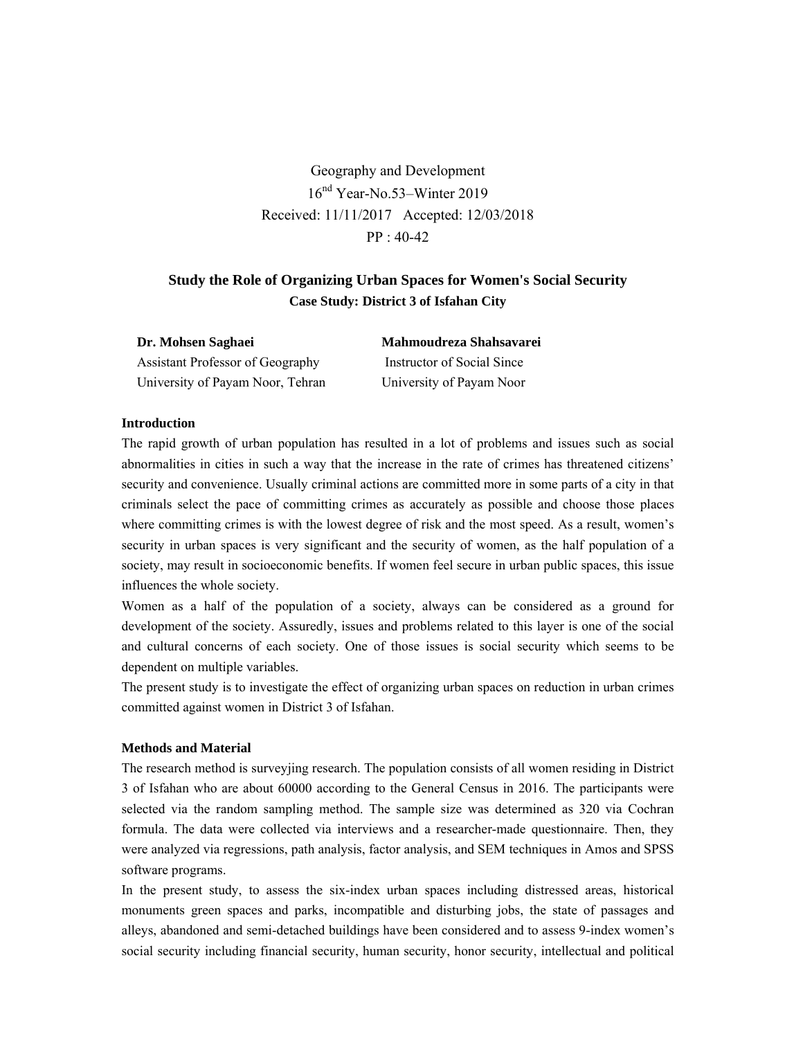Geography and Development 16nd Year-No.53–Winter 2019 Received: 11/11/2017 Accepted: 12/03/2018 PP : 40-42

# **Study the Role of Organizing Urban Spaces for Women's Social Security Case Study: District 3 of Isfahan City**

| Dr. Mohsen Saghaei               | Mahmoudreza Shahsavarei    |
|----------------------------------|----------------------------|
| Assistant Professor of Geography | Instructor of Social Since |
| University of Payam Noor, Tehran | University of Payam Noor   |

### **Introduction**

The rapid growth of urban population has resulted in a lot of problems and issues such as social abnormalities in cities in such a way that the increase in the rate of crimes has threatened citizens' security and convenience. Usually criminal actions are committed more in some parts of a city in that criminals select the pace of committing crimes as accurately as possible and choose those places where committing crimes is with the lowest degree of risk and the most speed. As a result, women's security in urban spaces is very significant and the security of women, as the half population of a society, may result in socioeconomic benefits. If women feel secure in urban public spaces, this issue influences the whole society.

Women as a half of the population of a society, always can be considered as a ground for development of the society. Assuredly, issues and problems related to this layer is one of the social and cultural concerns of each society. One of those issues is social security which seems to be dependent on multiple variables.

The present study is to investigate the effect of organizing urban spaces on reduction in urban crimes committed against women in District 3 of Isfahan.

### **Methods and Material**

The research method is surveyjing research. The population consists of all women residing in District 3 of Isfahan who are about 60000 according to the General Census in 2016. The participants were selected via the random sampling method. The sample size was determined as 320 via Cochran formula. The data were collected via interviews and a researcher-made questionnaire. Then, they were analyzed via regressions, path analysis, factor analysis, and SEM techniques in Amos and SPSS software programs.

In the present study, to assess the six-index urban spaces including distressed areas, historical monuments green spaces and parks, incompatible and disturbing jobs, the state of passages and alleys, abandoned and semi-detached buildings have been considered and to assess 9-index women's social security including financial security, human security, honor security, intellectual and political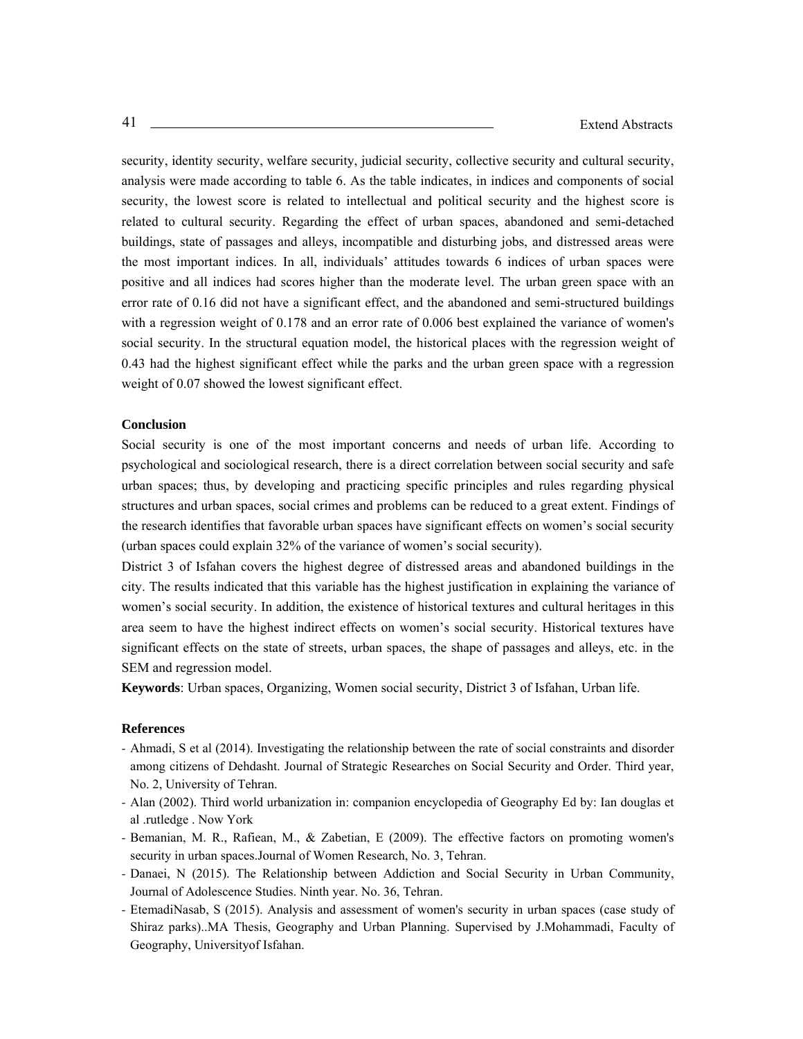security, identity security, welfare security, judicial security, collective security and cultural security, analysis were made according to table 6. As the table indicates, in indices and components of social security, the lowest score is related to intellectual and political security and the highest score is related to cultural security. Regarding the effect of urban spaces, abandoned and semi-detached buildings, state of passages and alleys, incompatible and disturbing jobs, and distressed areas were the most important indices. In all, individuals' attitudes towards 6 indices of urban spaces were positive and all indices had scores higher than the moderate level. The urban green space with an error rate of 0.16 did not have a significant effect, and the abandoned and semi-structured buildings with a regression weight of 0.178 and an error rate of 0.006 best explained the variance of women's social security. In the structural equation model, the historical places with the regression weight of 0.43 had the highest significant effect while the parks and the urban green space with a regression weight of 0.07 showed the lowest significant effect.

### **Conclusion**

Social security is one of the most important concerns and needs of urban life. According to psychological and sociological research, there is a direct correlation between social security and safe urban spaces; thus, by developing and practicing specific principles and rules regarding physical structures and urban spaces, social crimes and problems can be reduced to a great extent. Findings of the research identifies that favorable urban spaces have significant effects on women's social security (urban spaces could explain 32% of the variance of women's social security).

District 3 of Isfahan covers the highest degree of distressed areas and abandoned buildings in the city. The results indicated that this variable has the highest justification in explaining the variance of women's social security. In addition, the existence of historical textures and cultural heritages in this area seem to have the highest indirect effects on women's social security. Historical textures have significant effects on the state of streets, urban spaces, the shape of passages and alleys, etc. in the SEM and regression model.

**Keywords**: Urban spaces, Organizing, Women social security, District 3 of Isfahan, Urban life.

- Ahmadi, S et al (2014). Investigating the relationship between the rate of social constraints and disorder among citizens of Dehdasht. Journal of Strategic Researches on Social Security and Order. Third year, No. 2, University of Tehran.
- Alan (2002). Third world urbanization in: companion encyclopedia of Geography Ed by: Ian douglas et al .rutledge . Now York
- Bemanian, M. R., Rafiean, M., & Zabetian, E (2009). The effective factors on promoting women's security in urban spaces.Journal of Women Research, No. 3, Tehran.
- Danaei, N (2015). The Relationship between Addiction and Social Security in Urban Community, Journal of Adolescence Studies. Ninth year. No. 36, Tehran.
- EtemadiNasab, S (2015). Analysis and assessment of women's security in urban spaces (case study of Shiraz parks)..MA Thesis, Geography and Urban Planning. Supervised by J.Mohammadi, Faculty of Geography, Universityof Isfahan.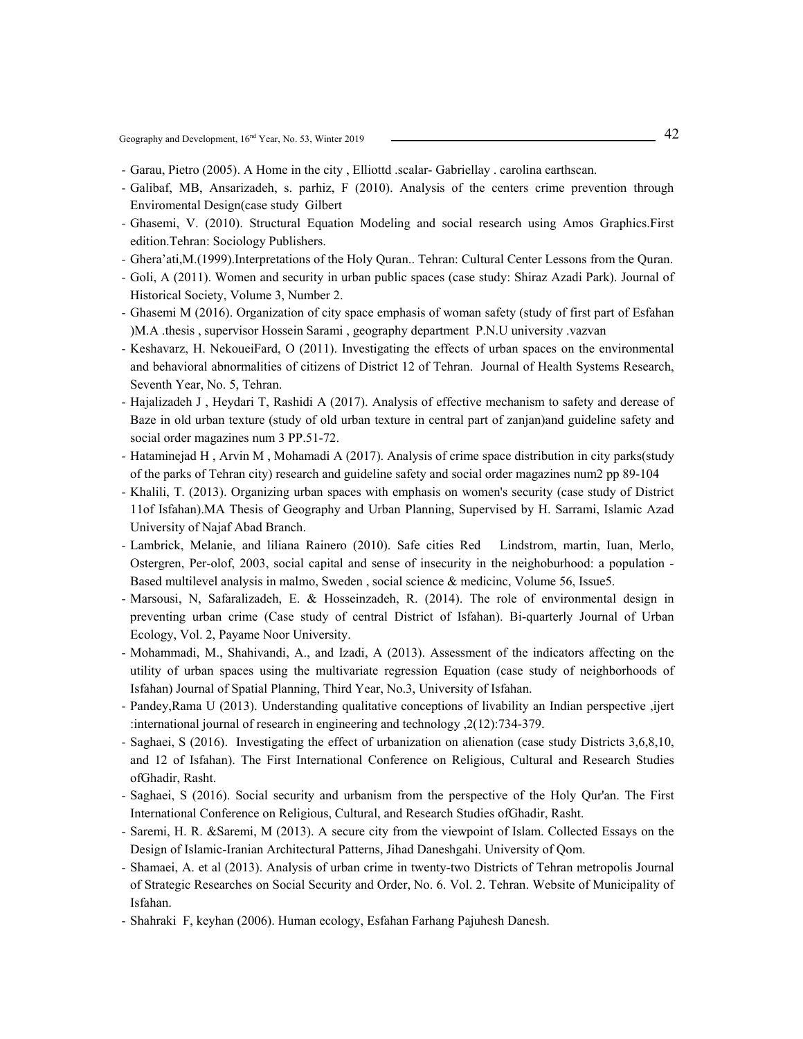Geography and Development, 16<sup>nd</sup> Year, No. 53, Winter 2019

- Garau, Pietro (2005). A Home in the city , Elliottd .scalar- Gabriellay . carolina earthscan.
- Galibaf, MB, Ansarizadeh, s. parhiz, F ( 2010). Analysis of the centers crime prevention through Enviromental Design(case study Gilbert
- Ghasemi, V. (2010). Structural Equation Modeling and social research using Amos Graphics.First edition.Tehran: Sociology Publishers.
- Ghera'ati,M.(1999).Interpretations of the Holy Quran.. Tehran: Cultural Center Lessons from the Quran.
- Goli, A (2011). Women and security in urban public spaces (case study: Shiraz Azadi Park). Journal of Historical Society, Volume 3, Number 2.
- Ghasemi M (2016). Organization of city space emphasis of woman safety (study of first part of Esfahan )M.A .thesis , supervisor Hossein Sarami , geography department P.N.U university .vazvan
- Keshavarz, H. NekoueiFard, O (2011). Investigating the effects of urban spaces on the environmental and behavioral abnormalities of citizens of District 12 of Tehran. Journal of Health Systems Research, Seventh Year, No. 5, Tehran.
- Hajalizadeh J , Heydari T, Rashidi A (2017). Analysis of effective mechanism to safety and derease of Baze in old urban texture (study of old urban texture in central part of zanjan)and guideline safety and social order magazines num 3 PP.51-72.
- Hataminejad H , Arvin M , Mohamadi A (2017). Analysis of crime space distribution in city parks(study of the parks of Tehran city) research and guideline safety and social order magazines num2 pp 89-104
- Khalili, T. (2013). Organizing urban spaces with emphasis on women's security (case study of District 11of Isfahan).MA Thesis of Geography and Urban Planning, Supervised by H. Sarrami, Islamic Azad University of Najaf Abad Branch.
- Lambrick, Melanie, and liliana Rainero (2010). Safe cities Red Lindstrom, martin, Iuan, Merlo, Ostergren, Per-olof, 2003, social capital and sense of insecurity in the neighoburhood: a population - Based multilevel analysis in malmo, Sweden , social science & medicinc, Volume 56, Issue5.
- Marsousi, N, Safaralizadeh, E. & Hosseinzadeh, R. (2014). The role of environmental design in preventing urban crime (Case study of central District of Isfahan). Bi-quarterly Journal of Urban Ecology, Vol. 2, Payame Noor University.
- Mohammadi, M., Shahivandi, A., and Izadi, A (2013). Assessment of the indicators affecting on the utility of urban spaces using the multivariate regression Equation (case study of neighborhoods of Isfahan) Journal of Spatial Planning, Third Year, No.3, University of Isfahan.
- Pandey,Rama U (2013). Understanding qualitative conceptions of livability an Indian perspective ,ijert :international journal of research in engineering and technology ,2(12):734-379.
- Saghaei, S (2016). Investigating the effect of urbanization on alienation (case study Districts 3,6,8,10, and 12 of Isfahan). The First International Conference on Religious, Cultural and Research Studies ofGhadir, Rasht.
- Saghaei, S (2016). Social security and urbanism from the perspective of the Holy Qur'an. The First International Conference on Religious, Cultural, and Research Studies ofGhadir, Rasht.
- Saremi, H. R. &Saremi, M (2013). A secure city from the viewpoint of Islam. Collected Essays on the Design of Islamic-Iranian Architectural Patterns, Jihad Daneshgahi. University of Qom.
- Shamaei, A. et al (2013). Analysis of urban crime in twenty-two Districts of Tehran metropolis Journal of Strategic Researches on Social Security and Order, No. 6. Vol. 2. Tehran. Website of Municipality of Isfahan.
- Shahraki F, keyhan (2006). Human ecology, Esfahan Farhang Pajuhesh Danesh.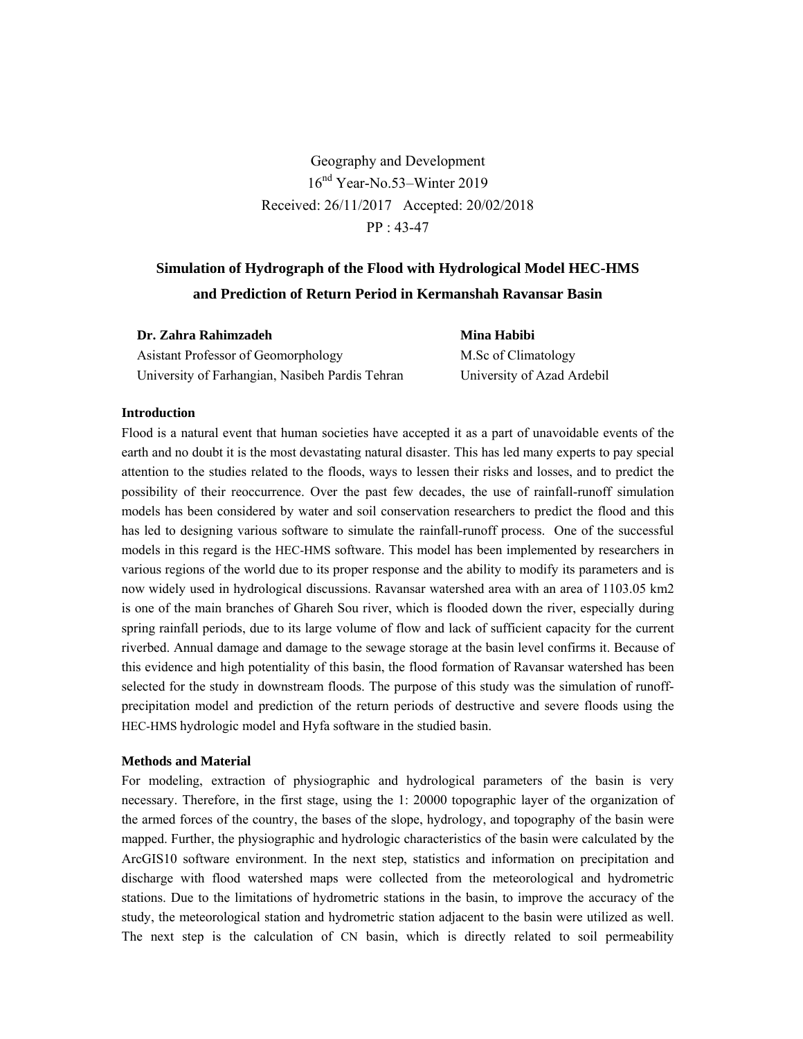Geography and Development  $16<sup>nd</sup> Year-No.53-Winter 2019$ Received: 26/11/2017 Accepted: 20/02/2018 PP : 43-47

# **Simulation of Hydrograph of the Flood with Hydrological Model HEC-HMS and Prediction of Return Period in Kermanshah Ravansar Basin**

| Dr. Zahra Rahimzadeh                            | Mina Habibi                |
|-------------------------------------------------|----------------------------|
| Asistant Professor of Geomorphology             | M.Sc of Climatology        |
| University of Farhangian, Nasibeh Pardis Tehran | University of Azad Ardebil |

### **Introduction**

Flood is a natural event that human societies have accepted it as a part of unavoidable events of the earth and no doubt it is the most devastating natural disaster. This has led many experts to pay special attention to the studies related to the floods, ways to lessen their risks and losses, and to predict the possibility of their reoccurrence. Over the past few decades, the use of rainfall-runoff simulation models has been considered by water and soil conservation researchers to predict the flood and this has led to designing various software to simulate the rainfall-runoff process. One of the successful models in this regard is the HEC-HMS software. This model has been implemented by researchers in various regions of the world due to its proper response and the ability to modify its parameters and is now widely used in hydrological discussions. Ravansar watershed area with an area of 1103.05 km2 is one of the main branches of Ghareh Sou river, which is flooded down the river, especially during spring rainfall periods, due to its large volume of flow and lack of sufficient capacity for the current riverbed. Annual damage and damage to the sewage storage at the basin level confirms it. Because of this evidence and high potentiality of this basin, the flood formation of Ravansar watershed has been selected for the study in downstream floods. The purpose of this study was the simulation of runoffprecipitation model and prediction of the return periods of destructive and severe floods using the HEC-HMS hydrologic model and Hyfa software in the studied basin.

## **Methods and Material**

For modeling, extraction of physiographic and hydrological parameters of the basin is very necessary. Therefore, in the first stage, using the 1: 20000 topographic layer of the organization of the armed forces of the country, the bases of the slope, hydrology, and topography of the basin were mapped. Further, the physiographic and hydrologic characteristics of the basin were calculated by the ArcGIS10 software environment. In the next step, statistics and information on precipitation and discharge with flood watershed maps were collected from the meteorological and hydrometric stations. Due to the limitations of hydrometric stations in the basin, to improve the accuracy of the study, the meteorological station and hydrometric station adjacent to the basin were utilized as well. The next step is the calculation of CN basin, which is directly related to soil permeability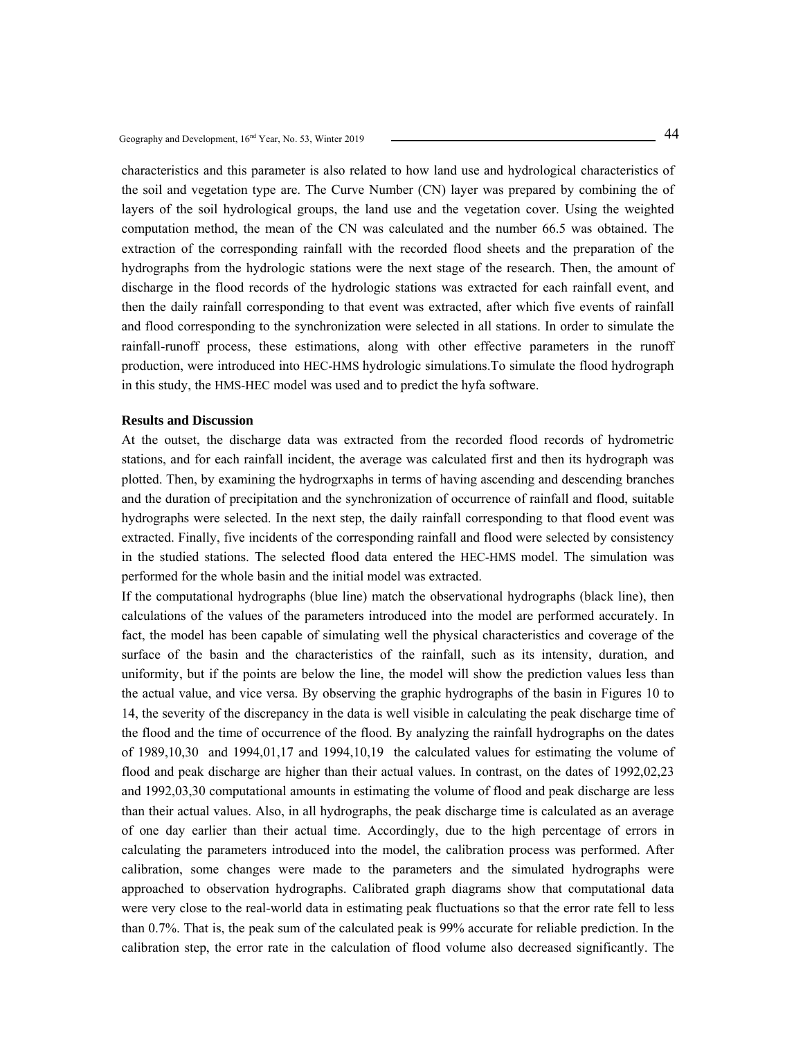characteristics and this parameter is also related to how land use and hydrological characteristics of the soil and vegetation type are. The Curve Number (CN) layer was prepared by combining the of layers of the soil hydrological groups, the land use and the vegetation cover. Using the weighted computation method, the mean of the CN was calculated and the number 66.5 was obtained. The extraction of the corresponding rainfall with the recorded flood sheets and the preparation of the hydrographs from the hydrologic stations were the next stage of the research. Then, the amount of discharge in the flood records of the hydrologic stations was extracted for each rainfall event, and then the daily rainfall corresponding to that event was extracted, after which five events of rainfall and flood corresponding to the synchronization were selected in all stations. In order to simulate the rainfall-runoff process, these estimations, along with other effective parameters in the runoff production, were introduced into HEC-HMS hydrologic simulations.To simulate the flood hydrograph in this study, the HMS-HEC model was used and to predict the hyfa software.

### **Results and Discussion**

At the outset, the discharge data was extracted from the recorded flood records of hydrometric stations, and for each rainfall incident, the average was calculated first and then its hydrograph was plotted. Then, by examining the hydrogrxaphs in terms of having ascending and descending branches and the duration of precipitation and the synchronization of occurrence of rainfall and flood, suitable hydrographs were selected. In the next step, the daily rainfall corresponding to that flood event was extracted. Finally, five incidents of the corresponding rainfall and flood were selected by consistency in the studied stations. The selected flood data entered the HEC-HMS model. The simulation was performed for the whole basin and the initial model was extracted.

If the computational hydrographs (blue line) match the observational hydrographs (black line), then calculations of the values of the parameters introduced into the model are performed accurately. In fact, the model has been capable of simulating well the physical characteristics and coverage of the surface of the basin and the characteristics of the rainfall, such as its intensity, duration, and uniformity, but if the points are below the line, the model will show the prediction values less than the actual value, and vice versa. By observing the graphic hydrographs of the basin in Figures 10 to 14, the severity of the discrepancy in the data is well visible in calculating the peak discharge time of the flood and the time of occurrence of the flood. By analyzing the rainfall hydrographs on the dates of 1989,10,30 and 1994,01,17 and 1994,10,19 the calculated values for estimating the volume of flood and peak discharge are higher than their actual values. In contrast, on the dates of 1992,02,23 and 1992,03,30 computational amounts in estimating the volume of flood and peak discharge are less than their actual values. Also, in all hydrographs, the peak discharge time is calculated as an average of one day earlier than their actual time. Accordingly, due to the high percentage of errors in calculating the parameters introduced into the model, the calibration process was performed. After calibration, some changes were made to the parameters and the simulated hydrographs were approached to observation hydrographs. Calibrated graph diagrams show that computational data were very close to the real-world data in estimating peak fluctuations so that the error rate fell to less than 0.7%. That is, the peak sum of the calculated peak is 99% accurate for reliable prediction. In the calibration step, the error rate in the calculation of flood volume also decreased significantly. The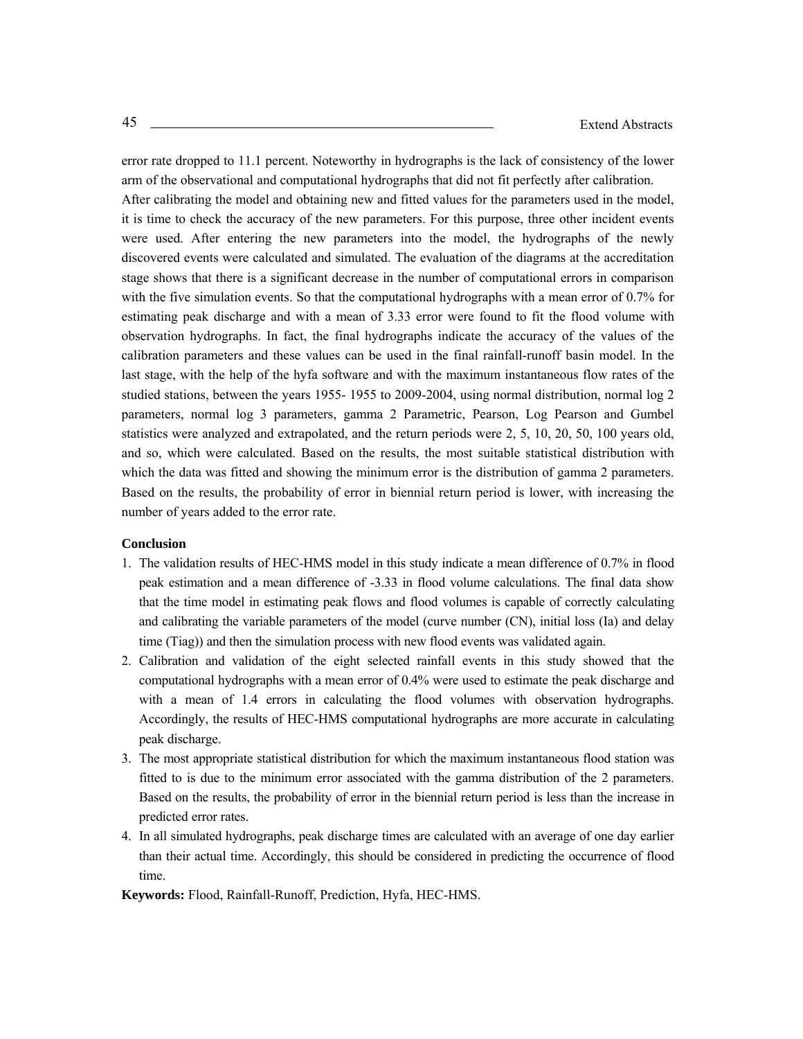error rate dropped to 11.1 percent. Noteworthy in hydrographs is the lack of consistency of the lower arm of the observational and computational hydrographs that did not fit perfectly after calibration. After calibrating the model and obtaining new and fitted values for the parameters used in the model, it is time to check the accuracy of the new parameters. For this purpose, three other incident events were used. After entering the new parameters into the model, the hydrographs of the newly discovered events were calculated and simulated. The evaluation of the diagrams at the accreditation stage shows that there is a significant decrease in the number of computational errors in comparison with the five simulation events. So that the computational hydrographs with a mean error of 0.7% for estimating peak discharge and with a mean of 3.33 error were found to fit the flood volume with observation hydrographs. In fact, the final hydrographs indicate the accuracy of the values of the calibration parameters and these values can be used in the final rainfall-runoff basin model. In the last stage, with the help of the hyfa software and with the maximum instantaneous flow rates of the studied stations, between the years 1955- 1955 to 2009-2004, using normal distribution, normal log 2 parameters, normal log 3 parameters, gamma 2 Parametric, Pearson, Log Pearson and Gumbel statistics were analyzed and extrapolated, and the return periods were 2, 5, 10, 20, 50, 100 years old, and so, which were calculated. Based on the results, the most suitable statistical distribution with which the data was fitted and showing the minimum error is the distribution of gamma 2 parameters. Based on the results, the probability of error in biennial return period is lower, with increasing the number of years added to the error rate.

### **Conclusion**

- 1. The validation results of HEC-HMS model in this study indicate a mean difference of 0.7% in flood peak estimation and a mean difference of -3.33 in flood volume calculations. The final data show that the time model in estimating peak flows and flood volumes is capable of correctly calculating and calibrating the variable parameters of the model (curve number (CN), initial loss (Ia) and delay time (Tiag)) and then the simulation process with new flood events was validated again.
- 2. Calibration and validation of the eight selected rainfall events in this study showed that the computational hydrographs with a mean error of 0.4% were used to estimate the peak discharge and with a mean of 1.4 errors in calculating the flood volumes with observation hydrographs. Accordingly, the results of HEC-HMS computational hydrographs are more accurate in calculating peak discharge.
- 3. The most appropriate statistical distribution for which the maximum instantaneous flood station was fitted to is due to the minimum error associated with the gamma distribution of the 2 parameters. Based on the results, the probability of error in the biennial return period is less than the increase in predicted error rates.
- 4. In all simulated hydrographs, peak discharge times are calculated with an average of one day earlier than their actual time. Accordingly, this should be considered in predicting the occurrence of flood time.

**Keywords:** Flood, Rainfall-Runoff, Prediction, Hyfa, HEC-HMS.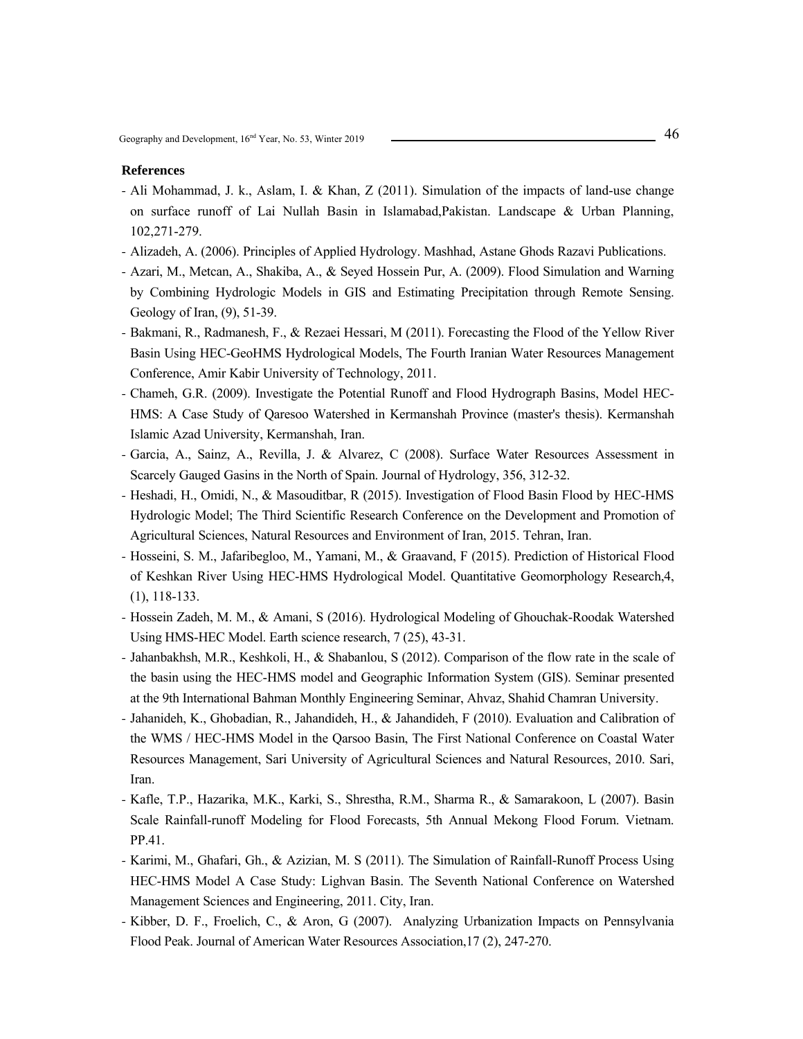- Ali Mohammad, J. k., Aslam, I. & Khan, Z (2011). Simulation of the impacts of land-use change on surface runoff of Lai Nullah Basin in Islamabad,Pakistan. Landscape & Urban Planning, 102,271-279.
- Alizadeh, A. (2006). Principles of Applied Hydrology. Mashhad, Astane Ghods Razavi Publications.
- Azari, M., Metcan, A., Shakiba, A., & Seyed Hossein Pur, A. (2009). Flood Simulation and Warning by Combining Hydrologic Models in GIS and Estimating Precipitation through Remote Sensing. Geology of Iran, (9), 51-39.
- Bakmani, R., Radmanesh, F., & Rezaei Hessari, M (2011). Forecasting the Flood of the Yellow River Basin Using HEC-GeoHMS Hydrological Models, The Fourth Iranian Water Resources Management Conference, Amir Kabir University of Technology, 2011.
- Chameh, G.R. (2009). Investigate the Potential Runoff and Flood Hydrograph Basins, Model HEC-HMS: A Case Study of Qaresoo Watershed in Kermanshah Province (master's thesis). Kermanshah Islamic Azad University, Kermanshah, Iran.
- Garcia, A., Sainz, A., Revilla, J. & Alvarez, C (2008). Surface Water Resources Assessment in Scarcely Gauged Gasins in the North of Spain. Journal of Hydrology, 356, 312-32.
- Heshadi, H., Omidi, N., & Masouditbar, R (2015). Investigation of Flood Basin Flood by HEC-HMS Hydrologic Model; The Third Scientific Research Conference on the Development and Promotion of Agricultural Sciences, Natural Resources and Environment of Iran, 2015. Tehran, Iran.
- Hosseini, S. M., Jafaribegloo, M., Yamani, M., & Graavand, F (2015). Prediction of Historical Flood of Keshkan River Using HEC-HMS Hydrological Model. Quantitative Geomorphology Research,4, (1), 118-133.
- Hossein Zadeh, M. M., & Amani, S (2016). Hydrological Modeling of Ghouchak-Roodak Watershed Using HMS-HEC Model. Earth science research, 7 (25), 43-31.
- Jahanbakhsh, M.R., Keshkoli, H., & Shabanlou, S (2012). Comparison of the flow rate in the scale of the basin using the HEC-HMS model and Geographic Information System (GIS). Seminar presented at the 9th International Bahman Monthly Engineering Seminar, Ahvaz, Shahid Chamran University.
- Jahanideh, K., Ghobadian, R., Jahandideh, H., & Jahandideh, F (2010). Evaluation and Calibration of the WMS / HEC-HMS Model in the Qarsoo Basin, The First National Conference on Coastal Water Resources Management, Sari University of Agricultural Sciences and Natural Resources, 2010. Sari, Iran.
- Kafle, T.P., Hazarika, M.K., Karki, S., Shrestha, R.M., Sharma R., & Samarakoon, L (2007). Basin Scale Rainfall-runoff Modeling for Flood Forecasts, 5th Annual Mekong Flood Forum. Vietnam. PP.41.
- Karimi, M., Ghafari, Gh., & Azizian, M. S (2011). The Simulation of Rainfall-Runoff Process Using HEC-HMS Model A Case Study: Lighvan Basin. The Seventh National Conference on Watershed Management Sciences and Engineering, 2011. City, Iran.
- Kibber, D. F., Froelich, C., & Aron, G (2007). Analyzing Urbanization Impacts on Pennsylvania Flood Peak. Journal of American Water Resources Association,17 (2), 247-270.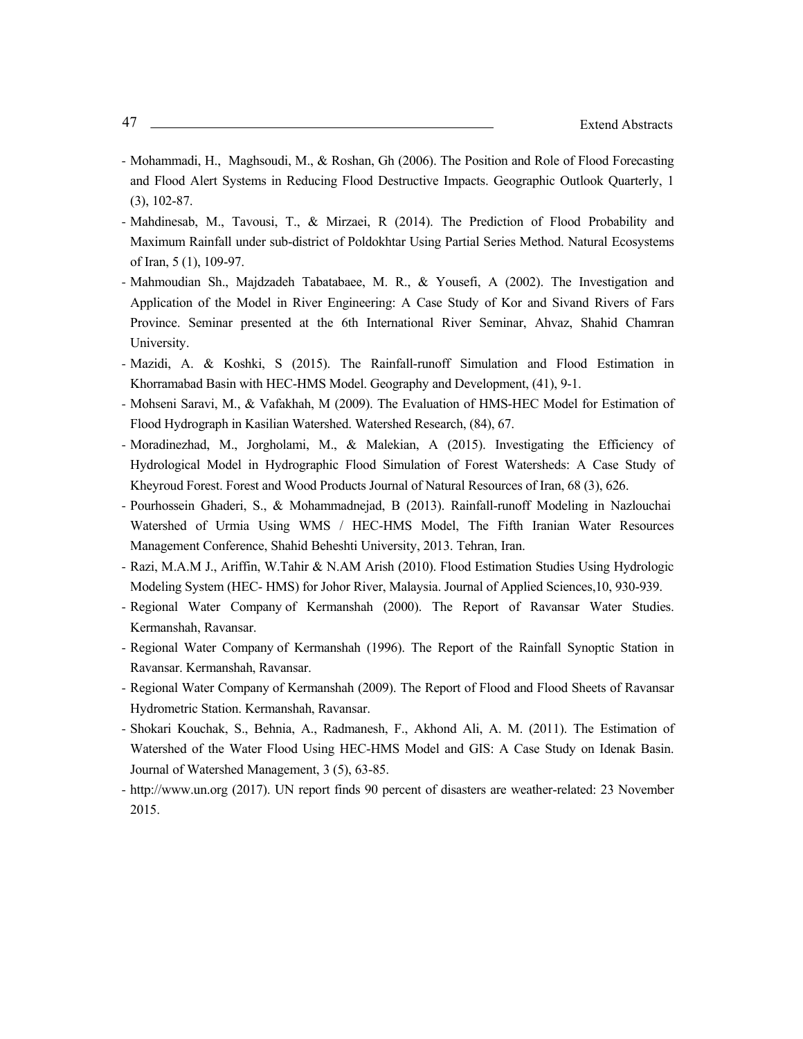- Mohammadi, H., Maghsoudi, M., & Roshan, Gh (2006). The Position and Role of Flood Forecasting and Flood Alert Systems in Reducing Flood Destructive Impacts. Geographic Outlook Quarterly, 1 (3), 102-87.
- Mahdinesab, M., Tavousi, T., & Mirzaei, R (2014). The Prediction of Flood Probability and Maximum Rainfall under sub-district of Poldokhtar Using Partial Series Method. Natural Ecosystems of Iran, 5 (1), 109-97.
- Mahmoudian Sh., Majdzadeh Tabatabaee, M. R., & Yousefi, A (2002). The Investigation and Application of the Model in River Engineering: A Case Study of Kor and Sivand Rivers of Fars Province. Seminar presented at the 6th International River Seminar, Ahvaz, Shahid Chamran University.
- Mazidi, A. & Koshki, S (2015). The Rainfall-runoff Simulation and Flood Estimation in Khorramabad Basin with HEC-HMS Model. Geography and Development, (41), 9-1.
- Mohseni Saravi, M., & Vafakhah, M (2009). The Evaluation of HMS-HEC Model for Estimation of Flood Hydrograph in Kasilian Watershed. Watershed Research, (84), 67.
- Moradinezhad, M., Jorgholami, M., & Malekian, A (2015). Investigating the Efficiency of Hydrological Model in Hydrographic Flood Simulation of Forest Watersheds: A Case Study of Kheyroud Forest. Forest and Wood Products Journal of Natural Resources of Iran, 68 (3), 626.
- Pourhossein Ghaderi, S., & Mohammadnejad, B (2013). Rainfall-runoff Modeling in Nazlouchai Watershed of Urmia Using WMS / HEC-HMS Model, The Fifth Iranian Water Resources Management Conference, Shahid Beheshti University, 2013. Tehran, Iran.
- Razi, M.A.M J., Ariffin, W.Tahir & N.AM Arish (2010). Flood Estimation Studies Using Hydrologic Modeling System (HEC- HMS) for Johor River, Malaysia. Journal of Applied Sciences,10, 930-939.
- Regional Water Company of Kermanshah (2000). The Report of Ravansar Water Studies. Kermanshah, Ravansar.
- Regional Water Company of Kermanshah (1996). The Report of the Rainfall Synoptic Station in Ravansar. Kermanshah, Ravansar.
- Regional Water Company of Kermanshah (2009). The Report of Flood and Flood Sheets of Ravansar Hydrometric Station. Kermanshah, Ravansar.
- Shokari Kouchak, S., Behnia, A., Radmanesh, F., Akhond Ali, A. M. (2011). The Estimation of Watershed of the Water Flood Using HEC-HMS Model and GIS: A Case Study on Idenak Basin. Journal of Watershed Management, 3 (5), 63-85.
- http://www.un.org (2017). UN report finds 90 percent of disasters are weather-related: 23 November 2015.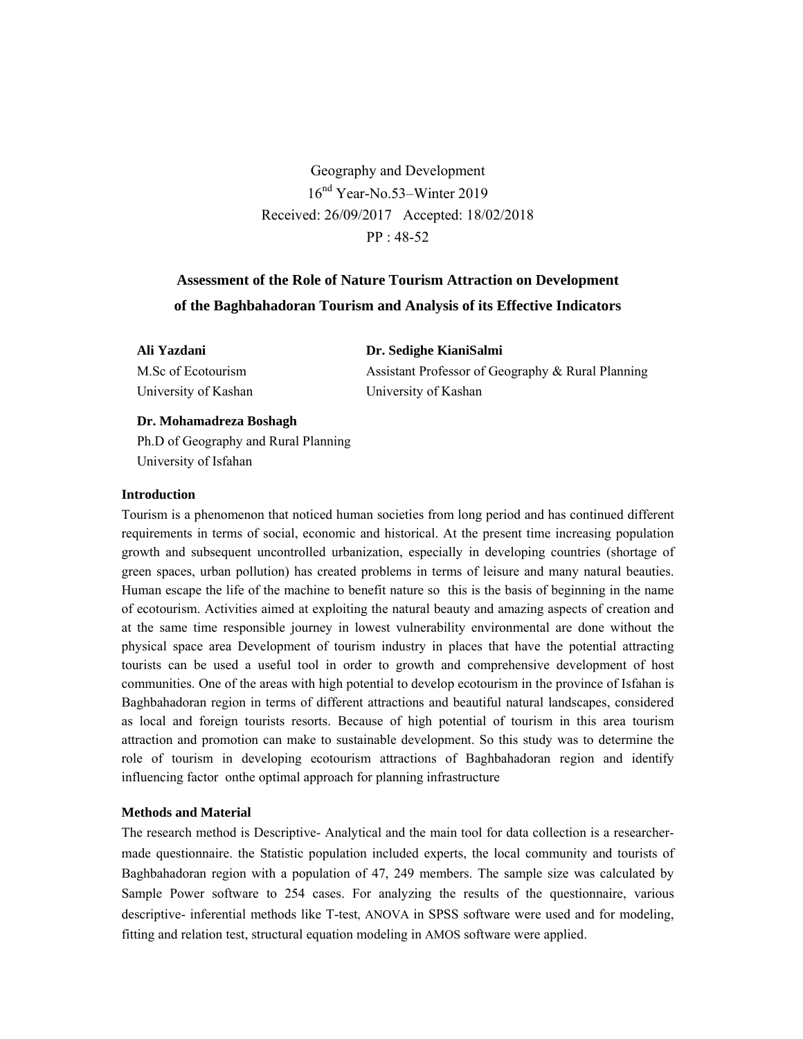Geography and Development 16nd Year-No.53–Winter 2019 Received: 26/09/2017 Accepted: 18/02/2018 PP : 48-52

# **Assessment of the Role of Nature Tourism Attraction on Development of the Baghbahadoran Tourism and Analysis of its Effective Indicators**

**Ali Yazdani**  M.Sc of Ecotourism University of Kashan **Dr. Sedighe KianiSalmi** Assistant Professor of Geography & Rural Planning University of Kashan

# **Dr. Mohamadreza Boshagh**

Ph.D of Geography and Rural Planning University of Isfahan

### **Introduction**

Tourism is a phenomenon that noticed human societies from long period and has continued different requirements in terms of social, economic and historical. At the present time increasing population growth and subsequent uncontrolled urbanization, especially in developing countries (shortage of green spaces, urban pollution) has created problems in terms of leisure and many natural beauties. Human escape the life of the machine to benefit nature so this is the basis of beginning in the name of ecotourism. Activities aimed at exploiting the natural beauty and amazing aspects of creation and at the same time responsible journey in lowest vulnerability environmental are done without the physical space area Development of tourism industry in places that have the potential attracting tourists can be used a useful tool in order to growth and comprehensive development of host communities. One of the areas with high potential to develop ecotourism in the province of Isfahan is Baghbahadoran region in terms of different attractions and beautiful natural landscapes, considered as local and foreign tourists resorts. Because of high potential of tourism in this area tourism attraction and promotion can make to sustainable development. So this study was to determine the role of tourism in developing ecotourism attractions of Baghbahadoran region and identify influencing factor onthe optimal approach for planning infrastructure

# **Methods and Material**

The research method is Descriptive- Analytical and the main tool for data collection is a researchermade questionnaire. the Statistic population included experts, the local community and tourists of Baghbahadoran region with a population of 47, 249 members. The sample size was calculated by Sample Power software to 254 cases. For analyzing the results of the questionnaire, various descriptive- inferential methods like T-test, ANOVA in SPSS software were used and for modeling, fitting and relation test, structural equation modeling in AMOS software were applied.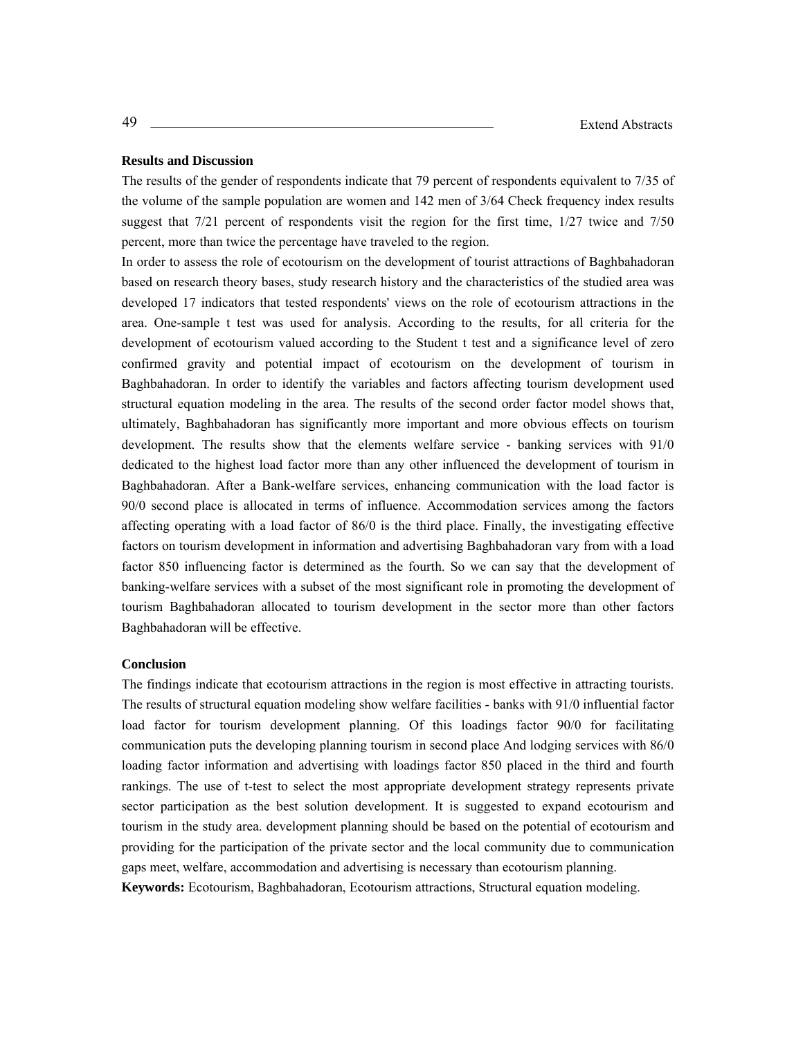### **Results and Discussion**

The results of the gender of respondents indicate that 79 percent of respondents equivalent to 7/35 of the volume of the sample population are women and 142 men of 3/64 Check frequency index results suggest that 7/21 percent of respondents visit the region for the first time, 1/27 twice and 7/50 percent, more than twice the percentage have traveled to the region.

In order to assess the role of ecotourism on the development of tourist attractions of Baghbahadoran based on research theory bases, study research history and the characteristics of the studied area was developed 17 indicators that tested respondents' views on the role of ecotourism attractions in the area. One-sample t test was used for analysis. According to the results, for all criteria for the development of ecotourism valued according to the Student t test and a significance level of zero confirmed gravity and potential impact of ecotourism on the development of tourism in Baghbahadoran. In order to identify the variables and factors affecting tourism development used structural equation modeling in the area. The results of the second order factor model shows that, ultimately, Baghbahadoran has significantly more important and more obvious effects on tourism development. The results show that the elements welfare service - banking services with 91/0 dedicated to the highest load factor more than any other influenced the development of tourism in Baghbahadoran. After a Bank-welfare services, enhancing communication with the load factor is 90/0 second place is allocated in terms of influence. Accommodation services among the factors affecting operating with a load factor of 86/0 is the third place. Finally, the investigating effective factors on tourism development in information and advertising Baghbahadoran vary from with a load factor 850 influencing factor is determined as the fourth. So we can say that the development of banking-welfare services with a subset of the most significant role in promoting the development of tourism Baghbahadoran allocated to tourism development in the sector more than other factors Baghbahadoran will be effective.

#### **Conclusion**

The findings indicate that ecotourism attractions in the region is most effective in attracting tourists. The results of structural equation modeling show welfare facilities - banks with 91/0 influential factor load factor for tourism development planning. Of this loadings factor 90/0 for facilitating communication puts the developing planning tourism in second place And lodging services with 86/0 loading factor information and advertising with loadings factor 850 placed in the third and fourth rankings. The use of t-test to select the most appropriate development strategy represents private sector participation as the best solution development. It is suggested to expand ecotourism and tourism in the study area. development planning should be based on the potential of ecotourism and providing for the participation of the private sector and the local community due to communication gaps meet, welfare, accommodation and advertising is necessary than ecotourism planning.

**Keywords:** Ecotourism, Baghbahadoran, Ecotourism attractions, Structural equation modeling.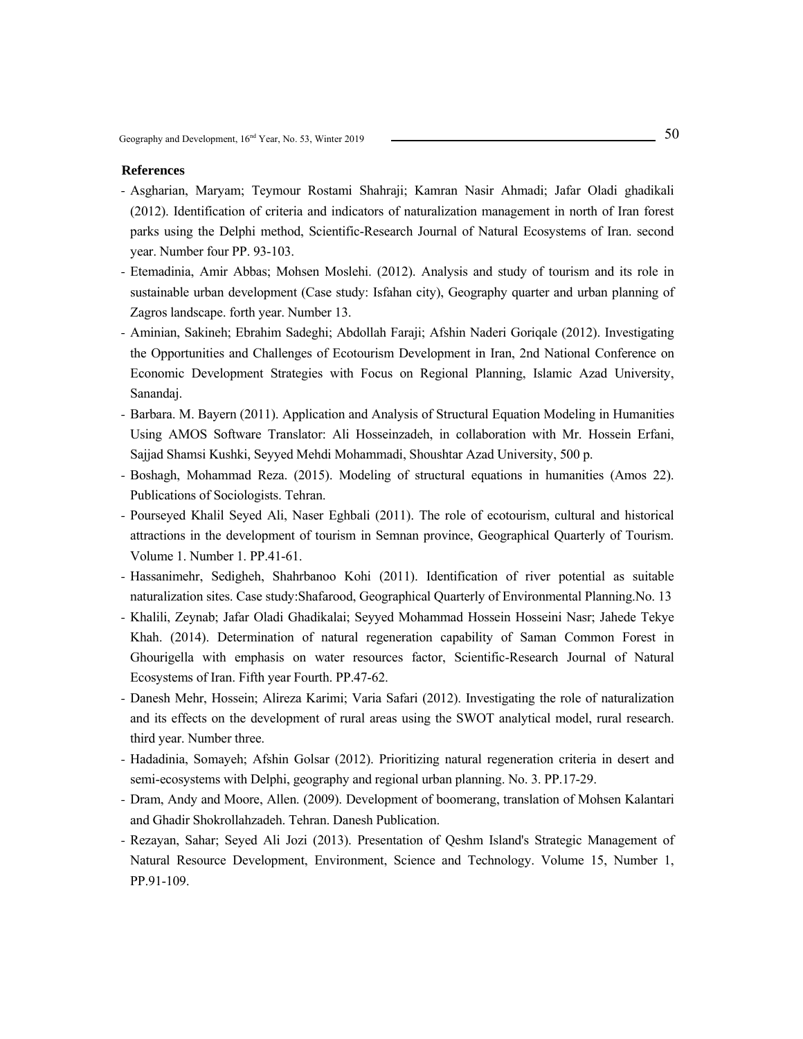- Asgharian, Maryam; Teymour Rostami Shahraji; Kamran Nasir Ahmadi; Jafar Oladi ghadikali (2012). Identification of criteria and indicators of naturalization management in north of Iran forest parks using the Delphi method, Scientific-Research Journal of Natural Ecosystems of Iran. second year. Number four PP. 93-103.
- Etemadinia, Amir Abbas; Mohsen Moslehi. (2012). Analysis and study of tourism and its role in sustainable urban development (Case study: Isfahan city), Geography quarter and urban planning of Zagros landscape. forth year. Number 13.
- Aminian, Sakineh; Ebrahim Sadeghi; Abdollah Faraji; Afshin Naderi Goriqale (2012). Investigating the Opportunities and Challenges of Ecotourism Development in Iran, 2nd National Conference on Economic Development Strategies with Focus on Regional Planning, Islamic Azad University, Sanandaj.
- Barbara. M. Bayern (2011). Application and Analysis of Structural Equation Modeling in Humanities Using AMOS Software Translator: Ali Hosseinzadeh, in collaboration with Mr. Hossein Erfani, Sajjad Shamsi Kushki, Seyyed Mehdi Mohammadi, Shoushtar Azad University, 500 p.
- Boshagh, Mohammad Reza. (2015). Modeling of structural equations in humanities (Amos 22). Publications of Sociologists. Tehran.
- Pourseyed Khalil Seyed Ali, Naser Eghbali (2011). The role of ecotourism, cultural and historical attractions in the development of tourism in Semnan province, Geographical Quarterly of Tourism. Volume 1. Number 1. PP.41-61.
- Hassanimehr, Sedigheh, Shahrbanoo Kohi (2011). Identification of river potential as suitable naturalization sites. Case study:Shafarood, Geographical Quarterly of Environmental Planning.No. 13
- Khalili, Zeynab; Jafar Oladi Ghadikalai; Seyyed Mohammad Hossein Hosseini Nasr; Jahede Tekye Khah. (2014). Determination of natural regeneration capability of Saman Common Forest in Ghourigella with emphasis on water resources factor, Scientific-Research Journal of Natural Ecosystems of Iran. Fifth year Fourth. PP.47-62.
- Danesh Mehr, Hossein; Alireza Karimi; Varia Safari (2012). Investigating the role of naturalization and its effects on the development of rural areas using the SWOT analytical model, rural research. third year. Number three.
- Hadadinia, Somayeh; Afshin Golsar (2012). Prioritizing natural regeneration criteria in desert and semi-ecosystems with Delphi, geography and regional urban planning. No. 3. PP.17-29.
- Dram, Andy and Moore, Allen. (2009). Development of boomerang, translation of Mohsen Kalantari and Ghadir Shokrollahzadeh. Tehran. Danesh Publication.
- Rezayan, Sahar; Seyed Ali Jozi (2013). Presentation of Qeshm Island's Strategic Management of Natural Resource Development, Environment, Science and Technology. Volume 15, Number 1, PP.91-109.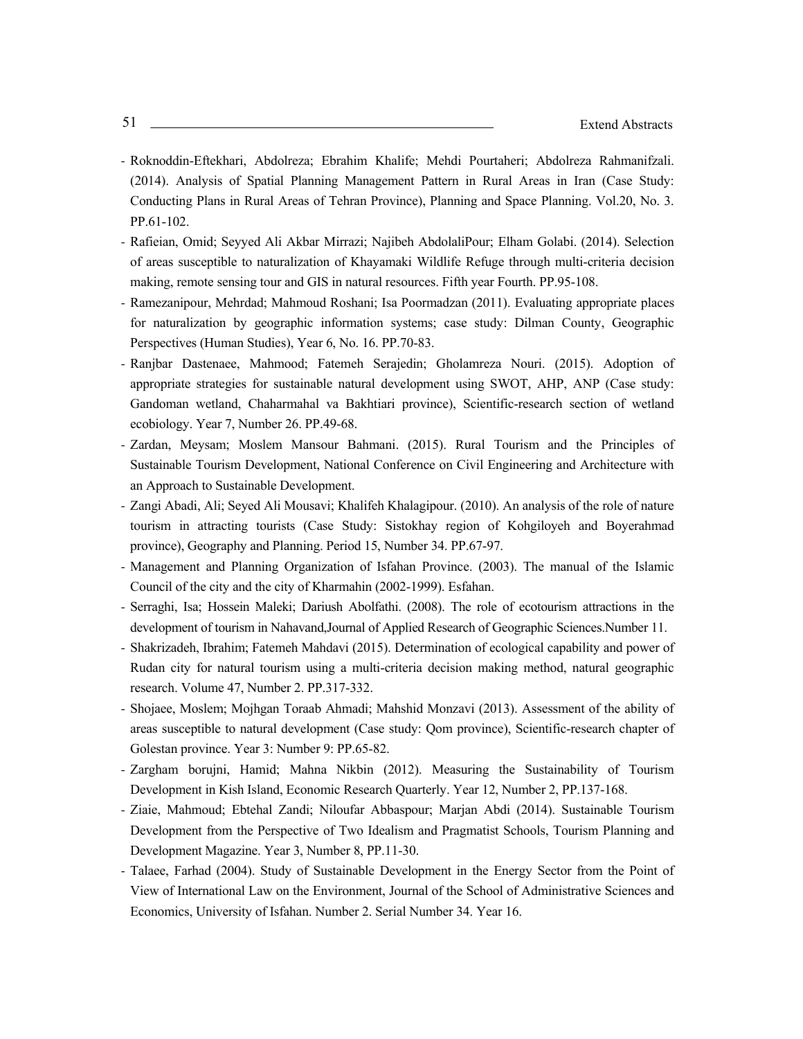- Roknoddin-Eftekhari, Abdolreza; Ebrahim Khalife; Mehdi Pourtaheri; Abdolreza Rahmanifzali. (2014). Analysis of Spatial Planning Management Pattern in Rural Areas in Iran (Case Study: Conducting Plans in Rural Areas of Tehran Province), Planning and Space Planning. Vol.20, No. 3. PP.61-102.
- Rafieian, Omid; Seyyed Ali Akbar Mirrazi; Najibeh AbdolaliPour; Elham Golabi. (2014). Selection of areas susceptible to naturalization of Khayamaki Wildlife Refuge through multi-criteria decision making, remote sensing tour and GIS in natural resources. Fifth year Fourth. PP.95-108.
- Ramezanipour, Mehrdad; Mahmoud Roshani; Isa Poormadzan (2011). Evaluating appropriate places for naturalization by geographic information systems; case study: Dilman County, Geographic Perspectives (Human Studies), Year 6, No. 16. PP.70-83.
- Ranjbar Dastenaee, Mahmood; Fatemeh Serajedin; Gholamreza Nouri. (2015). Adoption of appropriate strategies for sustainable natural development using SWOT, AHP, ANP (Case study: Gandoman wetland, Chaharmahal va Bakhtiari province), Scientific-research section of wetland ecobiology. Year 7, Number 26. PP.49-68.
- Zardan, Meysam; Moslem Mansour Bahmani. (2015). Rural Tourism and the Principles of Sustainable Tourism Development, National Conference on Civil Engineering and Architecture with an Approach to Sustainable Development.
- Zangi Abadi, Ali; Seyed Ali Mousavi; Khalifeh Khalagipour. (2010). An analysis of the role of nature tourism in attracting tourists (Case Study: Sistokhay region of Kohgiloyeh and Boyerahmad province), Geography and Planning. Period 15, Number 34. PP.67-97.
- Management and Planning Organization of Isfahan Province. (2003). The manual of the Islamic Council of the city and the city of Kharmahin (2002-1999). Esfahan.
- Serraghi, Isa; Hossein Maleki; Dariush Abolfathi. (2008). The role of ecotourism attractions in the development of tourism in Nahavand,Journal of Applied Research of Geographic Sciences.Number 11.
- Shakrizadeh, Ibrahim; Fatemeh Mahdavi (2015). Determination of ecological capability and power of Rudan city for natural tourism using a multi-criteria decision making method, natural geographic research. Volume 47, Number 2. PP.317-332.
- Shojaee, Moslem; Mojhgan Toraab Ahmadi; Mahshid Monzavi (2013). Assessment of the ability of areas susceptible to natural development (Case study: Qom province), Scientific-research chapter of Golestan province. Year 3: Number 9: PP.65-82.
- Zargham borujni, Hamid; Mahna Nikbin (2012). Measuring the Sustainability of Tourism Development in Kish Island, Economic Research Quarterly. Year 12, Number 2, PP.137-168.
- Ziaie, Mahmoud; Ebtehal Zandi; Niloufar Abbaspour; Marjan Abdi (2014). Sustainable Tourism Development from the Perspective of Two Idealism and Pragmatist Schools, Tourism Planning and Development Magazine. Year 3, Number 8, PP.11-30.
- Talaee, Farhad (2004). Study of Sustainable Development in the Energy Sector from the Point of View of International Law on the Environment, Journal of the School of Administrative Sciences and Economics, University of Isfahan. Number 2. Serial Number 34. Year 16.